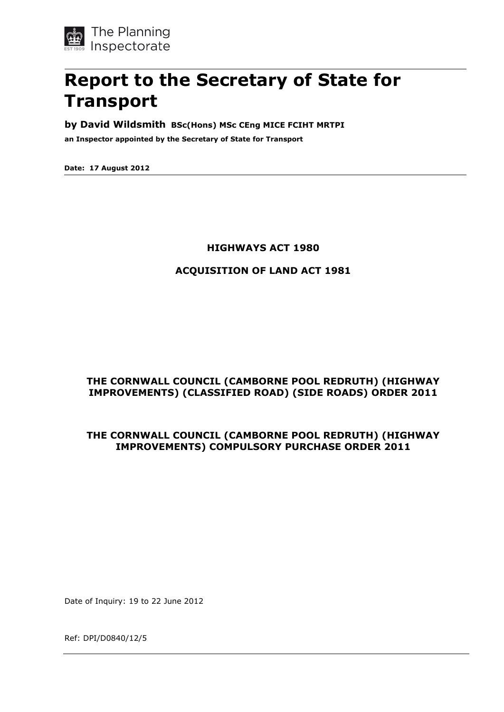

# **Report to the Secretary of State for Transport**

#### **by David Wildsmith BSc(Hons) MSc CEng MICE FCIHT MRTPI**

**an Inspector appointed by the Secretary of State for Transport**

**Date: 17 August 2012**

#### **HIGHWAYS ACT 1980**

#### **ACQUISITION OF LAND ACT 1981**

## **THE CORNWALL COUNCIL (CAMBORNE POOL REDRUTH) (HIGHWAY IMPROVEMENTS) (CLASSIFIED ROAD) (SIDE ROADS) ORDER 2011**

#### **THE CORNWALL COUNCIL (CAMBORNE POOL REDRUTH) (HIGHWAY IMPROVEMENTS) COMPULSORY PURCHASE ORDER 2011**

Date of Inquiry: 19 to 22 June 2012

Ref: DPI/D0840/12/5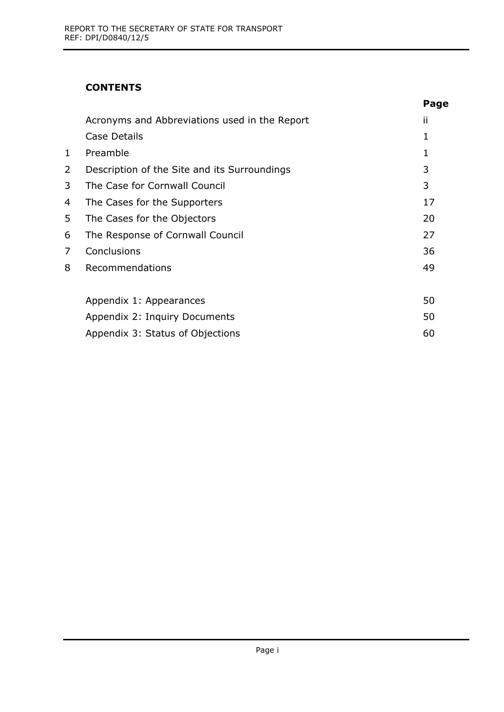# **CONTENTS**

|   |                                               | Page |
|---|-----------------------------------------------|------|
|   | Acronyms and Abbreviations used in the Report | ii   |
|   | Case Details                                  | 1    |
| 1 | Preamble                                      |      |
| 2 | Description of the Site and its Surroundings  | 3    |
| 3 | The Case for Cornwall Council                 | 3    |
| 4 | The Cases for the Supporters                  | 17   |
| 5 | The Cases for the Objectors                   | 20   |
| 6 | The Response of Cornwall Council              | 27   |
| 7 | Conclusions                                   | 36   |
| 8 | Recommendations                               | 49   |
|   |                                               |      |
|   | Appendix 1: Appearances                       | 50   |
|   | Appendix 2: Inquiry Documents                 | 50   |
|   | Appendix 3: Status of Objections              | 60   |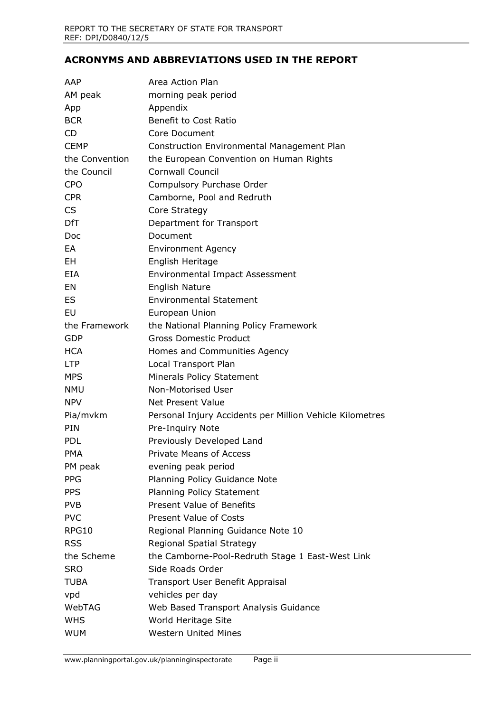#### **ACRONYMS AND ABBREVIATIONS USED IN THE REPORT**

| AAP             | Area Action Plan                                         |
|-----------------|----------------------------------------------------------|
| AM peak         | morning peak period                                      |
| App             | Appendix                                                 |
| <b>BCR</b>      | Benefit to Cost Ratio                                    |
| CD              | Core Document                                            |
| <b>CEMP</b>     | Construction Environmental Management Plan               |
| the Convention  | the European Convention on Human Rights                  |
| the Council     | <b>Cornwall Council</b>                                  |
| <b>CPO</b>      | Compulsory Purchase Order                                |
| <b>CPR</b>      | Camborne, Pool and Redruth                               |
| <b>CS</b>       | Core Strategy                                            |
| <b>DfT</b>      | Department for Transport                                 |
| Doc             | Document                                                 |
| EA              | <b>Environment Agency</b>                                |
| <b>EH</b>       | English Heritage                                         |
| EIA             | Environmental Impact Assessment                          |
| EN              | <b>English Nature</b>                                    |
| ES              | <b>Environmental Statement</b>                           |
| EU              | European Union                                           |
| the Framework   | the National Planning Policy Framework                   |
| <b>GDP</b>      | <b>Gross Domestic Product</b>                            |
| <b>HCA</b>      | Homes and Communities Agency                             |
| <b>LTP</b>      | Local Transport Plan                                     |
| <b>MPS</b>      | Minerals Policy Statement                                |
| <b>NMU</b>      | Non-Motorised User                                       |
| <b>NPV</b>      | <b>Net Present Value</b>                                 |
| Pia/mvkm        | Personal Injury Accidents per Million Vehicle Kilometres |
| <b>PIN</b>      | Pre-Inquiry Note                                         |
| <b>PDL</b>      | Previously Developed Land                                |
| <b>PMA</b>      | Private Means of Access                                  |
| PM peak         | evening peak period                                      |
| <b>PPG</b>      | Planning Policy Guidance Note                            |
| <b>PPS</b>      | <b>Planning Policy Statement</b>                         |
| PV <sub>B</sub> | <b>Present Value of Benefits</b>                         |
| <b>PVC</b>      | <b>Present Value of Costs</b>                            |
| RPG10           | Regional Planning Guidance Note 10                       |
| <b>RSS</b>      | Regional Spatial Strategy                                |
| the Scheme      | the Camborne-Pool-Redruth Stage 1 East-West Link         |
| <b>SRO</b>      | Side Roads Order                                         |
| TUBA            | Transport User Benefit Appraisal                         |
| vpd             | vehicles per day                                         |
| WebTAG          | Web Based Transport Analysis Guidance                    |
| <b>WHS</b>      | World Heritage Site                                      |
| <b>WUM</b>      | <b>Western United Mines</b>                              |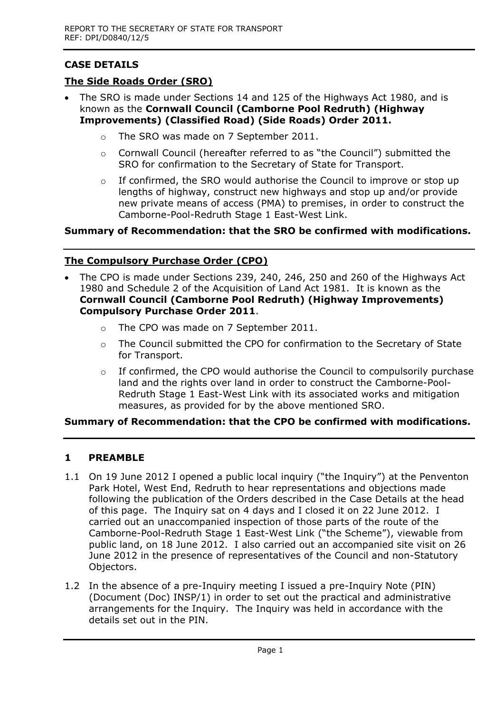# **CASE DETAILS**

## **The Side Roads Order (SRO)**

- The SRO is made under Sections 14 and 125 of the Highways Act 1980, and is known as the **Cornwall Council (Camborne Pool Redruth) (Highway Improvements) (Classified Road) (Side Roads) Order 2011.** 
	- o The SRO was made on 7 September 2011.
	- o Cornwall Council (hereafter referred to as "the Council") submitted the SRO for confirmation to the Secretary of State for Transport.
	- o If confirmed, the SRO would authorise the Council to improve or stop up lengths of highway, construct new highways and stop up and/or provide new private means of access (PMA) to premises, in order to construct the Camborne-Pool-Redruth Stage 1 East-West Link.

## **Summary of Recommendation: that the SRO be confirmed with modifications.**

#### **The Compulsory Purchase Order (CPO)**

- The CPO is made under Sections 239, 240, 246, 250 and 260 of the Highways Act 1980 and Schedule 2 of the Acquisition of Land Act 1981. It is known as the **Cornwall Council (Camborne Pool Redruth) (Highway Improvements) Compulsory Purchase Order 2011**.
	- o The CPO was made on 7 September 2011.
	- o The Council submitted the CPO for confirmation to the Secretary of State for Transport.
	- $\circ$  If confirmed, the CPO would authorise the Council to compulsorily purchase land and the rights over land in order to construct the Camborne-Pool-Redruth Stage 1 East-West Link with its associated works and mitigation measures, as provided for by the above mentioned SRO.

## **Summary of Recommendation: that the CPO be confirmed with modifications.**

## **1 PREAMBLE**

- 1.1 On 19 June 2012 I opened a public local inquiry ("the Inquiry") at the Penventon Park Hotel, West End, Redruth to hear representations and objections made following the publication of the Orders described in the Case Details at the head of this page. The Inquiry sat on 4 days and I closed it on 22 June 2012. I carried out an unaccompanied inspection of those parts of the route of the Camborne-Pool-Redruth Stage 1 East-West Link ("the Scheme"), viewable from public land, on 18 June 2012. I also carried out an accompanied site visit on 26 June 2012 in the presence of representatives of the Council and non-Statutory Objectors.
- 1.2 In the absence of a pre-Inquiry meeting I issued a pre-Inquiry Note (PIN) (Document (Doc) INSP/1) in order to set out the practical and administrative arrangements for the Inquiry. The Inquiry was held in accordance with the details set out in the PIN.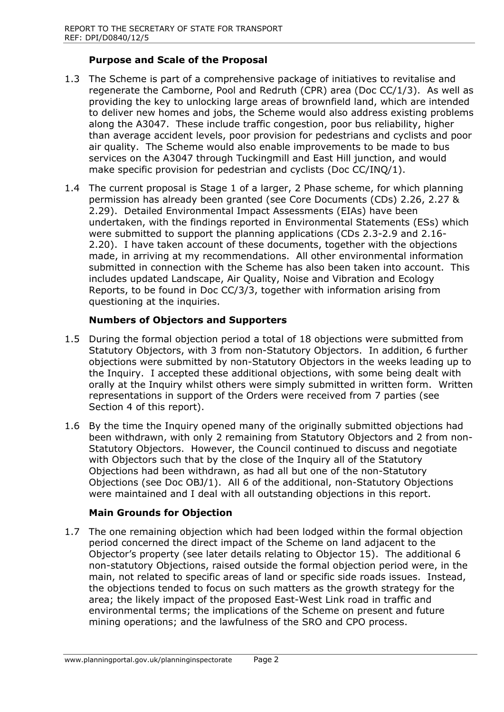## **Purpose and Scale of the Proposal**

- 1.3 The Scheme is part of a comprehensive package of initiatives to revitalise and regenerate the Camborne, Pool and Redruth (CPR) area (Doc CC/1/3). As well as providing the key to unlocking large areas of brownfield land, which are intended to deliver new homes and jobs, the Scheme would also address existing problems along the A3047. These include traffic congestion, poor bus reliability, higher than average accident levels, poor provision for pedestrians and cyclists and poor air quality. The Scheme would also enable improvements to be made to bus services on the A3047 through Tuckingmill and East Hill junction, and would make specific provision for pedestrian and cyclists (Doc CC/INQ/1).
- 1.4 The current proposal is Stage 1 of a larger, 2 Phase scheme, for which planning permission has already been granted (see Core Documents (CDs) 2.26, 2.27 & 2.29). Detailed Environmental Impact Assessments (EIAs) have been undertaken, with the findings reported in Environmental Statements (ESs) which were submitted to support the planning applications (CDs 2.3-2.9 and 2.16- 2.20). I have taken account of these documents, together with the objections made, in arriving at my recommendations. All other environmental information submitted in connection with the Scheme has also been taken into account. This includes updated Landscape, Air Quality, Noise and Vibration and Ecology Reports, to be found in Doc CC/3/3, together with information arising from questioning at the inquiries.

## **Numbers of Objectors and Supporters**

- 1.5 During the formal objection period a total of 18 objections were submitted from Statutory Objectors, with 3 from non-Statutory Objectors. In addition, 6 further objections were submitted by non-Statutory Objectors in the weeks leading up to the Inquiry. I accepted these additional objections, with some being dealt with orally at the Inquiry whilst others were simply submitted in written form. Written representations in support of the Orders were received from 7 parties (see Section 4 of this report).
- 1.6 By the time the Inquiry opened many of the originally submitted objections had been withdrawn, with only 2 remaining from Statutory Objectors and 2 from non-Statutory Objectors. However, the Council continued to discuss and negotiate with Objectors such that by the close of the Inquiry all of the Statutory Objections had been withdrawn, as had all but one of the non-Statutory Objections (see Doc OBJ/1). All 6 of the additional, non-Statutory Objections were maintained and I deal with all outstanding objections in this report.

#### **Main Grounds for Objection**

1.7 The one remaining objection which had been lodged within the formal objection period concerned the direct impact of the Scheme on land adjacent to the Objector's property (see later details relating to Objector 15). The additional 6 non-statutory Objections, raised outside the formal objection period were, in the main, not related to specific areas of land or specific side roads issues. Instead, the objections tended to focus on such matters as the growth strategy for the area; the likely impact of the proposed East-West Link road in traffic and environmental terms; the implications of the Scheme on present and future mining operations; and the lawfulness of the SRO and CPO process.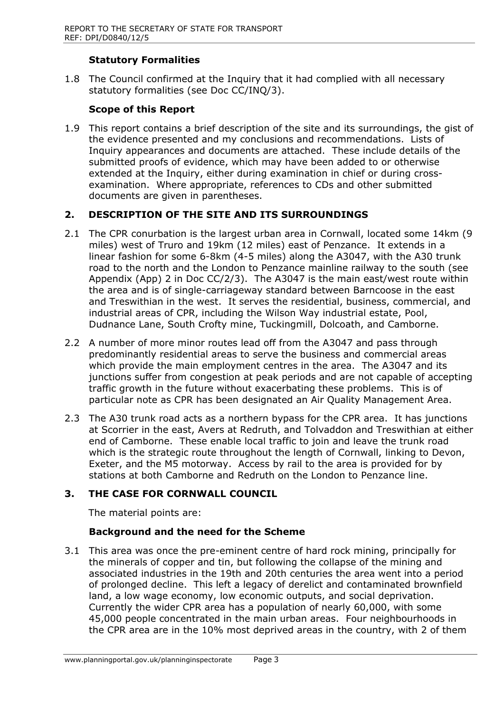## **Statutory Formalities**

1.8 The Council confirmed at the Inquiry that it had complied with all necessary statutory formalities (see Doc CC/INQ/3).

## **Scope of this Report**

1.9 This report contains a brief description of the site and its surroundings, the gist of the evidence presented and my conclusions and recommendations. Lists of Inquiry appearances and documents are attached. These include details of the submitted proofs of evidence, which may have been added to or otherwise extended at the Inquiry, either during examination in chief or during crossexamination. Where appropriate, references to CDs and other submitted documents are given in parentheses.

#### **2. DESCRIPTION OF THE SITE AND ITS SURROUNDINGS**

- 2.1 The CPR conurbation is the largest urban area in Cornwall, located some 14km (9 miles) west of Truro and 19km (12 miles) east of Penzance. It extends in a linear fashion for some 6-8km (4-5 miles) along the A3047, with the A30 trunk road to the north and the London to Penzance mainline railway to the south (see Appendix (App) 2 in Doc CC/2/3). The A3047 is the main east/west route within the area and is of single-carriageway standard between Barncoose in the east and Treswithian in the west. It serves the residential, business, commercial, and industrial areas of CPR, including the Wilson Way industrial estate, Pool, Dudnance Lane, South Crofty mine, Tuckingmill, Dolcoath, and Camborne.
- 2.2 A number of more minor routes lead off from the A3047 and pass through predominantly residential areas to serve the business and commercial areas which provide the main employment centres in the area. The A3047 and its junctions suffer from congestion at peak periods and are not capable of accepting traffic growth in the future without exacerbating these problems. This is of particular note as CPR has been designated an Air Quality Management Area.
- 2.3 The A30 trunk road acts as a northern bypass for the CPR area. It has junctions at Scorrier in the east, Avers at Redruth, and Tolvaddon and Treswithian at either end of Camborne. These enable local traffic to join and leave the trunk road which is the strategic route throughout the length of Cornwall, linking to Devon, Exeter, and the M5 motorway. Access by rail to the area is provided for by stations at both Camborne and Redruth on the London to Penzance line.

## **3. THE CASE FOR CORNWALL COUNCIL**

The material points are:

#### **Background and the need for the Scheme**

3.1 This area was once the pre-eminent centre of hard rock mining, principally for the minerals of copper and tin, but following the collapse of the mining and associated industries in the 19th and 20th centuries the area went into a period of prolonged decline. This left a legacy of derelict and contaminated brownfield land, a low wage economy, low economic outputs, and social deprivation. Currently the wider CPR area has a population of nearly 60,000, with some 45,000 people concentrated in the main urban areas. Four neighbourhoods in the CPR area are in the 10% most deprived areas in the country, with 2 of them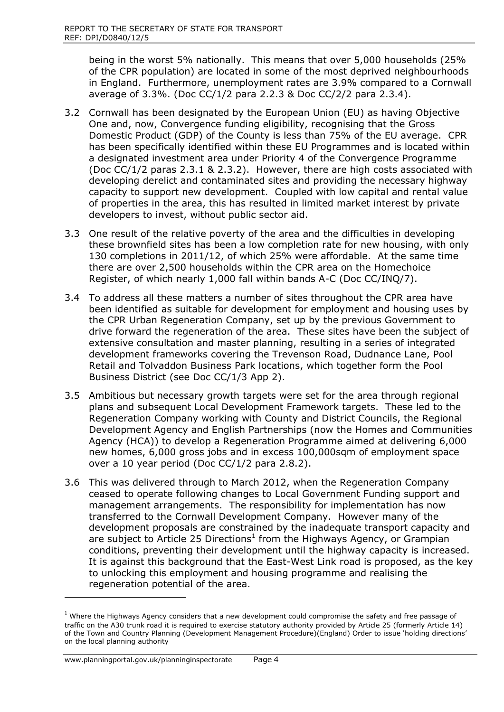being in the worst 5% nationally. This means that over 5,000 households (25% of the CPR population) are located in some of the most deprived neighbourhoods in England. Furthermore, unemployment rates are 3.9% compared to a Cornwall average of 3.3%. (Doc CC/1/2 para 2.2.3 & Doc CC/2/2 para 2.3.4).

- 3.2 Cornwall has been designated by the European Union (EU) as having Objective One and, now, Convergence funding eligibility, recognising that the Gross Domestic Product (GDP) of the County is less than 75% of the EU average. CPR has been specifically identified within these EU Programmes and is located within a designated investment area under Priority 4 of the Convergence Programme (Doc CC/1/2 paras 2.3.1 & 2.3.2). However, there are high costs associated with developing derelict and contaminated sites and providing the necessary highway capacity to support new development. Coupled with low capital and rental value of properties in the area, this has resulted in limited market interest by private developers to invest, without public sector aid.
- 3.3 One result of the relative poverty of the area and the difficulties in developing these brownfield sites has been a low completion rate for new housing, with only 130 completions in 2011/12, of which 25% were affordable. At the same time there are over 2,500 households within the CPR area on the Homechoice Register, of which nearly 1,000 fall within bands A-C (Doc CC/INQ/7).
- 3.4 To address all these matters a number of sites throughout the CPR area have been identified as suitable for development for employment and housing uses by the CPR Urban Regeneration Company, set up by the previous Government to drive forward the regeneration of the area. These sites have been the subject of extensive consultation and master planning, resulting in a series of integrated development frameworks covering the Trevenson Road, Dudnance Lane, Pool Retail and Tolvaddon Business Park locations, which together form the Pool Business District (see Doc CC/1/3 App 2).
- 3.5 Ambitious but necessary growth targets were set for the area through regional plans and subsequent Local Development Framework targets. These led to the Regeneration Company working with County and District Councils, the Regional Development Agency and English Partnerships (now the Homes and Communities Agency (HCA)) to develop a Regeneration Programme aimed at delivering 6,000 new homes, 6,000 gross jobs and in excess 100,000sqm of employment space over a 10 year period (Doc CC/1/2 para 2.8.2).
- 3.6 This was delivered through to March 2012, when the Regeneration Company ceased to operate following changes to Local Government Funding support and management arrangements. The responsibility for implementation has now transferred to the Cornwall Development Company. However many of the development proposals are constrained by the inadequate transport capacity and are subject to Article 25 Directions<sup>1</sup> from the Highways Agency, or Grampian conditions, preventing their development until the highway capacity is increased. It is against this background that the East-West Link road is proposed, as the key to unlocking this employment and housing programme and realising the regeneration potential of the area.

 $\overline{a}$ 

 $1$  Where the Highways Agency considers that a new development could compromise the safety and free passage of traffic on the A30 trunk road it is required to exercise statutory authority provided by Article 25 (formerly Article 14) of the Town and Country Planning (Development Management Procedure)(England) Order to issue 'holding directions' on the local planning authority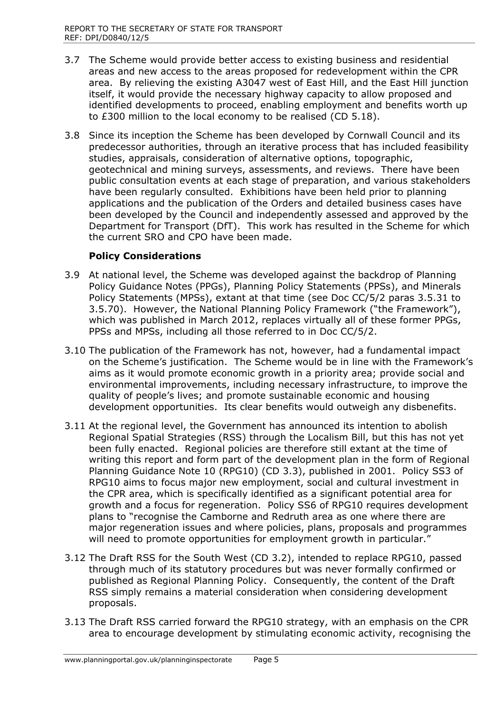- 3.7 The Scheme would provide better access to existing business and residential areas and new access to the areas proposed for redevelopment within the CPR area. By relieving the existing A3047 west of East Hill, and the East Hill junction itself, it would provide the necessary highway capacity to allow proposed and identified developments to proceed, enabling employment and benefits worth up to £300 million to the local economy to be realised (CD 5.18).
- 3.8 Since its inception the Scheme has been developed by Cornwall Council and its predecessor authorities, through an iterative process that has included feasibility studies, appraisals, consideration of alternative options, topographic, geotechnical and mining surveys, assessments, and reviews. There have been public consultation events at each stage of preparation, and various stakeholders have been regularly consulted. Exhibitions have been held prior to planning applications and the publication of the Orders and detailed business cases have been developed by the Council and independently assessed and approved by the Department for Transport (DfT). This work has resulted in the Scheme for which the current SRO and CPO have been made.

## **Policy Considerations**

- 3.9 At national level, the Scheme was developed against the backdrop of Planning Policy Guidance Notes (PPGs), Planning Policy Statements (PPSs), and Minerals Policy Statements (MPSs), extant at that time (see Doc CC/5/2 paras 3.5.31 to 3.5.70). However, the National Planning Policy Framework ("the Framework"), which was published in March 2012, replaces virtually all of these former PPGs, PPSs and MPSs, including all those referred to in Doc CC/5/2.
- 3.10 The publication of the Framework has not, however, had a fundamental impact on the Scheme's justification. The Scheme would be in line with the Framework's aims as it would promote economic growth in a priority area; provide social and environmental improvements, including necessary infrastructure, to improve the quality of people's lives; and promote sustainable economic and housing development opportunities. Its clear benefits would outweigh any disbenefits.
- 3.11 At the regional level, the Government has announced its intention to abolish Regional Spatial Strategies (RSS) through the Localism Bill, but this has not yet been fully enacted. Regional policies are therefore still extant at the time of writing this report and form part of the development plan in the form of Regional Planning Guidance Note 10 (RPG10) (CD 3.3), published in 2001. Policy SS3 of RPG10 aims to focus major new employment, social and cultural investment in the CPR area, which is specifically identified as a significant potential area for growth and a focus for regeneration. Policy SS6 of RPG10 requires development plans to "recognise the Camborne and Redruth area as one where there are major regeneration issues and where policies, plans, proposals and programmes will need to promote opportunities for employment growth in particular."
- 3.12 The Draft RSS for the South West (CD 3.2), intended to replace RPG10, passed through much of its statutory procedures but was never formally confirmed or published as Regional Planning Policy. Consequently, the content of the Draft RSS simply remains a material consideration when considering development proposals.
- 3.13 The Draft RSS carried forward the RPG10 strategy, with an emphasis on the CPR area to encourage development by stimulating economic activity, recognising the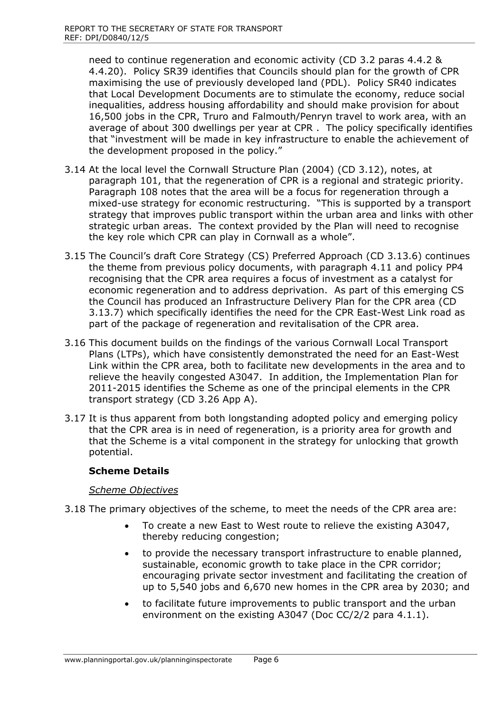need to continue regeneration and economic activity (CD 3.2 paras 4.4.2 & 4.4.20). Policy SR39 identifies that Councils should plan for the growth of CPR maximising the use of previously developed land (PDL). Policy SR40 indicates that Local Development Documents are to stimulate the economy, reduce social inequalities, address housing affordability and should make provision for about 16,500 jobs in the CPR, Truro and Falmouth/Penryn travel to work area, with an average of about 300 dwellings per year at CPR . The policy specifically identifies that "investment will be made in key infrastructure to enable the achievement of the development proposed in the policy."

- 3.14 At the local level the Cornwall Structure Plan (2004) (CD 3.12), notes, at paragraph 101, that the regeneration of CPR is a regional and strategic priority. Paragraph 108 notes that the area will be a focus for regeneration through a mixed-use strategy for economic restructuring. "This is supported by a transport strategy that improves public transport within the urban area and links with other strategic urban areas. The context provided by the Plan will need to recognise the key role which CPR can play in Cornwall as a whole".
- 3.15 The Council's draft Core Strategy (CS) Preferred Approach (CD 3.13.6) continues the theme from previous policy documents, with paragraph 4.11 and policy PP4 recognising that the CPR area requires a focus of investment as a catalyst for economic regeneration and to address deprivation. As part of this emerging CS the Council has produced an Infrastructure Delivery Plan for the CPR area (CD 3.13.7) which specifically identifies the need for the CPR East-West Link road as part of the package of regeneration and revitalisation of the CPR area.
- 3.16 This document builds on the findings of the various Cornwall Local Transport Plans (LTPs), which have consistently demonstrated the need for an East-West Link within the CPR area, both to facilitate new developments in the area and to relieve the heavily congested A3047. In addition, the Implementation Plan for 2011-2015 identifies the Scheme as one of the principal elements in the CPR transport strategy (CD 3.26 App A).
- 3.17 It is thus apparent from both longstanding adopted policy and emerging policy that the CPR area is in need of regeneration, is a priority area for growth and that the Scheme is a vital component in the strategy for unlocking that growth potential.

#### **Scheme Details**

#### *Scheme Objectives*

- 3.18 The primary objectives of the scheme, to meet the needs of the CPR area are:
	- To create a new East to West route to relieve the existing A3047, thereby reducing congestion;
	- to provide the necessary transport infrastructure to enable planned, sustainable, economic growth to take place in the CPR corridor; encouraging private sector investment and facilitating the creation of up to 5,540 jobs and 6,670 new homes in the CPR area by 2030; and
	- to facilitate future improvements to public transport and the urban environment on the existing A3047 (Doc CC/2/2 para 4.1.1).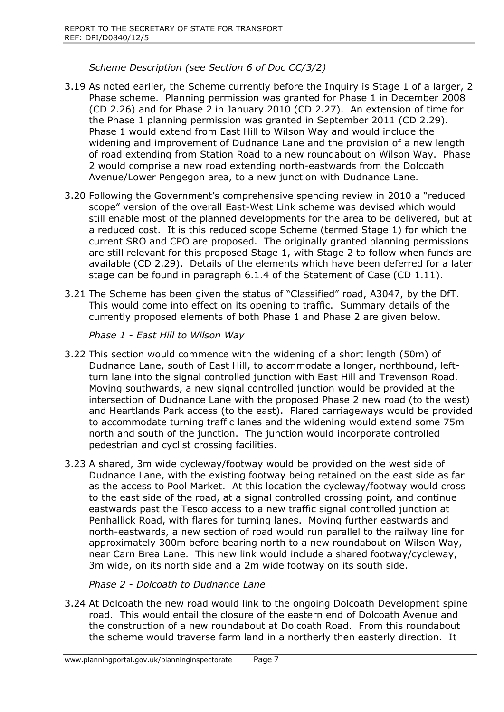*Scheme Description (see Section 6 of Doc CC/3/2)*

- 3.19 As noted earlier, the Scheme currently before the Inquiry is Stage 1 of a larger, 2 Phase scheme. Planning permission was granted for Phase 1 in December 2008 (CD 2.26) and for Phase 2 in January 2010 (CD 2.27). An extension of time for the Phase 1 planning permission was granted in September 2011 (CD 2.29). Phase 1 would extend from East Hill to Wilson Way and would include the widening and improvement of Dudnance Lane and the provision of a new length of road extending from Station Road to a new roundabout on Wilson Way. Phase 2 would comprise a new road extending north-eastwards from the Dolcoath Avenue/Lower Pengegon area, to a new junction with Dudnance Lane.
- 3.20 Following the Government's comprehensive spending review in 2010 a "reduced scope" version of the overall East-West Link scheme was devised which would still enable most of the planned developments for the area to be delivered, but at a reduced cost. It is this reduced scope Scheme (termed Stage 1) for which the current SRO and CPO are proposed. The originally granted planning permissions are still relevant for this proposed Stage 1, with Stage 2 to follow when funds are available (CD 2.29). Details of the elements which have been deferred for a later stage can be found in paragraph 6.1.4 of the Statement of Case (CD 1.11).
- 3.21 The Scheme has been given the status of "Classified" road, A3047, by the DfT. This would come into effect on its opening to traffic. Summary details of the currently proposed elements of both Phase 1 and Phase 2 are given below.

*Phase 1 - East Hill to Wilson Way*

- 3.22 This section would commence with the widening of a short length (50m) of Dudnance Lane, south of East Hill, to accommodate a longer, northbound, leftturn lane into the signal controlled junction with East Hill and Trevenson Road. Moving southwards, a new signal controlled junction would be provided at the intersection of Dudnance Lane with the proposed Phase 2 new road (to the west) and Heartlands Park access (to the east). Flared carriageways would be provided to accommodate turning traffic lanes and the widening would extend some 75m north and south of the junction. The junction would incorporate controlled pedestrian and cyclist crossing facilities.
- 3.23 A shared, 3m wide cycleway/footway would be provided on the west side of Dudnance Lane, with the existing footway being retained on the east side as far as the access to Pool Market. At this location the cycleway/footway would cross to the east side of the road, at a signal controlled crossing point, and continue eastwards past the Tesco access to a new traffic signal controlled junction at Penhallick Road, with flares for turning lanes. Moving further eastwards and north-eastwards, a new section of road would run parallel to the railway line for approximately 300m before bearing north to a new roundabout on Wilson Way, near Carn Brea Lane. This new link would include a shared footway/cycleway, 3m wide, on its north side and a 2m wide footway on its south side.

*Phase 2 - Dolcoath to Dudnance Lane*

3.24 At Dolcoath the new road would link to the ongoing Dolcoath Development spine road. This would entail the closure of the eastern end of Dolcoath Avenue and the construction of a new roundabout at Dolcoath Road. From this roundabout the scheme would traverse farm land in a northerly then easterly direction. It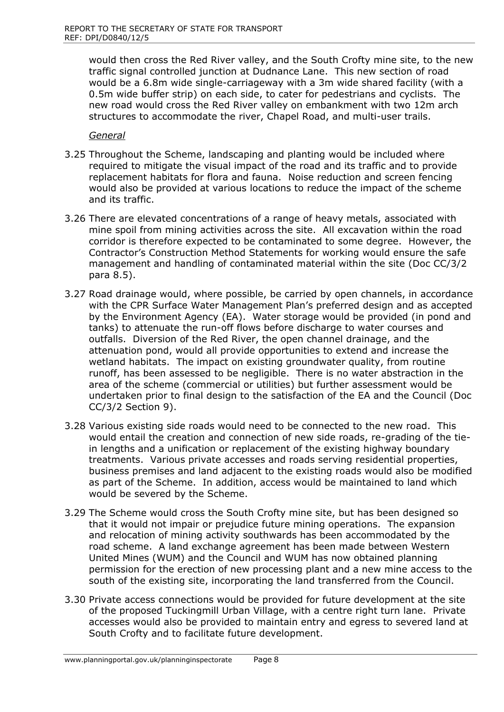would then cross the Red River valley, and the South Crofty mine site, to the new traffic signal controlled junction at Dudnance Lane. This new section of road would be a 6.8m wide single-carriageway with a 3m wide shared facility (with a 0.5m wide buffer strip) on each side, to cater for pedestrians and cyclists. The new road would cross the Red River valley on embankment with two 12m arch structures to accommodate the river, Chapel Road, and multi-user trails.

*General*

- 3.25 Throughout the Scheme, landscaping and planting would be included where required to mitigate the visual impact of the road and its traffic and to provide replacement habitats for flora and fauna. Noise reduction and screen fencing would also be provided at various locations to reduce the impact of the scheme and its traffic.
- 3.26 There are elevated concentrations of a range of heavy metals, associated with mine spoil from mining activities across the site. All excavation within the road corridor is therefore expected to be contaminated to some degree. However, the Contractor's Construction Method Statements for working would ensure the safe management and handling of contaminated material within the site (Doc CC/3/2 para 8.5).
- 3.27 Road drainage would, where possible, be carried by open channels, in accordance with the CPR Surface Water Management Plan's preferred design and as accepted by the Environment Agency (EA). Water storage would be provided (in pond and tanks) to attenuate the run-off flows before discharge to water courses and outfalls. Diversion of the Red River, the open channel drainage, and the attenuation pond, would all provide opportunities to extend and increase the wetland habitats. The impact on existing groundwater quality, from routine runoff, has been assessed to be negligible. There is no water abstraction in the area of the scheme (commercial or utilities) but further assessment would be undertaken prior to final design to the satisfaction of the EA and the Council (Doc CC/3/2 Section 9).
- 3.28 Various existing side roads would need to be connected to the new road. This would entail the creation and connection of new side roads, re-grading of the tiein lengths and a unification or replacement of the existing highway boundary treatments. Various private accesses and roads serving residential properties, business premises and land adjacent to the existing roads would also be modified as part of the Scheme. In addition, access would be maintained to land which would be severed by the Scheme.
- 3.29 The Scheme would cross the South Crofty mine site, but has been designed so that it would not impair or prejudice future mining operations. The expansion and relocation of mining activity southwards has been accommodated by the road scheme. A land exchange agreement has been made between Western United Mines (WUM) and the Council and WUM has now obtained planning permission for the erection of new processing plant and a new mine access to the south of the existing site, incorporating the land transferred from the Council.
- 3.30 Private access connections would be provided for future development at the site of the proposed Tuckingmill Urban Village, with a centre right turn lane. Private accesses would also be provided to maintain entry and egress to severed land at South Crofty and to facilitate future development.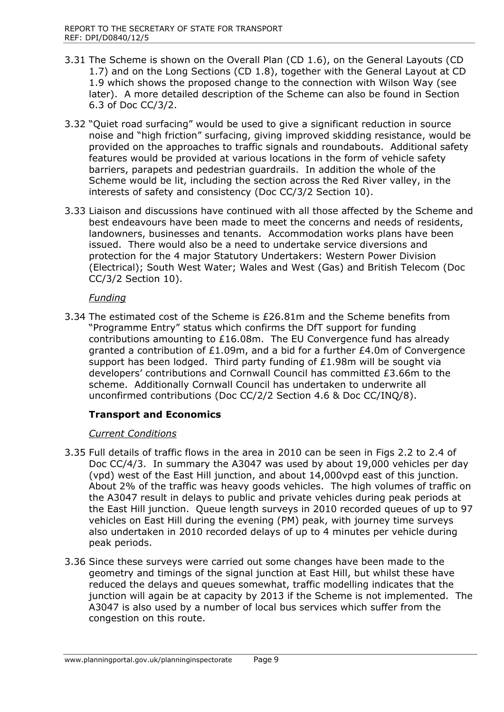- 3.31 The Scheme is shown on the Overall Plan (CD 1.6), on the General Layouts (CD 1.7) and on the Long Sections (CD 1.8), together with the General Layout at CD 1.9 which shows the proposed change to the connection with Wilson Way (see later). A more detailed description of the Scheme can also be found in Section 6.3 of Doc CC/3/2.
- 3.32 "Quiet road surfacing" would be used to give a significant reduction in source noise and "high friction" surfacing, giving improved skidding resistance, would be provided on the approaches to traffic signals and roundabouts. Additional safety features would be provided at various locations in the form of vehicle safety barriers, parapets and pedestrian guardrails. In addition the whole of the Scheme would be lit, including the section across the Red River valley, in the interests of safety and consistency (Doc CC/3/2 Section 10).
- 3.33 Liaison and discussions have continued with all those affected by the Scheme and best endeavours have been made to meet the concerns and needs of residents, landowners, businesses and tenants. Accommodation works plans have been issued. There would also be a need to undertake service diversions and protection for the 4 major Statutory Undertakers: Western Power Division (Electrical); South West Water; Wales and West (Gas) and British Telecom (Doc CC/3/2 Section 10).

#### *Funding*

3.34 The estimated cost of the Scheme is £26.81m and the Scheme benefits from "Programme Entry" status which confirms the DfT support for funding contributions amounting to £16.08m. The EU Convergence fund has already granted a contribution of £1.09m, and a bid for a further £4.0m of Convergence support has been lodged. Third party funding of  $£1.98m$  will be sought via developers' contributions and Cornwall Council has committed £3.66m to the scheme. Additionally Cornwall Council has undertaken to underwrite all unconfirmed contributions (Doc CC/2/2 Section 4.6 & Doc CC/INQ/8).

## **Transport and Economics**

## *Current Conditions*

- 3.35 Full details of traffic flows in the area in 2010 can be seen in Figs 2.2 to 2.4 of Doc CC/4/3. In summary the A3047 was used by about 19,000 vehicles per day (vpd) west of the East Hill junction, and about 14,000vpd east of this junction. About 2% of the traffic was heavy goods vehicles. The high volumes of traffic on the A3047 result in delays to public and private vehicles during peak periods at the East Hill junction. Queue length surveys in 2010 recorded queues of up to 97 vehicles on East Hill during the evening (PM) peak, with journey time surveys also undertaken in 2010 recorded delays of up to 4 minutes per vehicle during peak periods.
- 3.36 Since these surveys were carried out some changes have been made to the geometry and timings of the signal junction at East Hill, but whilst these have reduced the delays and queues somewhat, traffic modelling indicates that the junction will again be at capacity by 2013 if the Scheme is not implemented. The A3047 is also used by a number of local bus services which suffer from the congestion on this route.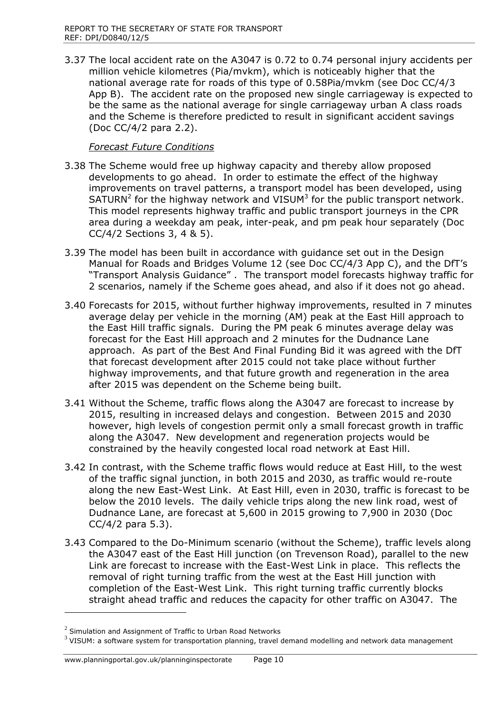3.37 The local accident rate on the A3047 is 0.72 to 0.74 personal injury accidents per million vehicle kilometres (Pia/mvkm), which is noticeably higher that the national average rate for roads of this type of 0.58Pia/mvkm (see Doc CC/4/3 App B). The accident rate on the proposed new single carriageway is expected to be the same as the national average for single carriageway urban A class roads and the Scheme is therefore predicted to result in significant accident savings (Doc CC/4/2 para 2.2).

## *Forecast Future Conditions*

- 3.38 The Scheme would free up highway capacity and thereby allow proposed developments to go ahead. In order to estimate the effect of the highway improvements on travel patterns, a transport model has been developed, using SATURN<sup>2</sup> for the highway network and VISUM $3$  for the public transport network. This model represents highway traffic and public transport journeys in the CPR area during a weekday am peak, inter-peak, and pm peak hour separately (Doc CC/4/2 Sections 3, 4 & 5).
- 3.39 The model has been built in accordance with guidance set out in the Design Manual for Roads and Bridges Volume 12 (see Doc CC/4/3 App C), and the DfT's "Transport Analysis Guidance" . The transport model forecasts highway traffic for 2 scenarios, namely if the Scheme goes ahead, and also if it does not go ahead.
- 3.40 Forecasts for 2015, without further highway improvements, resulted in 7 minutes average delay per vehicle in the morning (AM) peak at the East Hill approach to the East Hill traffic signals. During the PM peak 6 minutes average delay was forecast for the East Hill approach and 2 minutes for the Dudnance Lane approach. As part of the Best And Final Funding Bid it was agreed with the DfT that forecast development after 2015 could not take place without further highway improvements, and that future growth and regeneration in the area after 2015 was dependent on the Scheme being built.
- 3.41 Without the Scheme, traffic flows along the A3047 are forecast to increase by 2015, resulting in increased delays and congestion. Between 2015 and 2030 however, high levels of congestion permit only a small forecast growth in traffic along the A3047. New development and regeneration projects would be constrained by the heavily congested local road network at East Hill.
- 3.42 In contrast, with the Scheme traffic flows would reduce at East Hill, to the west of the traffic signal junction, in both 2015 and 2030, as traffic would re-route along the new East-West Link. At East Hill, even in 2030, traffic is forecast to be below the 2010 levels. The daily vehicle trips along the new link road, west of Dudnance Lane, are forecast at 5,600 in 2015 growing to 7,900 in 2030 (Doc CC/4/2 para 5.3).
- 3.43 Compared to the Do-Minimum scenario (without the Scheme), traffic levels along the A3047 east of the East Hill junction (on Trevenson Road), parallel to the new Link are forecast to increase with the East-West Link in place. This reflects the removal of right turning traffic from the west at the East Hill junction with completion of the East-West Link. This right turning traffic currently blocks straight ahead traffic and reduces the capacity for other traffic on A3047. The

 $\overline{a}$ 

 $^2$  Simulation and Assignment of Traffic to Urban Road Networks

 $3$  VISUM: a software system for transportation planning, travel demand modelling and network data management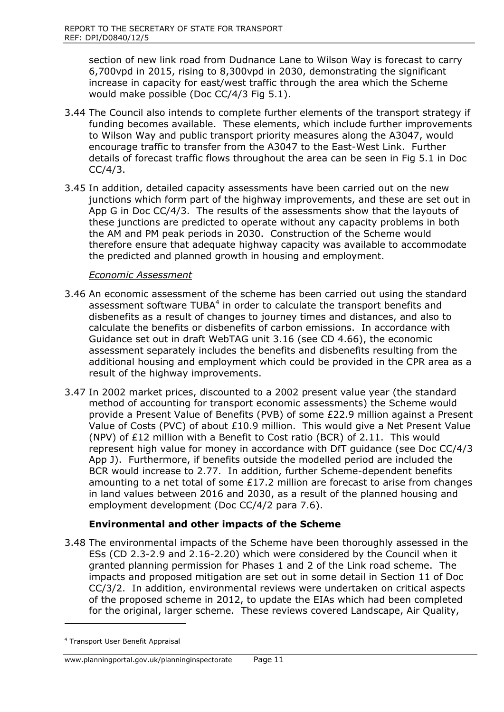section of new link road from Dudnance Lane to Wilson Way is forecast to carry 6,700vpd in 2015, rising to 8,300vpd in 2030, demonstrating the significant increase in capacity for east/west traffic through the area which the Scheme would make possible (Doc CC/4/3 Fig 5.1).

- 3.44 The Council also intends to complete further elements of the transport strategy if funding becomes available. These elements, which include further improvements to Wilson Way and public transport priority measures along the A3047, would encourage traffic to transfer from the A3047 to the East-West Link. Further details of forecast traffic flows throughout the area can be seen in Fig 5.1 in Doc  $CC/4/3$ .
- 3.45 In addition, detailed capacity assessments have been carried out on the new junctions which form part of the highway improvements, and these are set out in App G in Doc CC/4/3. The results of the assessments show that the layouts of these junctions are predicted to operate without any capacity problems in both the AM and PM peak periods in 2030. Construction of the Scheme would therefore ensure that adequate highway capacity was available to accommodate the predicted and planned growth in housing and employment.

#### *Economic Assessment*

- 3.46 An economic assessment of the scheme has been carried out using the standard assessment software TUBA $4$  in order to calculate the transport benefits and disbenefits as a result of changes to journey times and distances, and also to calculate the benefits or disbenefits of carbon emissions. In accordance with Guidance set out in draft WebTAG unit 3.16 (see CD 4.66), the economic assessment separately includes the benefits and disbenefits resulting from the additional housing and employment which could be provided in the CPR area as a result of the highway improvements.
- 3.47 In 2002 market prices, discounted to a 2002 present value year (the standard method of accounting for transport economic assessments) the Scheme would provide a Present Value of Benefits (PVB) of some £22.9 million against a Present Value of Costs (PVC) of about £10.9 million. This would give a Net Present Value (NPV) of £12 million with a Benefit to Cost ratio (BCR) of 2.11. This would represent high value for money in accordance with DfT guidance (see Doc CC/4/3 App J). Furthermore, if benefits outside the modelled period are included the BCR would increase to 2.77. In addition, further Scheme-dependent benefits amounting to a net total of some £17.2 million are forecast to arise from changes in land values between 2016 and 2030, as a result of the planned housing and employment development (Doc CC/4/2 para 7.6).

## **Environmental and other impacts of the Scheme**

3.48 The environmental impacts of the Scheme have been thoroughly assessed in the ESs (CD 2.3-2.9 and 2.16-2.20) which were considered by the Council when it granted planning permission for Phases 1 and 2 of the Link road scheme. The impacts and proposed mitigation are set out in some detail in Section 11 of Doc CC/3/2. In addition, environmental reviews were undertaken on critical aspects of the proposed scheme in 2012, to update the EIAs which had been completed for the original, larger scheme. These reviews covered Landscape, Air Quality,

 $\overline{\phantom{a}}$ 

<sup>4</sup> Transport User Benefit Appraisal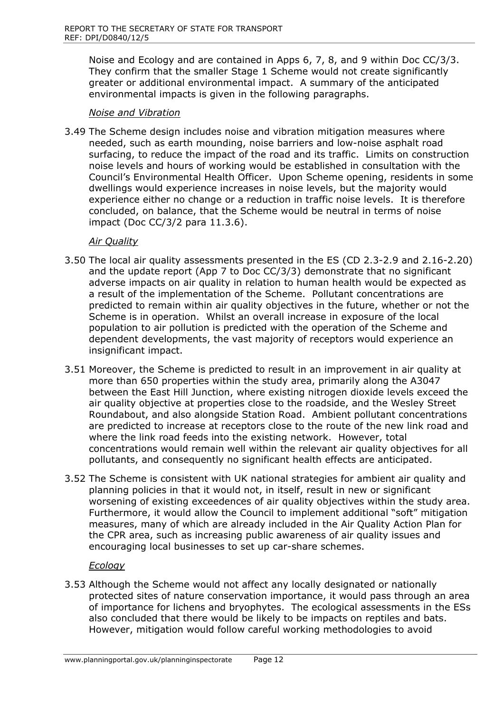Noise and Ecology and are contained in Apps 6, 7, 8, and 9 within Doc CC/3/3. They confirm that the smaller Stage 1 Scheme would not create significantly greater or additional environmental impact. A summary of the anticipated environmental impacts is given in the following paragraphs.

## *Noise and Vibration*

3.49 The Scheme design includes noise and vibration mitigation measures where needed, such as earth mounding, noise barriers and low-noise asphalt road surfacing, to reduce the impact of the road and its traffic. Limits on construction noise levels and hours of working would be established in consultation with the Council's Environmental Health Officer. Upon Scheme opening, residents in some dwellings would experience increases in noise levels, but the majority would experience either no change or a reduction in traffic noise levels. It is therefore concluded, on balance, that the Scheme would be neutral in terms of noise impact (Doc CC/3/2 para 11.3.6).

## *Air Quality*

- 3.50 The local air quality assessments presented in the ES (CD 2.3-2.9 and 2.16-2.20) and the update report (App 7 to Doc CC/3/3) demonstrate that no significant adverse impacts on air quality in relation to human health would be expected as a result of the implementation of the Scheme. Pollutant concentrations are predicted to remain within air quality objectives in the future, whether or not the Scheme is in operation. Whilst an overall increase in exposure of the local population to air pollution is predicted with the operation of the Scheme and dependent developments, the vast majority of receptors would experience an insignificant impact.
- 3.51 Moreover, the Scheme is predicted to result in an improvement in air quality at more than 650 properties within the study area, primarily along the A3047 between the East Hill Junction, where existing nitrogen dioxide levels exceed the air quality objective at properties close to the roadside, and the Wesley Street Roundabout, and also alongside Station Road. Ambient pollutant concentrations are predicted to increase at receptors close to the route of the new link road and where the link road feeds into the existing network. However, total concentrations would remain well within the relevant air quality objectives for all pollutants, and consequently no significant health effects are anticipated.
- 3.52 The Scheme is consistent with UK national strategies for ambient air quality and planning policies in that it would not, in itself, result in new or significant worsening of existing exceedences of air quality objectives within the study area. Furthermore, it would allow the Council to implement additional "soft" mitigation measures, many of which are already included in the Air Quality Action Plan for the CPR area, such as increasing public awareness of air quality issues and encouraging local businesses to set up car-share schemes.

#### *Ecology*

3.53 Although the Scheme would not affect any locally designated or nationally protected sites of nature conservation importance, it would pass through an area of importance for lichens and bryophytes. The ecological assessments in the ESs also concluded that there would be likely to be impacts on reptiles and bats. However, mitigation would follow careful working methodologies to avoid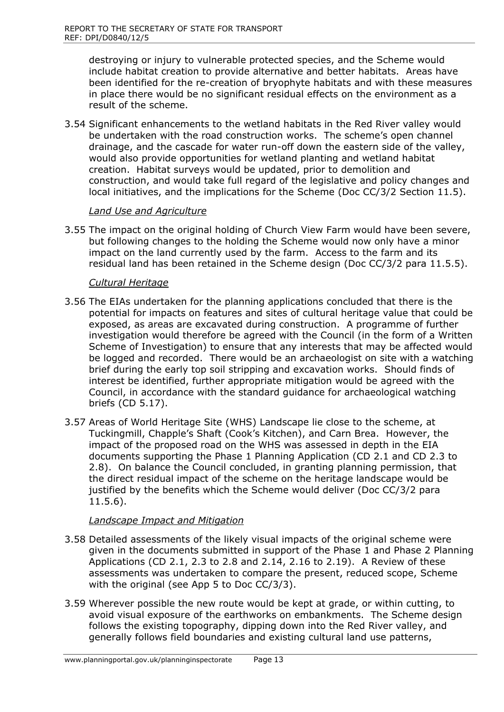destroying or injury to vulnerable protected species, and the Scheme would include habitat creation to provide alternative and better habitats. Areas have been identified for the re-creation of bryophyte habitats and with these measures in place there would be no significant residual effects on the environment as a result of the scheme.

3.54 Significant enhancements to the wetland habitats in the Red River valley would be undertaken with the road construction works. The scheme's open channel drainage, and the cascade for water run-off down the eastern side of the valley, would also provide opportunities for wetland planting and wetland habitat creation. Habitat surveys would be updated, prior to demolition and construction, and would take full regard of the legislative and policy changes and local initiatives, and the implications for the Scheme (Doc CC/3/2 Section 11.5).

#### *Land Use and Agriculture*

3.55 The impact on the original holding of Church View Farm would have been severe, but following changes to the holding the Scheme would now only have a minor impact on the land currently used by the farm. Access to the farm and its residual land has been retained in the Scheme design (Doc CC/3/2 para 11.5.5).

#### *Cultural Heritage*

- 3.56 The EIAs undertaken for the planning applications concluded that there is the potential for impacts on features and sites of cultural heritage value that could be exposed, as areas are excavated during construction. A programme of further investigation would therefore be agreed with the Council (in the form of a Written Scheme of Investigation) to ensure that any interests that may be affected would be logged and recorded. There would be an archaeologist on site with a watching brief during the early top soil stripping and excavation works. Should finds of interest be identified, further appropriate mitigation would be agreed with the Council, in accordance with the standard guidance for archaeological watching briefs (CD 5.17).
- 3.57 Areas of World Heritage Site (WHS) Landscape lie close to the scheme, at Tuckingmill, Chapple's Shaft (Cook's Kitchen), and Carn Brea. However, the impact of the proposed road on the WHS was assessed in depth in the EIA documents supporting the Phase 1 Planning Application (CD 2.1 and CD 2.3 to 2.8). On balance the Council concluded, in granting planning permission, that the direct residual impact of the scheme on the heritage landscape would be justified by the benefits which the Scheme would deliver (Doc CC/3/2 para 11.5.6).

#### *Landscape Impact and Mitigation*

- 3.58 Detailed assessments of the likely visual impacts of the original scheme were given in the documents submitted in support of the Phase 1 and Phase 2 Planning Applications (CD 2.1, 2.3 to 2.8 and 2.14, 2.16 to 2.19). A Review of these assessments was undertaken to compare the present, reduced scope, Scheme with the original (see App 5 to Doc CC/3/3).
- 3.59 Wherever possible the new route would be kept at grade, or within cutting, to avoid visual exposure of the earthworks on embankments. The Scheme design follows the existing topography, dipping down into the Red River valley, and generally follows field boundaries and existing cultural land use patterns,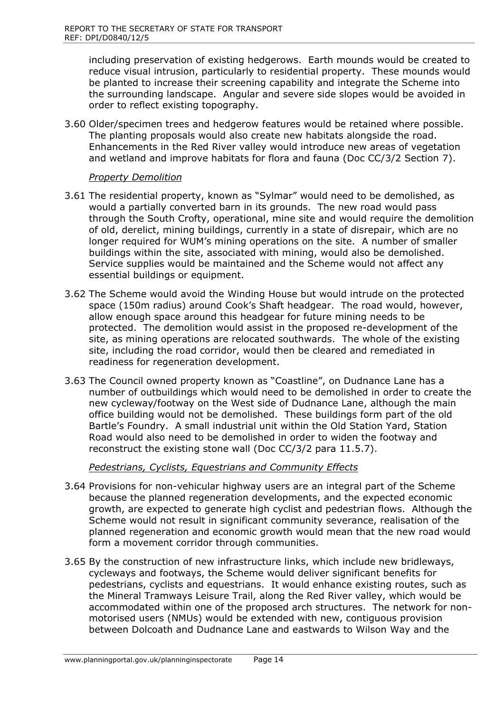including preservation of existing hedgerows. Earth mounds would be created to reduce visual intrusion, particularly to residential property. These mounds would be planted to increase their screening capability and integrate the Scheme into the surrounding landscape. Angular and severe side slopes would be avoided in order to reflect existing topography.

3.60 Older/specimen trees and hedgerow features would be retained where possible. The planting proposals would also create new habitats alongside the road. Enhancements in the Red River valley would introduce new areas of vegetation and wetland and improve habitats for flora and fauna (Doc CC/3/2 Section 7).

#### *Property Demolition*

- 3.61 The residential property, known as "Sylmar" would need to be demolished, as would a partially converted barn in its grounds. The new road would pass through the South Crofty, operational, mine site and would require the demolition of old, derelict, mining buildings, currently in a state of disrepair, which are no longer required for WUM's mining operations on the site. A number of smaller buildings within the site, associated with mining, would also be demolished. Service supplies would be maintained and the Scheme would not affect any essential buildings or equipment.
- 3.62 The Scheme would avoid the Winding House but would intrude on the protected space (150m radius) around Cook's Shaft headgear. The road would, however, allow enough space around this headgear for future mining needs to be protected. The demolition would assist in the proposed re-development of the site, as mining operations are relocated southwards. The whole of the existing site, including the road corridor, would then be cleared and remediated in readiness for regeneration development.
- 3.63 The Council owned property known as "Coastline", on Dudnance Lane has a number of outbuildings which would need to be demolished in order to create the new cycleway/footway on the West side of Dudnance Lane, although the main office building would not be demolished. These buildings form part of the old Bartle's Foundry. A small industrial unit within the Old Station Yard, Station Road would also need to be demolished in order to widen the footway and reconstruct the existing stone wall (Doc CC/3/2 para 11.5.7).

## *Pedestrians, Cyclists, Equestrians and Community Effects*

- 3.64 Provisions for non-vehicular highway users are an integral part of the Scheme because the planned regeneration developments, and the expected economic growth, are expected to generate high cyclist and pedestrian flows. Although the Scheme would not result in significant community severance, realisation of the planned regeneration and economic growth would mean that the new road would form a movement corridor through communities.
- 3.65 By the construction of new infrastructure links, which include new bridleways, cycleways and footways, the Scheme would deliver significant benefits for pedestrians, cyclists and equestrians. It would enhance existing routes, such as the Mineral Tramways Leisure Trail, along the Red River valley, which would be accommodated within one of the proposed arch structures. The network for nonmotorised users (NMUs) would be extended with new, contiguous provision between Dolcoath and Dudnance Lane and eastwards to Wilson Way and the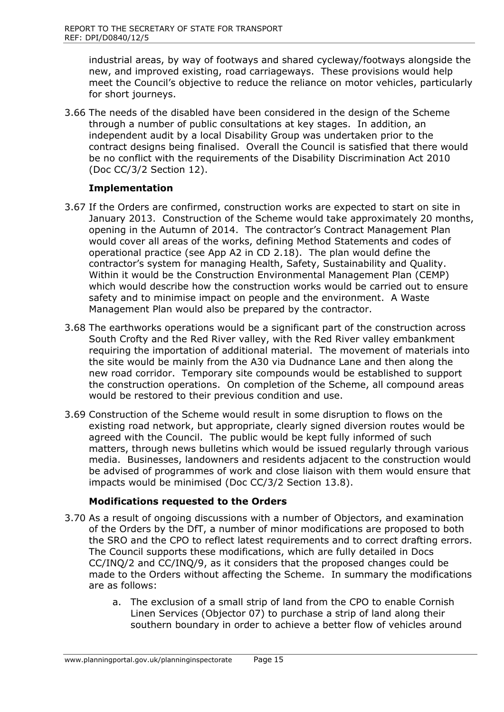industrial areas, by way of footways and shared cycleway/footways alongside the new, and improved existing, road carriageways. These provisions would help meet the Council's objective to reduce the reliance on motor vehicles, particularly for short journeys.

3.66 The needs of the disabled have been considered in the design of the Scheme through a number of public consultations at key stages. In addition, an independent audit by a local Disability Group was undertaken prior to the contract designs being finalised. Overall the Council is satisfied that there would be no conflict with the requirements of the Disability Discrimination Act 2010 (Doc CC/3/2 Section 12).

## **Implementation**

- 3.67 If the Orders are confirmed, construction works are expected to start on site in January 2013. Construction of the Scheme would take approximately 20 months, opening in the Autumn of 2014. The contractor's Contract Management Plan would cover all areas of the works, defining Method Statements and codes of operational practice (see App A2 in CD 2.18). The plan would define the contractor's system for managing Health, Safety, Sustainability and Quality. Within it would be the Construction Environmental Management Plan (CEMP) which would describe how the construction works would be carried out to ensure safety and to minimise impact on people and the environment. A Waste Management Plan would also be prepared by the contractor.
- 3.68 The earthworks operations would be a significant part of the construction across South Crofty and the Red River valley, with the Red River valley embankment requiring the importation of additional material. The movement of materials into the site would be mainly from the A30 via Dudnance Lane and then along the new road corridor. Temporary site compounds would be established to support the construction operations. On completion of the Scheme, all compound areas would be restored to their previous condition and use.
- 3.69 Construction of the Scheme would result in some disruption to flows on the existing road network, but appropriate, clearly signed diversion routes would be agreed with the Council. The public would be kept fully informed of such matters, through news bulletins which would be issued regularly through various media. Businesses, landowners and residents adjacent to the construction would be advised of programmes of work and close liaison with them would ensure that impacts would be minimised (Doc CC/3/2 Section 13.8).

## **Modifications requested to the Orders**

- 3.70 As a result of ongoing discussions with a number of Objectors, and examination of the Orders by the DfT, a number of minor modifications are proposed to both the SRO and the CPO to reflect latest requirements and to correct drafting errors. The Council supports these modifications, which are fully detailed in Docs CC/INQ/2 and CC/INQ/9, as it considers that the proposed changes could be made to the Orders without affecting the Scheme. In summary the modifications are as follows:
	- a. The exclusion of a small strip of land from the CPO to enable Cornish Linen Services (Objector 07) to purchase a strip of land along their southern boundary in order to achieve a better flow of vehicles around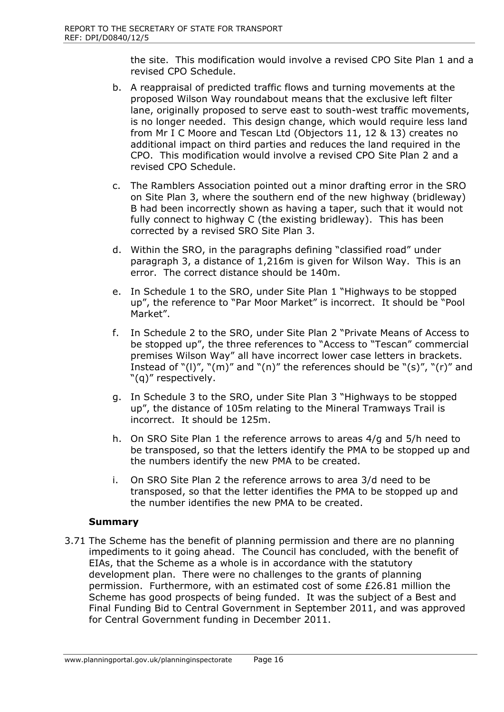the site. This modification would involve a revised CPO Site Plan 1 and a revised CPO Schedule.

- b. A reappraisal of predicted traffic flows and turning movements at the proposed Wilson Way roundabout means that the exclusive left filter lane, originally proposed to serve east to south-west traffic movements, is no longer needed. This design change, which would require less land from Mr I C Moore and Tescan Ltd (Objectors 11, 12 & 13) creates no additional impact on third parties and reduces the land required in the CPO. This modification would involve a revised CPO Site Plan 2 and a revised CPO Schedule.
- c. The Ramblers Association pointed out a minor drafting error in the SRO on Site Plan 3, where the southern end of the new highway (bridleway) B had been incorrectly shown as having a taper, such that it would not fully connect to highway C (the existing bridleway). This has been corrected by a revised SRO Site Plan 3.
- d. Within the SRO, in the paragraphs defining "classified road" under paragraph 3, a distance of 1,216m is given for Wilson Way. This is an error. The correct distance should be 140m.
- e. In Schedule 1 to the SRO, under Site Plan 1 "Highways to be stopped up", the reference to "Par Moor Market" is incorrect. It should be "Pool Market".
- f. In Schedule 2 to the SRO, under Site Plan 2 "Private Means of Access to be stopped up", the three references to "Access to "Tescan" commercial premises Wilson Way" all have incorrect lower case letters in brackets. Instead of " $(1)$ ", " $(m)$ " and " $(n)$ " the references should be " $(s)$ ", " $(r)$ " and "(q)" respectively.
- g. In Schedule 3 to the SRO, under Site Plan 3 "Highways to be stopped up", the distance of 105m relating to the Mineral Tramways Trail is incorrect. It should be 125m.
- h. On SRO Site Plan 1 the reference arrows to areas 4/g and 5/h need to be transposed, so that the letters identify the PMA to be stopped up and the numbers identify the new PMA to be created.
- i. On SRO Site Plan 2 the reference arrows to area 3/d need to be transposed, so that the letter identifies the PMA to be stopped up and the number identifies the new PMA to be created.

#### **Summary**

3.71 The Scheme has the benefit of planning permission and there are no planning impediments to it going ahead. The Council has concluded, with the benefit of EIAs, that the Scheme as a whole is in accordance with the statutory development plan. There were no challenges to the grants of planning permission. Furthermore, with an estimated cost of some £26.81 million the Scheme has good prospects of being funded. It was the subject of a Best and Final Funding Bid to Central Government in September 2011, and was approved for Central Government funding in December 2011.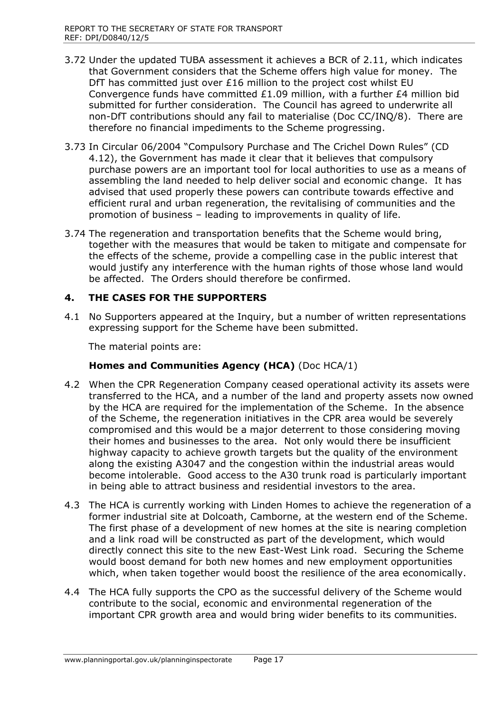- 3.72 Under the updated TUBA assessment it achieves a BCR of 2.11, which indicates that Government considers that the Scheme offers high value for money. The DfT has committed just over £16 million to the project cost whilst EU Convergence funds have committed £1.09 million, with a further £4 million bid submitted for further consideration. The Council has agreed to underwrite all non-DfT contributions should any fail to materialise (Doc CC/INQ/8). There are therefore no financial impediments to the Scheme progressing.
- 3.73 In Circular 06/2004 "Compulsory Purchase and The Crichel Down Rules" (CD 4.12), the Government has made it clear that it believes that compulsory purchase powers are an important tool for local authorities to use as a means of assembling the land needed to help deliver social and economic change. It has advised that used properly these powers can contribute towards effective and efficient rural and urban regeneration, the revitalising of communities and the promotion of business – leading to improvements in quality of life.
- 3.74 The regeneration and transportation benefits that the Scheme would bring, together with the measures that would be taken to mitigate and compensate for the effects of the scheme, provide a compelling case in the public interest that would justify any interference with the human rights of those whose land would be affected. The Orders should therefore be confirmed.

## **4. THE CASES FOR THE SUPPORTERS**

4.1 No Supporters appeared at the Inquiry, but a number of written representations expressing support for the Scheme have been submitted.

The material points are:

## **Homes and Communities Agency (HCA)** (Doc HCA/1)

- 4.2 When the CPR Regeneration Company ceased operational activity its assets were transferred to the HCA, and a number of the land and property assets now owned by the HCA are required for the implementation of the Scheme. In the absence of the Scheme, the regeneration initiatives in the CPR area would be severely compromised and this would be a major deterrent to those considering moving their homes and businesses to the area. Not only would there be insufficient highway capacity to achieve growth targets but the quality of the environment along the existing A3047 and the congestion within the industrial areas would become intolerable. Good access to the A30 trunk road is particularly important in being able to attract business and residential investors to the area.
- 4.3 The HCA is currently working with Linden Homes to achieve the regeneration of a former industrial site at Dolcoath, Camborne, at the western end of the Scheme. The first phase of a development of new homes at the site is nearing completion and a link road will be constructed as part of the development, which would directly connect this site to the new East-West Link road. Securing the Scheme would boost demand for both new homes and new employment opportunities which, when taken together would boost the resilience of the area economically.
- 4.4 The HCA fully supports the CPO as the successful delivery of the Scheme would contribute to the social, economic and environmental regeneration of the important CPR growth area and would bring wider benefits to its communities.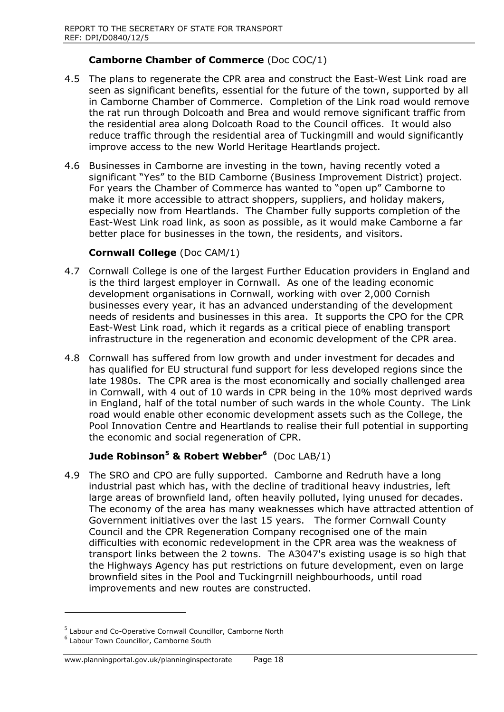## **Camborne Chamber of Commerce** (Doc COC/1)

- 4.5 The plans to regenerate the CPR area and construct the East-West Link road are seen as significant benefits, essential for the future of the town, supported by all in Camborne Chamber of Commerce. Completion of the Link road would remove the rat run through Dolcoath and Brea and would remove significant traffic from the residential area along Dolcoath Road to the Council offices. It would also reduce traffic through the residential area of Tuckingmill and would significantly improve access to the new World Heritage Heartlands project.
- 4.6 Businesses in Camborne are investing in the town, having recently voted a significant "Yes" to the BID Camborne (Business Improvement District) project. For years the Chamber of Commerce has wanted to "open up" Camborne to make it more accessible to attract shoppers, suppliers, and holiday makers, especially now from Heartlands. The Chamber fully supports completion of the East-West Link road link, as soon as possible, as it would make Camborne a far better place for businesses in the town, the residents, and visitors.

## **Cornwall College** (Doc CAM/1)

- 4.7 Cornwall College is one of the largest Further Education providers in England and is the third largest employer in Cornwall. As one of the leading economic development organisations in Cornwall, working with over 2,000 Cornish businesses every year, it has an advanced understanding of the development needs of residents and businesses in this area. It supports the CPO for the CPR East-West Link road, which it regards as a critical piece of enabling transport infrastructure in the regeneration and economic development of the CPR area.
- 4.8 Cornwall has suffered from low growth and under investment for decades and has qualified for EU structural fund support for less developed regions since the late 1980s. The CPR area is the most economically and socially challenged area in Cornwall, with 4 out of 10 wards in CPR being in the 10% most deprived wards in England, half of the total number of such wards in the whole County. The Link road would enable other economic development assets such as the College, the Pool Innovation Centre and Heartlands to realise their full potential in supporting the economic and social regeneration of CPR.

# **Jude Robinson<sup>5</sup> & Robert Webber<sup>6</sup>** (Doc LAB/1)

4.9 The SRO and CPO are fully supported. Camborne and Redruth have a long industrial past which has, with the decline of traditional heavy industries, left large areas of brownfield land, often heavily polluted, lying unused for decades. The economy of the area has many weaknesses which have attracted attention of Government initiatives over the last 15 years. The former Cornwall County Council and the CPR Regeneration Company recognised one of the main difficulties with economic redevelopment in the CPR area was the weakness of transport links between the 2 towns. The A3047's existing usage is so high that the Highways Agency has put restrictions on future development, even on large brownfield sites in the Pool and Tuckingrnill neighbourhoods, until road improvements and new routes are constructed.

 $\overline{a}$ 

<sup>&</sup>lt;sup>5</sup> Labour and Co-Operative Cornwall Councillor, Camborne North

<sup>6</sup> Labour Town Councillor, Camborne South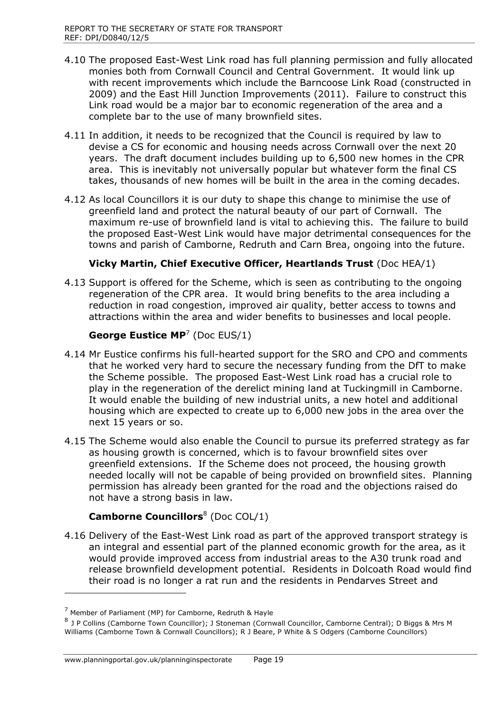- 4.10 The proposed East-West Link road has full planning permission and fully allocated monies both from Cornwall Council and Central Government. It would link up with recent improvements which include the Barncoose Link Road (constructed in 2009) and the East Hill Junction Improvements (2011). Failure to construct this Link road would be a major bar to economic regeneration of the area and a complete bar to the use of many brownfield sites.
- 4.11 In addition, it needs to be recognized that the Council is required by law to devise a CS for economic and housing needs across Cornwall over the next 20 years. The draft document includes building up to 6,500 new homes in the CPR area. This is inevitably not universally popular but whatever form the final CS takes, thousands of new homes will be built in the area in the coming decades.
- 4.12 As local Councillors it is our duty to shape this change to minimise the use of greenfield land and protect the natural beauty of our part of Cornwall. The maximum re-use of brownfield land is vital to achieving this. The failure to build the proposed East-West Link would have major detrimental consequences for the towns and parish of Camborne, Redruth and Carn Brea, ongoing into the future.

## **Vicky Martin, Chief Executive Officer, Heartlands Trust** (Doc HEA/1)

4.13 Support is offered for the Scheme, which is seen as contributing to the ongoing regeneration of the CPR area. It would bring benefits to the area including a reduction in road congestion, improved air quality, better access to towns and attractions within the area and wider benefits to businesses and local people.

#### **George Eustice MP**<sup>7</sup> (Doc EUS/1)

- 4.14 Mr Eustice confirms his full-hearted support for the SRO and CPO and comments that he worked very hard to secure the necessary funding from the DfT to make the Scheme possible. The proposed East-West Link road has a crucial role to play in the regeneration of the derelict mining land at Tuckingmill in Camborne. It would enable the building of new industrial units, a new hotel and additional housing which are expected to create up to 6,000 new jobs in the area over the next 15 years or so.
- 4.15 The Scheme would also enable the Council to pursue its preferred strategy as far as housing growth is concerned, which is to favour brownfield sites over greenfield extensions. If the Scheme does not proceed, the housing growth needed locally will not be capable of being provided on brownfield sites. Planning permission has already been granted for the road and the objections raised do not have a strong basis in law.

## **Camborne Councillors**<sup>8</sup> (Doc COL/1)

4.16 Delivery of the East-West Link road as part of the approved transport strategy is an integral and essential part of the planned economic growth for the area, as it would provide improved access from industrial areas to the A30 trunk road and release brownfield development potential. Residents in Dolcoath Road would find their road is no longer a rat run and the residents in Pendarves Street and

 $\overline{a}$ 

 $7$  Member of Parliament (MP) for Camborne, Redruth & Hayle

<sup>&</sup>lt;sup>8</sup> J P Collins (Camborne Town Councillor); J Stoneman (Cornwall Councillor, Camborne Central); D Biggs & Mrs M Williams (Camborne Town & Cornwall Councillors); R J Beare, P White & S Odgers (Camborne Councillors)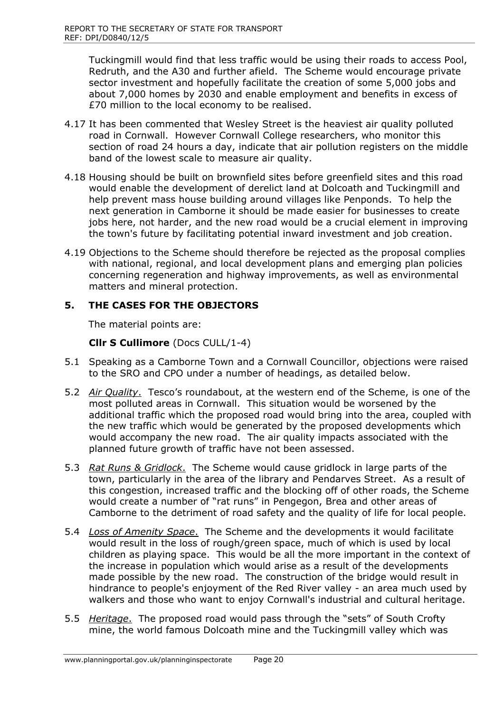Tuckingmill would find that less traffic would be using their roads to access Pool, Redruth, and the A30 and further afield. The Scheme would encourage private sector investment and hopefully facilitate the creation of some 5,000 jobs and about 7,000 homes by 2030 and enable employment and benefits in excess of £70 million to the local economy to be realised.

- 4.17 It has been commented that Wesley Street is the heaviest air quality polluted road in Cornwall. However Cornwall College researchers, who monitor this section of road 24 hours a day, indicate that air pollution registers on the middle band of the lowest scale to measure air quality.
- 4.18 Housing should be built on brownfield sites before greenfield sites and this road would enable the development of derelict land at Dolcoath and Tuckingmill and help prevent mass house building around villages like Penponds. To help the next generation in Camborne it should be made easier for businesses to create jobs here, not harder, and the new road would be a crucial element in improving the town's future by facilitating potential inward investment and job creation.
- 4.19 Objections to the Scheme should therefore be rejected as the proposal complies with national, regional, and local development plans and emerging plan policies concerning regeneration and highway improvements, as well as environmental matters and mineral protection.

## **5. THE CASES FOR THE OBJECTORS**

The material points are:

**Cllr S Cullimore** (Docs CULL/1-4)

- 5.1 Speaking as a Camborne Town and a Cornwall Councillor, objections were raised to the SRO and CPO under a number of headings, as detailed below.
- 5.2 *Air Quality*. Tesco's roundabout, at the western end of the Scheme, is one of the most polluted areas in Cornwall. This situation would be worsened by the additional traffic which the proposed road would bring into the area, coupled with the new traffic which would be generated by the proposed developments which would accompany the new road. The air quality impacts associated with the planned future growth of traffic have not been assessed.
- 5.3 *Rat Runs & Gridlock*. The Scheme would cause gridlock in large parts of the town, particularly in the area of the library and Pendarves Street. As a result of this congestion, increased traffic and the blocking off of other roads, the Scheme would create a number of "rat runs" in Pengegon, Brea and other areas of Camborne to the detriment of road safety and the quality of life for local people.
- 5.4 *Loss of Amenity Space*. The Scheme and the developments it would facilitate would result in the loss of rough/green space, much of which is used by local children as playing space. This would be all the more important in the context of the increase in population which would arise as a result of the developments made possible by the new road. The construction of the bridge would result in hindrance to people's enjoyment of the Red River valley - an area much used by walkers and those who want to enjoy Cornwall's industrial and cultural heritage.
- 5.5 *Heritage*. The proposed road would pass through the "sets" of South Crofty mine, the world famous Dolcoath mine and the Tuckingmill valley which was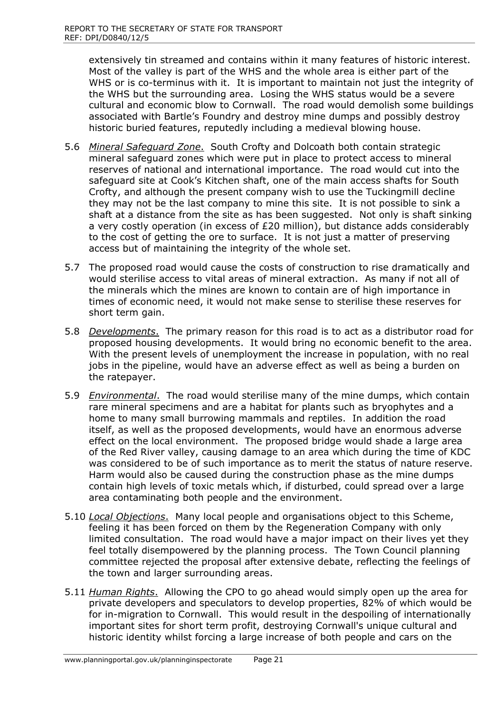extensively tin streamed and contains within it many features of historic interest. Most of the valley is part of the WHS and the whole area is either part of the WHS or is co-terminus with it. It is important to maintain not just the integrity of the WHS but the surrounding area. Losing the WHS status would be a severe cultural and economic blow to Cornwall. The road would demolish some buildings associated with Bartle's Foundry and destroy mine dumps and possibly destroy historic buried features, reputedly including a medieval blowing house.

- 5.6 *Mineral Safeguard Zone*. South Crofty and Dolcoath both contain strategic mineral safeguard zones which were put in place to protect access to mineral reserves of national and international importance. The road would cut into the safeguard site at Cook's Kitchen shaft, one of the main access shafts for South Crofty, and although the present company wish to use the Tuckingmill decline they may not be the last company to mine this site. It is not possible to sink a shaft at a distance from the site as has been suggested. Not only is shaft sinking a very costly operation (in excess of £20 million), but distance adds considerably to the cost of getting the ore to surface. It is not just a matter of preserving access but of maintaining the integrity of the whole set.
- 5.7 The proposed road would cause the costs of construction to rise dramatically and would sterilise access to vital areas of mineral extraction. As many if not all of the minerals which the mines are known to contain are of high importance in times of economic need, it would not make sense to sterilise these reserves for short term gain.
- 5.8 *Developments*. The primary reason for this road is to act as a distributor road for proposed housing developments. It would bring no economic benefit to the area. With the present levels of unemployment the increase in population, with no real jobs in the pipeline, would have an adverse effect as well as being a burden on the ratepayer.
- 5.9 *Environmental*. The road would sterilise many of the mine dumps, which contain rare mineral specimens and are a habitat for plants such as bryophytes and a home to many small burrowing mammals and reptiles. In addition the road itself, as well as the proposed developments, would have an enormous adverse effect on the local environment. The proposed bridge would shade a large area of the Red River valley, causing damage to an area which during the time of KDC was considered to be of such importance as to merit the status of nature reserve. Harm would also be caused during the construction phase as the mine dumps contain high levels of toxic metals which, if disturbed, could spread over a large area contaminating both people and the environment.
- 5.10 *Local Objections*. Many local people and organisations object to this Scheme, feeling it has been forced on them by the Regeneration Company with only limited consultation. The road would have a major impact on their lives yet they feel totally disempowered by the planning process. The Town Council planning committee rejected the proposal after extensive debate, reflecting the feelings of the town and larger surrounding areas.
- 5.11 *Human Rights*. Allowing the CPO to go ahead would simply open up the area for private developers and speculators to develop properties, 82% of which would be for in-migration to Cornwall. This would result in the despoiling of internationally important sites for short term profit, destroying Cornwall's unique cultural and historic identity whilst forcing a large increase of both people and cars on the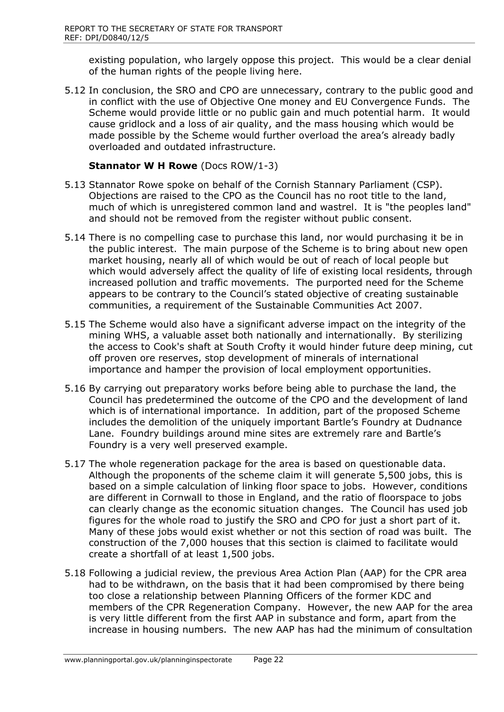existing population, who largely oppose this project. This would be a clear denial of the human rights of the people living here.

5.12 In conclusion, the SRO and CPO are unnecessary, contrary to the public good and in conflict with the use of Objective One money and EU Convergence Funds. The Scheme would provide little or no public gain and much potential harm. It would cause gridlock and a loss of air quality, and the mass housing which would be made possible by the Scheme would further overload the area's already badly overloaded and outdated infrastructure.

## **Stannator W H Rowe** (Docs ROW/1-3)

- 5.13 Stannator Rowe spoke on behalf of the Cornish Stannary Parliament (CSP). Objections are raised to the CPO as the Council has no root title to the land, much of which is unregistered common land and wastrel. It is "the peoples land" and should not be removed from the register without public consent.
- 5.14 There is no compelling case to purchase this land, nor would purchasing it be in the public interest. The main purpose of the Scheme is to bring about new open market housing, nearly all of which would be out of reach of local people but which would adversely affect the quality of life of existing local residents, through increased pollution and traffic movements. The purported need for the Scheme appears to be contrary to the Council's stated objective of creating sustainable communities, a requirement of the Sustainable Communities Act 2007.
- 5.15 The Scheme would also have a significant adverse impact on the integrity of the mining WHS, a valuable asset both nationally and internationally. By sterilizing the access to Cook's shaft at South Crofty it would hinder future deep mining, cut off proven ore reserves, stop development of minerals of international importance and hamper the provision of local employment opportunities.
- 5.16 By carrying out preparatory works before being able to purchase the land, the Council has predetermined the outcome of the CPO and the development of land which is of international importance. In addition, part of the proposed Scheme includes the demolition of the uniquely important Bartle's Foundry at Dudnance Lane. Foundry buildings around mine sites are extremely rare and Bartle's Foundry is a very well preserved example.
- 5.17 The whole regeneration package for the area is based on questionable data. Although the proponents of the scheme claim it will generate 5,500 jobs, this is based on a simple calculation of linking floor space to jobs. However, conditions are different in Cornwall to those in England, and the ratio of floorspace to jobs can clearly change as the economic situation changes. The Council has used job figures for the whole road to justify the SRO and CPO for just a short part of it. Many of these jobs would exist whether or not this section of road was built. The construction of the 7,000 houses that this section is claimed to facilitate would create a shortfall of at least 1,500 jobs.
- 5.18 Following a judicial review, the previous Area Action Plan (AAP) for the CPR area had to be withdrawn, on the basis that it had been compromised by there being too close a relationship between Planning Officers of the former KDC and members of the CPR Regeneration Company. However, the new AAP for the area is very little different from the first AAP in substance and form, apart from the increase in housing numbers. The new AAP has had the minimum of consultation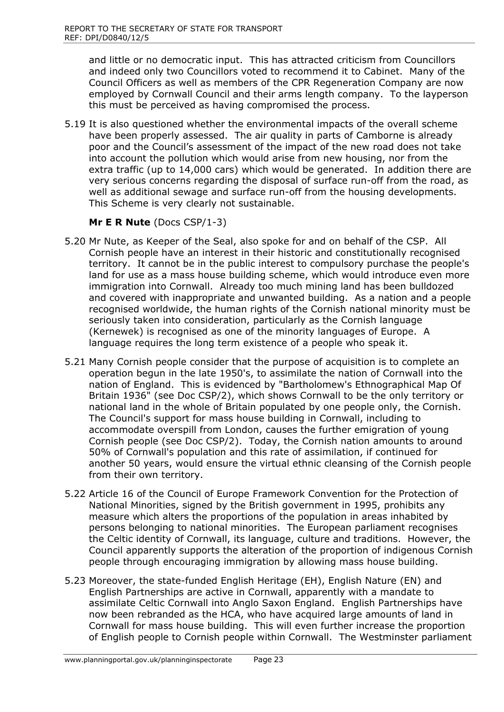and little or no democratic input. This has attracted criticism from Councillors and indeed only two Councillors voted to recommend it to Cabinet. Many of the Council Officers as well as members of the CPR Regeneration Company are now employed by Cornwall Council and their arms length company. To the layperson this must be perceived as having compromised the process.

5.19 It is also questioned whether the environmental impacts of the overall scheme have been properly assessed. The air quality in parts of Camborne is already poor and the Council's assessment of the impact of the new road does not take into account the pollution which would arise from new housing, nor from the extra traffic (up to 14,000 cars) which would be generated. In addition there are very serious concerns regarding the disposal of surface run-off from the road, as well as additional sewage and surface run-off from the housing developments. This Scheme is very clearly not sustainable.

## **Mr E R Nute** (Docs CSP/1-3)

- 5.20 Mr Nute, as Keeper of the Seal, also spoke for and on behalf of the CSP. All Cornish people have an interest in their historic and constitutionally recognised territory. It cannot be in the public interest to compulsory purchase the people's land for use as a mass house building scheme, which would introduce even more immigration into Cornwall. Already too much mining land has been bulldozed and covered with inappropriate and unwanted building. As a nation and a people recognised worldwide, the human rights of the Cornish national minority must be seriously taken into consideration, particularly as the Cornish language (Kernewek) is recognised as one of the minority languages of Europe. A language requires the long term existence of a people who speak it.
- 5.21 Many Cornish people consider that the purpose of acquisition is to complete an operation begun in the late 1950's, to assimilate the nation of Cornwall into the nation of England. This is evidenced by "Bartholomew's Ethnographical Map Of Britain 1936" (see Doc CSP/2), which shows Cornwall to be the only territory or national land in the whole of Britain populated by one people only, the Cornish. The Council's support for mass house building in Cornwall, including to accommodate overspill from London, causes the further emigration of young Cornish people (see Doc CSP/2). Today, the Cornish nation amounts to around 50% of Cornwall's population and this rate of assimilation, if continued for another 50 years, would ensure the virtual ethnic cleansing of the Cornish people from their own territory.
- 5.22 Article 16 of the Council of Europe Framework Convention for the Protection of National Minorities, signed by the British government in 1995, prohibits any measure which alters the proportions of the population in areas inhabited by persons belonging to national minorities. The European parliament recognises the Celtic identity of Cornwall, its language, culture and traditions. However, the Council apparently supports the alteration of the proportion of indigenous Cornish people through encouraging immigration by allowing mass house building.
- 5.23 Moreover, the state-funded English Heritage (EH), English Nature (EN) and English Partnerships are active in Cornwall, apparently with a mandate to assimilate Celtic Cornwall into Anglo Saxon England. English Partnerships have now been rebranded as the HCA, who have acquired large amounts of land in Cornwall for mass house building. This will even further increase the proportion of English people to Cornish people within Cornwall. The Westminster parliament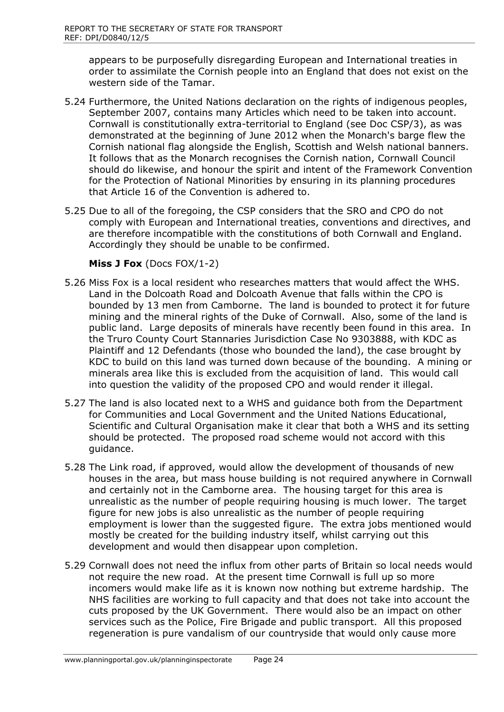appears to be purposefully disregarding European and International treaties in order to assimilate the Cornish people into an England that does not exist on the western side of the Tamar.

- 5.24 Furthermore, the United Nations declaration on the rights of indigenous peoples, September 2007, contains many Articles which need to be taken into account. Cornwall is constitutionally extra-territorial to England (see Doc CSP/3), as was demonstrated at the beginning of June 2012 when the Monarch's barge flew the Cornish national flag alongside the English, Scottish and Welsh national banners. It follows that as the Monarch recognises the Cornish nation, Cornwall Council should do likewise, and honour the spirit and intent of the Framework Convention for the Protection of National Minorities by ensuring in its planning procedures that Article 16 of the Convention is adhered to.
- 5.25 Due to all of the foregoing, the CSP considers that the SRO and CPO do not comply with European and International treaties, conventions and directives, and are therefore incompatible with the constitutions of both Cornwall and England. Accordingly they should be unable to be confirmed.

#### **Miss J Fox** (Docs FOX/1-2)

- 5.26 Miss Fox is a local resident who researches matters that would affect the WHS. Land in the Dolcoath Road and Dolcoath Avenue that falls within the CPO is bounded by 13 men from Camborne. The land is bounded to protect it for future mining and the mineral rights of the Duke of Cornwall. Also, some of the land is public land. Large deposits of minerals have recently been found in this area. In the Truro County Court Stannaries Jurisdiction Case No 9303888, with KDC as Plaintiff and 12 Defendants (those who bounded the land), the case brought by KDC to build on this land was turned down because of the bounding. A mining or minerals area like this is excluded from the acquisition of land. This would call into question the validity of the proposed CPO and would render it illegal.
- 5.27 The land is also located next to a WHS and guidance both from the Department for Communities and Local Government and the United Nations Educational, Scientific and Cultural Organisation make it clear that both a WHS and its setting should be protected. The proposed road scheme would not accord with this guidance.
- 5.28 The Link road, if approved, would allow the development of thousands of new houses in the area, but mass house building is not required anywhere in Cornwall and certainly not in the Camborne area. The housing target for this area is unrealistic as the number of people requiring housing is much lower. The target figure for new jobs is also unrealistic as the number of people requiring employment is lower than the suggested figure. The extra jobs mentioned would mostly be created for the building industry itself, whilst carrying out this development and would then disappear upon completion.
- 5.29 Cornwall does not need the influx from other parts of Britain so local needs would not require the new road. At the present time Cornwall is full up so more incomers would make life as it is known now nothing but extreme hardship. The NHS facilities are working to full capacity and that does not take into account the cuts proposed by the UK Government. There would also be an impact on other services such as the Police, Fire Brigade and public transport. All this proposed regeneration is pure vandalism of our countryside that would only cause more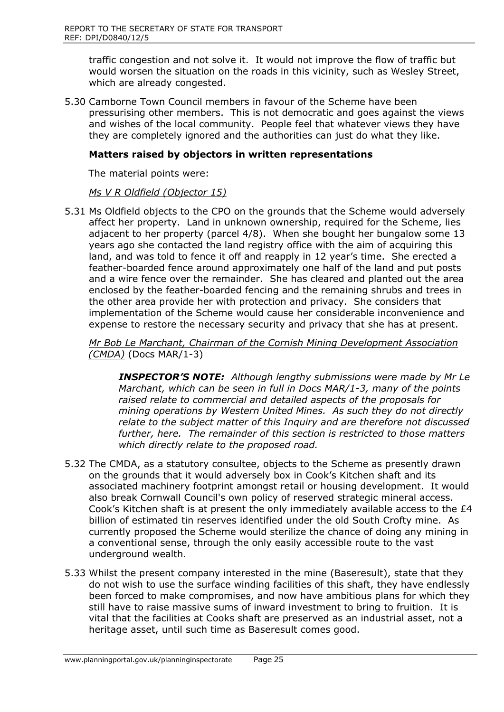traffic congestion and not solve it. It would not improve the flow of traffic but would worsen the situation on the roads in this vicinity, such as Wesley Street, which are already congested.

5.30 Camborne Town Council members in favour of the Scheme have been pressurising other members. This is not democratic and goes against the views and wishes of the local community. People feel that whatever views they have they are completely ignored and the authorities can just do what they like.

#### **Matters raised by objectors in written representations**

The material points were:

#### *Ms V R Oldfield (Objector 15)*

5.31 Ms Oldfield objects to the CPO on the grounds that the Scheme would adversely affect her property. Land in unknown ownership, required for the Scheme, lies adjacent to her property (parcel 4/8). When she bought her bungalow some 13 years ago she contacted the land registry office with the aim of acquiring this land, and was told to fence it off and reapply in 12 year's time. She erected a feather-boarded fence around approximately one half of the land and put posts and a wire fence over the remainder. She has cleared and planted out the area enclosed by the feather-boarded fencing and the remaining shrubs and trees in the other area provide her with protection and privacy. She considers that implementation of the Scheme would cause her considerable inconvenience and expense to restore the necessary security and privacy that she has at present.

*Mr Bob Le Marchant, Chairman of the Cornish Mining Development Association (CMDA)* (Docs MAR/1-3)

*INSPECTOR'S NOTE: Although lengthy submissions were made by Mr Le Marchant, which can be seen in full in Docs MAR/1-3, many of the points raised relate to commercial and detailed aspects of the proposals for mining operations by Western United Mines. As such they do not directly relate to the subject matter of this Inquiry and are therefore not discussed further, here. The remainder of this section is restricted to those matters which directly relate to the proposed road.*

- 5.32 The CMDA, as a statutory consultee, objects to the Scheme as presently drawn on the grounds that it would adversely box in Cook's Kitchen shaft and its associated machinery footprint amongst retail or housing development. It would also break Cornwall Council's own policy of reserved strategic mineral access. Cook's Kitchen shaft is at present the only immediately available access to the £4 billion of estimated tin reserves identified under the old South Crofty mine. As currently proposed the Scheme would sterilize the chance of doing any mining in a conventional sense, through the only easily accessible route to the vast underground wealth.
- 5.33 Whilst the present company interested in the mine (Baseresult), state that they do not wish to use the surface winding facilities of this shaft, they have endlessly been forced to make compromises, and now have ambitious plans for which they still have to raise massive sums of inward investment to bring to fruition. It is vital that the facilities at Cooks shaft are preserved as an industrial asset, not a heritage asset, until such time as Baseresult comes good.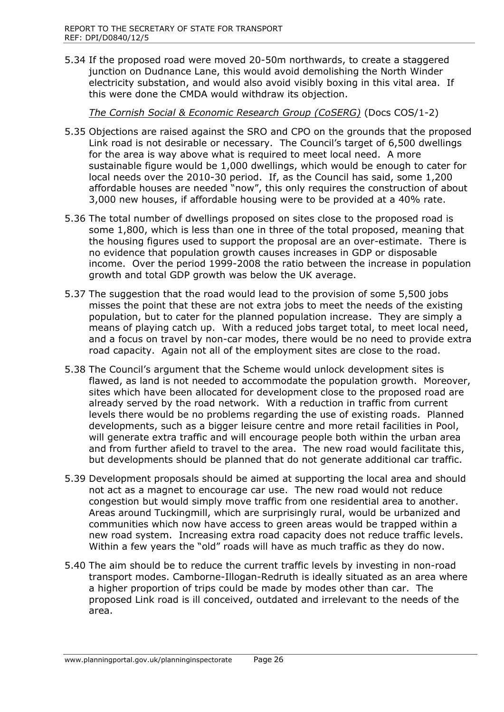5.34 If the proposed road were moved 20-50m northwards, to create a staggered junction on Dudnance Lane, this would avoid demolishing the North Winder electricity substation, and would also avoid visibly boxing in this vital area. If this were done the CMDA would withdraw its objection.

*The Cornish Social & Economic Research Group (CoSERG)* (Docs COS/1-2)

- 5.35 Objections are raised against the SRO and CPO on the grounds that the proposed Link road is not desirable or necessary. The Council's target of 6,500 dwellings for the area is way above what is required to meet local need. A more sustainable figure would be 1,000 dwellings, which would be enough to cater for local needs over the 2010-30 period. If, as the Council has said, some 1,200 affordable houses are needed "now", this only requires the construction of about 3,000 new houses, if affordable housing were to be provided at a 40% rate.
- 5.36 The total number of dwellings proposed on sites close to the proposed road is some 1,800, which is less than one in three of the total proposed, meaning that the housing figures used to support the proposal are an over-estimate. There is no evidence that population growth causes increases in GDP or disposable income. Over the period 1999-2008 the ratio between the increase in population growth and total GDP growth was below the UK average.
- 5.37 The suggestion that the road would lead to the provision of some 5,500 jobs misses the point that these are not extra jobs to meet the needs of the existing population, but to cater for the planned population increase. They are simply a means of playing catch up. With a reduced jobs target total, to meet local need, and a focus on travel by non-car modes, there would be no need to provide extra road capacity. Again not all of the employment sites are close to the road.
- 5.38 The Council's argument that the Scheme would unlock development sites is flawed, as land is not needed to accommodate the population growth. Moreover, sites which have been allocated for development close to the proposed road are already served by the road network. With a reduction in traffic from current levels there would be no problems regarding the use of existing roads. Planned developments, such as a bigger leisure centre and more retail facilities in Pool, will generate extra traffic and will encourage people both within the urban area and from further afield to travel to the area. The new road would facilitate this, but developments should be planned that do not generate additional car traffic.
- 5.39 Development proposals should be aimed at supporting the local area and should not act as a magnet to encourage car use. The new road would not reduce congestion but would simply move traffic from one residential area to another. Areas around Tuckingmill, which are surprisingly rural, would be urbanized and communities which now have access to green areas would be trapped within a new road system. Increasing extra road capacity does not reduce traffic levels. Within a few years the "old" roads will have as much traffic as they do now.
- 5.40 The aim should be to reduce the current traffic levels by investing in non-road transport modes. Camborne-Illogan-Redruth is ideally situated as an area where a higher proportion of trips could be made by modes other than car. The proposed Link road is ill conceived, outdated and irrelevant to the needs of the area.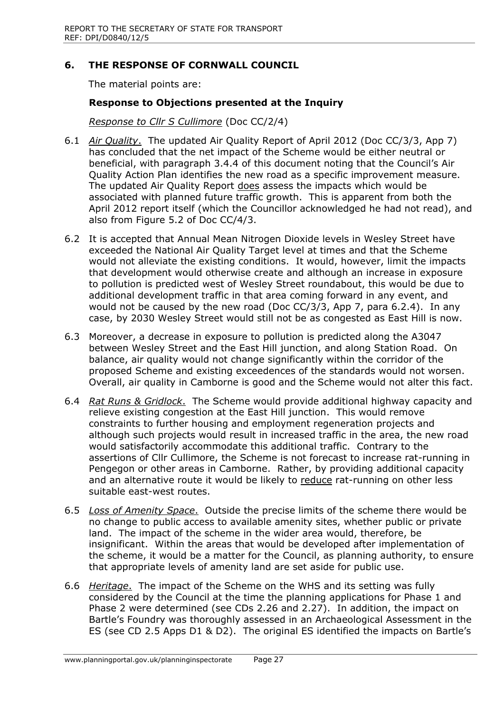## **6. THE RESPONSE OF CORNWALL COUNCIL**

The material points are:

## **Response to Objections presented at the Inquiry**

*Response to Cllr S Cullimore* (Doc CC/2/4)

- 6.1 *Air Quality*. The updated Air Quality Report of April 2012 (Doc CC/3/3, App 7) has concluded that the net impact of the Scheme would be either neutral or beneficial, with paragraph 3.4.4 of this document noting that the Council's Air Quality Action Plan identifies the new road as a specific improvement measure. The updated Air Quality Report does assess the impacts which would be associated with planned future traffic growth. This is apparent from both the April 2012 report itself (which the Councillor acknowledged he had not read), and also from Figure 5.2 of Doc CC/4/3.
- 6.2 It is accepted that Annual Mean Nitrogen Dioxide levels in Wesley Street have exceeded the National Air Quality Target level at times and that the Scheme would not alleviate the existing conditions. It would, however, limit the impacts that development would otherwise create and although an increase in exposure to pollution is predicted west of Wesley Street roundabout, this would be due to additional development traffic in that area coming forward in any event, and would not be caused by the new road (Doc CC/3/3, App 7, para 6.2.4). In any case, by 2030 Wesley Street would still not be as congested as East Hill is now.
- 6.3 Moreover, a decrease in exposure to pollution is predicted along the A3047 between Wesley Street and the East Hill junction, and along Station Road. On balance, air quality would not change significantly within the corridor of the proposed Scheme and existing exceedences of the standards would not worsen. Overall, air quality in Camborne is good and the Scheme would not alter this fact.
- 6.4 *Rat Runs & Gridlock*. The Scheme would provide additional highway capacity and relieve existing congestion at the East Hill junction. This would remove constraints to further housing and employment regeneration projects and although such projects would result in increased traffic in the area, the new road would satisfactorily accommodate this additional traffic. Contrary to the assertions of Cllr Cullimore, the Scheme is not forecast to increase rat-running in Pengegon or other areas in Camborne. Rather, by providing additional capacity and an alternative route it would be likely to reduce rat-running on other less suitable east-west routes.
- 6.5 *Loss of Amenity Space*. Outside the precise limits of the scheme there would be no change to public access to available amenity sites, whether public or private land. The impact of the scheme in the wider area would, therefore, be insignificant. Within the areas that would be developed after implementation of the scheme, it would be a matter for the Council, as planning authority, to ensure that appropriate levels of amenity land are set aside for public use.
- 6.6 *Heritage*. The impact of the Scheme on the WHS and its setting was fully considered by the Council at the time the planning applications for Phase 1 and Phase 2 were determined (see CDs 2.26 and 2.27). In addition, the impact on Bartle's Foundry was thoroughly assessed in an Archaeological Assessment in the ES (see CD 2.5 Apps D1 & D2). The original ES identified the impacts on Bartle's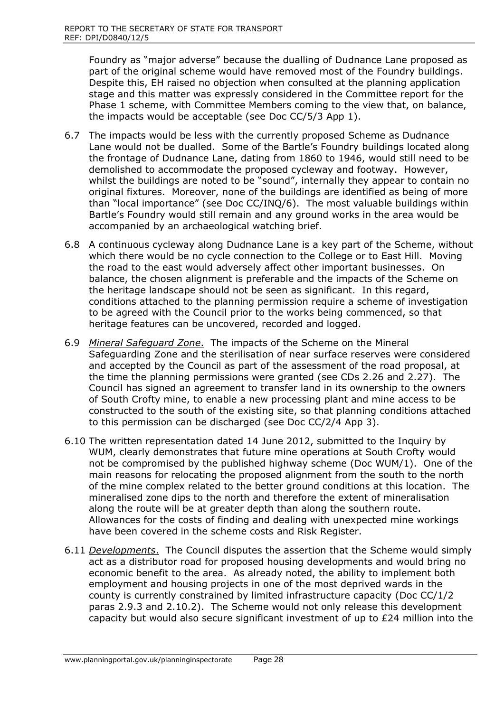Foundry as "major adverse" because the dualling of Dudnance Lane proposed as part of the original scheme would have removed most of the Foundry buildings. Despite this, EH raised no objection when consulted at the planning application stage and this matter was expressly considered in the Committee report for the Phase 1 scheme, with Committee Members coming to the view that, on balance, the impacts would be acceptable (see Doc CC/5/3 App 1).

- 6.7 The impacts would be less with the currently proposed Scheme as Dudnance Lane would not be dualled. Some of the Bartle's Foundry buildings located along the frontage of Dudnance Lane, dating from 1860 to 1946, would still need to be demolished to accommodate the proposed cycleway and footway. However, whilst the buildings are noted to be "sound", internally they appear to contain no original fixtures. Moreover, none of the buildings are identified as being of more than "local importance" (see Doc CC/INQ/6). The most valuable buildings within Bartle's Foundry would still remain and any ground works in the area would be accompanied by an archaeological watching brief.
- 6.8 A continuous cycleway along Dudnance Lane is a key part of the Scheme, without which there would be no cycle connection to the College or to East Hill. Moving the road to the east would adversely affect other important businesses. On balance, the chosen alignment is preferable and the impacts of the Scheme on the heritage landscape should not be seen as significant. In this regard, conditions attached to the planning permission require a scheme of investigation to be agreed with the Council prior to the works being commenced, so that heritage features can be uncovered, recorded and logged.
- 6.9 *Mineral Safeguard Zone*. The impacts of the Scheme on the Mineral Safeguarding Zone and the sterilisation of near surface reserves were considered and accepted by the Council as part of the assessment of the road proposal, at the time the planning permissions were granted (see CDs 2.26 and 2.27). The Council has signed an agreement to transfer land in its ownership to the owners of South Crofty mine, to enable a new processing plant and mine access to be constructed to the south of the existing site, so that planning conditions attached to this permission can be discharged (see Doc CC/2/4 App 3).
- 6.10 The written representation dated 14 June 2012, submitted to the Inquiry by WUM, clearly demonstrates that future mine operations at South Crofty would not be compromised by the published highway scheme (Doc WUM/1). One of the main reasons for relocating the proposed alignment from the south to the north of the mine complex related to the better ground conditions at this location. The mineralised zone dips to the north and therefore the extent of mineralisation along the route will be at greater depth than along the southern route. Allowances for the costs of finding and dealing with unexpected mine workings have been covered in the scheme costs and Risk Register.
- 6.11 *Developments*. The Council disputes the assertion that the Scheme would simply act as a distributor road for proposed housing developments and would bring no economic benefit to the area. As already noted, the ability to implement both employment and housing projects in one of the most deprived wards in the county is currently constrained by limited infrastructure capacity (Doc CC/1/2 paras 2.9.3 and 2.10.2). The Scheme would not only release this development capacity but would also secure significant investment of up to £24 million into the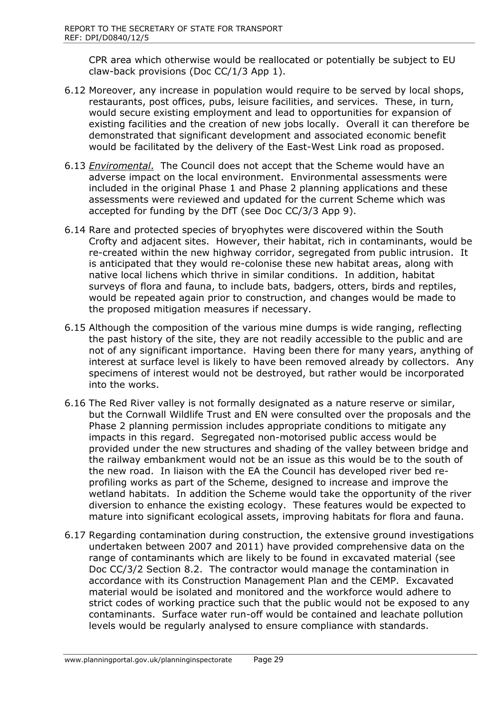CPR area which otherwise would be reallocated or potentially be subject to EU claw-back provisions (Doc CC/1/3 App 1).

- 6.12 Moreover, any increase in population would require to be served by local shops, restaurants, post offices, pubs, leisure facilities, and services. These, in turn, would secure existing employment and lead to opportunities for expansion of existing facilities and the creation of new jobs locally. Overall it can therefore be demonstrated that significant development and associated economic benefit would be facilitated by the delivery of the East-West Link road as proposed.
- 6.13 *Enviromental*. The Council does not accept that the Scheme would have an adverse impact on the local environment. Environmental assessments were included in the original Phase 1 and Phase 2 planning applications and these assessments were reviewed and updated for the current Scheme which was accepted for funding by the DfT (see Doc CC/3/3 App 9).
- 6.14 Rare and protected species of bryophytes were discovered within the South Crofty and adjacent sites. However, their habitat, rich in contaminants, would be re-created within the new highway corridor, segregated from public intrusion. It is anticipated that they would re-colonise these new habitat areas, along with native local lichens which thrive in similar conditions. In addition, habitat surveys of flora and fauna, to include bats, badgers, otters, birds and reptiles, would be repeated again prior to construction, and changes would be made to the proposed mitigation measures if necessary.
- 6.15 Although the composition of the various mine dumps is wide ranging, reflecting the past history of the site, they are not readily accessible to the public and are not of any significant importance. Having been there for many years, anything of interest at surface level is likely to have been removed already by collectors. Any specimens of interest would not be destroyed, but rather would be incorporated into the works.
- 6.16 The Red River valley is not formally designated as a nature reserve or similar, but the Cornwall Wildlife Trust and EN were consulted over the proposals and the Phase 2 planning permission includes appropriate conditions to mitigate any impacts in this regard. Segregated non-motorised public access would be provided under the new structures and shading of the valley between bridge and the railway embankment would not be an issue as this would be to the south of the new road. In liaison with the EA the Council has developed river bed reprofiling works as part of the Scheme, designed to increase and improve the wetland habitats. In addition the Scheme would take the opportunity of the river diversion to enhance the existing ecology. These features would be expected to mature into significant ecological assets, improving habitats for flora and fauna.
- 6.17 Regarding contamination during construction, the extensive ground investigations undertaken between 2007 and 2011) have provided comprehensive data on the range of contaminants which are likely to be found in excavated material (see Doc CC/3/2 Section 8.2. The contractor would manage the contamination in accordance with its Construction Management Plan and the CEMP. Excavated material would be isolated and monitored and the workforce would adhere to strict codes of working practice such that the public would not be exposed to any contaminants. Surface water run-off would be contained and leachate pollution levels would be regularly analysed to ensure compliance with standards.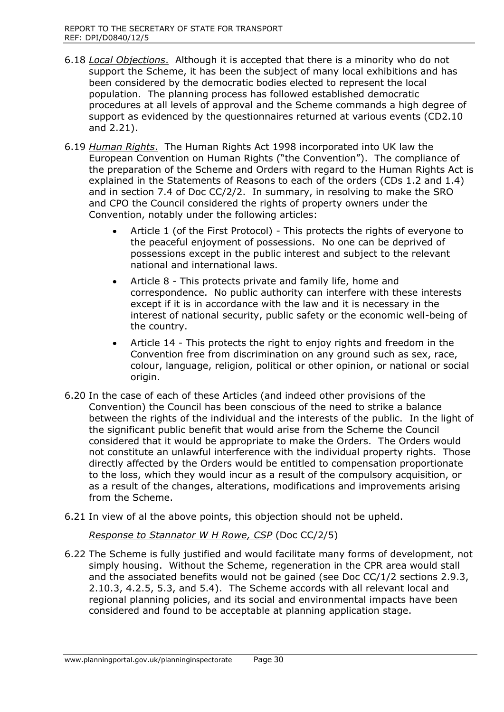- 6.18 *Local Objections*. Although it is accepted that there is a minority who do not support the Scheme, it has been the subject of many local exhibitions and has been considered by the democratic bodies elected to represent the local population. The planning process has followed established democratic procedures at all levels of approval and the Scheme commands a high degree of support as evidenced by the questionnaires returned at various events (CD2.10 and 2.21).
- 6.19 *Human Rights*. The Human Rights Act 1998 incorporated into UK law the European Convention on Human Rights ("the Convention"). The compliance of the preparation of the Scheme and Orders with regard to the Human Rights Act is explained in the Statements of Reasons to each of the orders (CDs 1.2 and 1.4) and in section 7.4 of Doc CC/2/2. In summary, in resolving to make the SRO and CPO the Council considered the rights of property owners under the Convention, notably under the following articles:
	- Article 1 (of the First Protocol) This protects the rights of everyone to the peaceful enjoyment of possessions. No one can be deprived of possessions except in the public interest and subject to the relevant national and international laws.
	- Article 8 This protects private and family life, home and correspondence. No public authority can interfere with these interests except if it is in accordance with the law and it is necessary in the interest of national security, public safety or the economic well-being of the country.
	- Article 14 This protects the right to enjoy rights and freedom in the Convention free from discrimination on any ground such as sex, race, colour, language, religion, political or other opinion, or national or social origin.
- 6.20 In the case of each of these Articles (and indeed other provisions of the Convention) the Council has been conscious of the need to strike a balance between the rights of the individual and the interests of the public. In the light of the significant public benefit that would arise from the Scheme the Council considered that it would be appropriate to make the Orders. The Orders would not constitute an unlawful interference with the individual property rights. Those directly affected by the Orders would be entitled to compensation proportionate to the loss, which they would incur as a result of the compulsory acquisition, or as a result of the changes, alterations, modifications and improvements arising from the Scheme.
- 6.21 In view of al the above points, this objection should not be upheld.

*Response to Stannator W H Rowe, CSP* (Doc CC/2/5)

6.22 The Scheme is fully justified and would facilitate many forms of development, not simply housing. Without the Scheme, regeneration in the CPR area would stall and the associated benefits would not be gained (see Doc CC/1/2 sections 2.9.3, 2.10.3, 4.2.5, 5.3, and 5.4). The Scheme accords with all relevant local and regional planning policies, and its social and environmental impacts have been considered and found to be acceptable at planning application stage.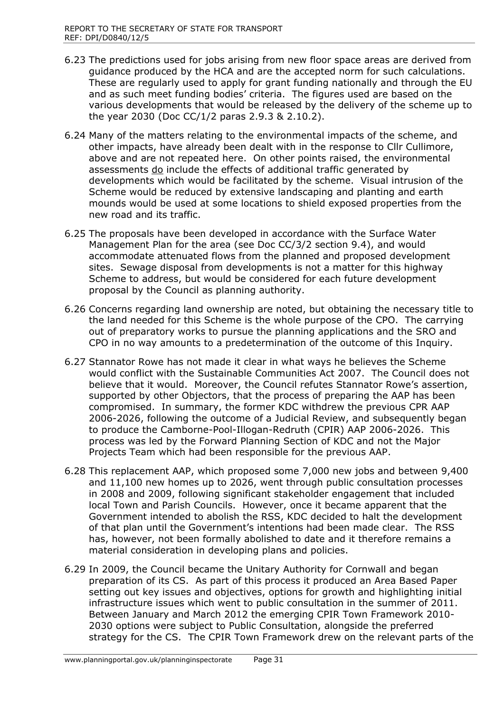- 6.23 The predictions used for jobs arising from new floor space areas are derived from guidance produced by the HCA and are the accepted norm for such calculations. These are regularly used to apply for grant funding nationally and through the EU and as such meet funding bodies' criteria. The figures used are based on the various developments that would be released by the delivery of the scheme up to the year 2030 (Doc CC/1/2 paras 2.9.3 & 2.10.2).
- 6.24 Many of the matters relating to the environmental impacts of the scheme, and other impacts, have already been dealt with in the response to Cllr Cullimore, above and are not repeated here. On other points raised, the environmental assessments do include the effects of additional traffic generated by developments which would be facilitated by the scheme. Visual intrusion of the Scheme would be reduced by extensive landscaping and planting and earth mounds would be used at some locations to shield exposed properties from the new road and its traffic.
- 6.25 The proposals have been developed in accordance with the Surface Water Management Plan for the area (see Doc CC/3/2 section 9.4), and would accommodate attenuated flows from the planned and proposed development sites. Sewage disposal from developments is not a matter for this highway Scheme to address, but would be considered for each future development proposal by the Council as planning authority.
- 6.26 Concerns regarding land ownership are noted, but obtaining the necessary title to the land needed for this Scheme is the whole purpose of the CPO. The carrying out of preparatory works to pursue the planning applications and the SRO and CPO in no way amounts to a predetermination of the outcome of this Inquiry.
- 6.27 Stannator Rowe has not made it clear in what ways he believes the Scheme would conflict with the Sustainable Communities Act 2007. The Council does not believe that it would. Moreover, the Council refutes Stannator Rowe's assertion, supported by other Objectors, that the process of preparing the AAP has been compromised. In summary, the former KDC withdrew the previous CPR AAP 2006-2026, following the outcome of a Judicial Review, and subsequently began to produce the Camborne-Pool-Illogan-Redruth (CPIR) AAP 2006-2026. This process was led by the Forward Planning Section of KDC and not the Major Projects Team which had been responsible for the previous AAP.
- 6.28 This replacement AAP, which proposed some 7,000 new jobs and between 9,400 and 11,100 new homes up to 2026, went through public consultation processes in 2008 and 2009, following significant stakeholder engagement that included local Town and Parish Councils. However, once it became apparent that the Government intended to abolish the RSS, KDC decided to halt the development of that plan until the Government's intentions had been made clear. The RSS has, however, not been formally abolished to date and it therefore remains a material consideration in developing plans and policies.
- 6.29 In 2009, the Council became the Unitary Authority for Cornwall and began preparation of its CS. As part of this process it produced an Area Based Paper setting out key issues and objectives, options for growth and highlighting initial infrastructure issues which went to public consultation in the summer of 2011. Between January and March 2012 the emerging CPIR Town Framework 2010- 2030 options were subject to Public Consultation, alongside the preferred strategy for the CS. The CPIR Town Framework drew on the relevant parts of the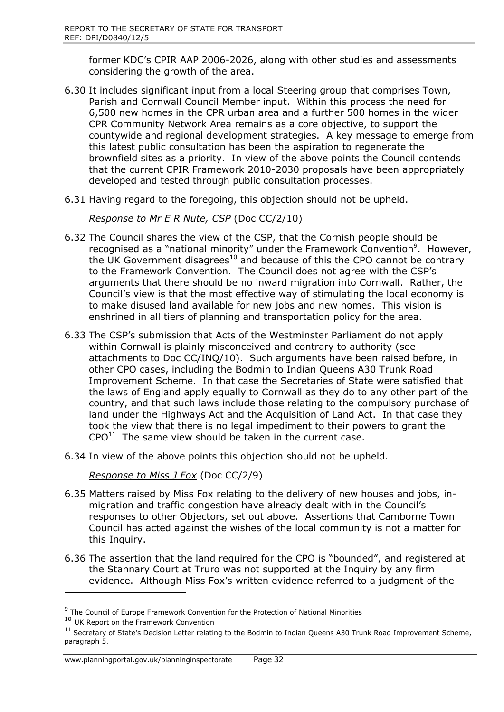former KDC's CPIR AAP 2006-2026, along with other studies and assessments considering the growth of the area.

- 6.30 It includes significant input from a local Steering group that comprises Town, Parish and Cornwall Council Member input. Within this process the need for 6,500 new homes in the CPR urban area and a further 500 homes in the wider CPR Community Network Area remains as a core objective, to support the countywide and regional development strategies. A key message to emerge from this latest public consultation has been the aspiration to regenerate the brownfield sites as a priority. In view of the above points the Council contends that the current CPIR Framework 2010-2030 proposals have been appropriately developed and tested through public consultation processes.
- 6.31 Having regard to the foregoing, this objection should not be upheld.

*Response to Mr E R Nute, CSP* (Doc CC/2/10)

- 6.32 The Council shares the view of the CSP, that the Cornish people should be recognised as a "national minority" under the Framework Convention<sup>9</sup>. However, the UK Government disagrees<sup>10</sup> and because of this the CPO cannot be contrary to the Framework Convention. The Council does not agree with the CSP's arguments that there should be no inward migration into Cornwall. Rather, the Council's view is that the most effective way of stimulating the local economy is to make disused land available for new jobs and new homes. This vision is enshrined in all tiers of planning and transportation policy for the area.
- 6.33 The CSP's submission that Acts of the Westminster Parliament do not apply within Cornwall is plainly misconceived and contrary to authority (see attachments to Doc CC/INQ/10). Such arguments have been raised before, in other CPO cases, including the Bodmin to Indian Queens A30 Trunk Road Improvement Scheme. In that case the Secretaries of State were satisfied that the laws of England apply equally to Cornwall as they do to any other part of the country, and that such laws include those relating to the compulsory purchase of land under the Highways Act and the Acquisition of Land Act. In that case they took the view that there is no legal impediment to their powers to grant the  $CPO<sup>11</sup>$  The same view should be taken in the current case.
- 6.34 In view of the above points this objection should not be upheld.

*Response to Miss J Fox* (Doc CC/2/9)

- 6.35 Matters raised by Miss Fox relating to the delivery of new houses and jobs, inmigration and traffic congestion have already dealt with in the Council's responses to other Objectors, set out above. Assertions that Camborne Town Council has acted against the wishes of the local community is not a matter for this Inquiry.
- 6.36 The assertion that the land required for the CPO is "bounded", and registered at the Stannary Court at Truro was not supported at the Inquiry by any firm evidence. Although Miss Fox's written evidence referred to a judgment of the

 $\overline{a}$ 

www.planningportal.gov.uk/planninginspectorate Page 32

<sup>&</sup>lt;sup>9</sup> The Council of Europe Framework Convention for the Protection of National Minorities

<sup>10</sup> UK Report on the Framework Convention

 $11$  Secretary of State's Decision Letter relating to the Bodmin to Indian Queens A30 Trunk Road Improvement Scheme, paragraph 5.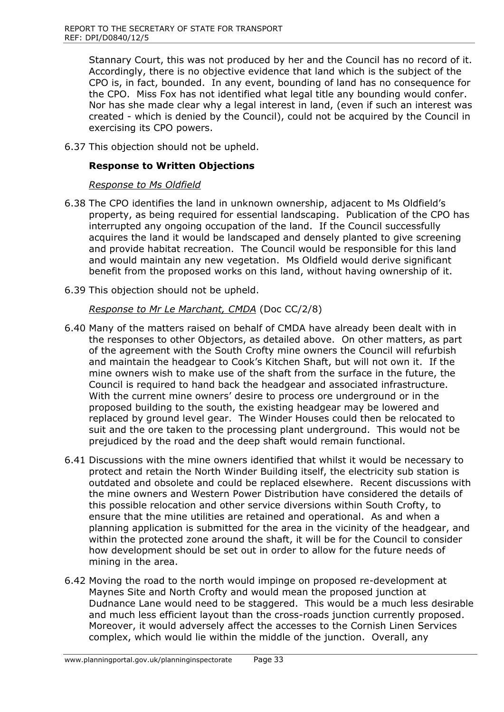Stannary Court, this was not produced by her and the Council has no record of it. Accordingly, there is no objective evidence that land which is the subject of the CPO is, in fact, bounded. In any event, bounding of land has no consequence for the CPO. Miss Fox has not identified what legal title any bounding would confer. Nor has she made clear why a legal interest in land, (even if such an interest was created - which is denied by the Council), could not be acquired by the Council in exercising its CPO powers.

6.37 This objection should not be upheld.

## **Response to Written Objections**

#### *Response to Ms Oldfield*

- 6.38 The CPO identifies the land in unknown ownership, adjacent to Ms Oldfield's property, as being required for essential landscaping. Publication of the CPO has interrupted any ongoing occupation of the land. If the Council successfully acquires the land it would be landscaped and densely planted to give screening and provide habitat recreation. The Council would be responsible for this land and would maintain any new vegetation. Ms Oldfield would derive significant benefit from the proposed works on this land, without having ownership of it.
- 6.39 This objection should not be upheld.

## *Response to Mr Le Marchant, CMDA* (Doc CC/2/8)

- 6.40 Many of the matters raised on behalf of CMDA have already been dealt with in the responses to other Objectors, as detailed above. On other matters, as part of the agreement with the South Crofty mine owners the Council will refurbish and maintain the headgear to Cook's Kitchen Shaft, but will not own it. If the mine owners wish to make use of the shaft from the surface in the future, the Council is required to hand back the headgear and associated infrastructure. With the current mine owners' desire to process ore underground or in the proposed building to the south, the existing headgear may be lowered and replaced by ground level gear. The Winder Houses could then be relocated to suit and the ore taken to the processing plant underground. This would not be prejudiced by the road and the deep shaft would remain functional.
- 6.41 Discussions with the mine owners identified that whilst it would be necessary to protect and retain the North Winder Building itself, the electricity sub station is outdated and obsolete and could be replaced elsewhere. Recent discussions with the mine owners and Western Power Distribution have considered the details of this possible relocation and other service diversions within South Crofty, to ensure that the mine utilities are retained and operational. As and when a planning application is submitted for the area in the vicinity of the headgear, and within the protected zone around the shaft, it will be for the Council to consider how development should be set out in order to allow for the future needs of mining in the area.
- 6.42 Moving the road to the north would impinge on proposed re-development at Maynes Site and North Crofty and would mean the proposed junction at Dudnance Lane would need to be staggered. This would be a much less desirable and much less efficient layout than the cross-roads junction currently proposed. Moreover, it would adversely affect the accesses to the Cornish Linen Services complex, which would lie within the middle of the junction. Overall, any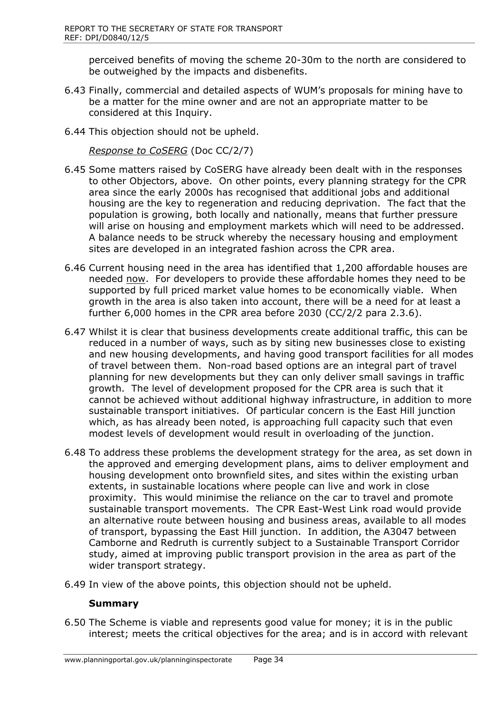perceived benefits of moving the scheme 20-30m to the north are considered to be outweighed by the impacts and disbenefits.

- 6.43 Finally, commercial and detailed aspects of WUM's proposals for mining have to be a matter for the mine owner and are not an appropriate matter to be considered at this Inquiry.
- 6.44 This objection should not be upheld.

*Response to CoSERG* (Doc CC/2/7)

- 6.45 Some matters raised by CoSERG have already been dealt with in the responses to other Objectors, above. On other points, every planning strategy for the CPR area since the early 2000s has recognised that additional jobs and additional housing are the key to regeneration and reducing deprivation. The fact that the population is growing, both locally and nationally, means that further pressure will arise on housing and employment markets which will need to be addressed. A balance needs to be struck whereby the necessary housing and employment sites are developed in an integrated fashion across the CPR area.
- 6.46 Current housing need in the area has identified that 1,200 affordable houses are needed now. For developers to provide these affordable homes they need to be supported by full priced market value homes to be economically viable. When growth in the area is also taken into account, there will be a need for at least a further 6,000 homes in the CPR area before 2030 (CC/2/2 para 2.3.6).
- 6.47 Whilst it is clear that business developments create additional traffic, this can be reduced in a number of ways, such as by siting new businesses close to existing and new housing developments, and having good transport facilities for all modes of travel between them. Non-road based options are an integral part of travel planning for new developments but they can only deliver small savings in traffic growth. The level of development proposed for the CPR area is such that it cannot be achieved without additional highway infrastructure, in addition to more sustainable transport initiatives. Of particular concern is the East Hill junction which, as has already been noted, is approaching full capacity such that even modest levels of development would result in overloading of the junction.
- 6.48 To address these problems the development strategy for the area, as set down in the approved and emerging development plans, aims to deliver employment and housing development onto brownfield sites, and sites within the existing urban extents, in sustainable locations where people can live and work in close proximity. This would minimise the reliance on the car to travel and promote sustainable transport movements. The CPR East-West Link road would provide an alternative route between housing and business areas, available to all modes of transport, bypassing the East Hill junction. In addition, the A3047 between Camborne and Redruth is currently subject to a Sustainable Transport Corridor study, aimed at improving public transport provision in the area as part of the wider transport strategy.
- 6.49 In view of the above points, this objection should not be upheld.

#### **Summary**

6.50 The Scheme is viable and represents good value for money; it is in the public interest; meets the critical objectives for the area; and is in accord with relevant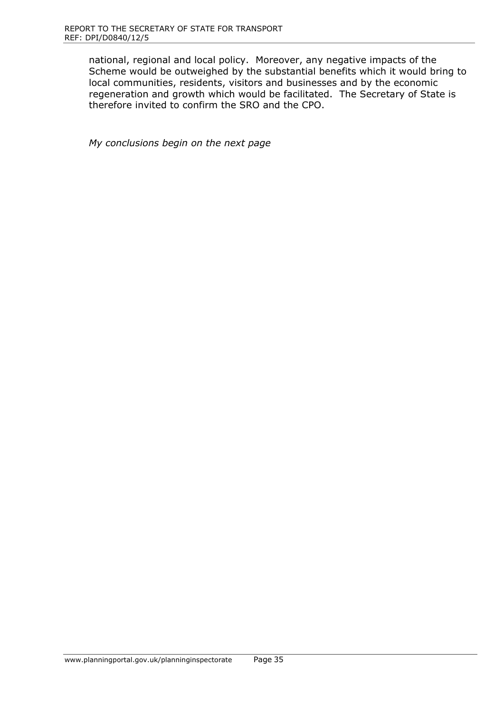national, regional and local policy. Moreover, any negative impacts of the Scheme would be outweighed by the substantial benefits which it would bring to local communities, residents, visitors and businesses and by the economic regeneration and growth which would be facilitated. The Secretary of State is therefore invited to confirm the SRO and the CPO.

*My conclusions begin on the next page*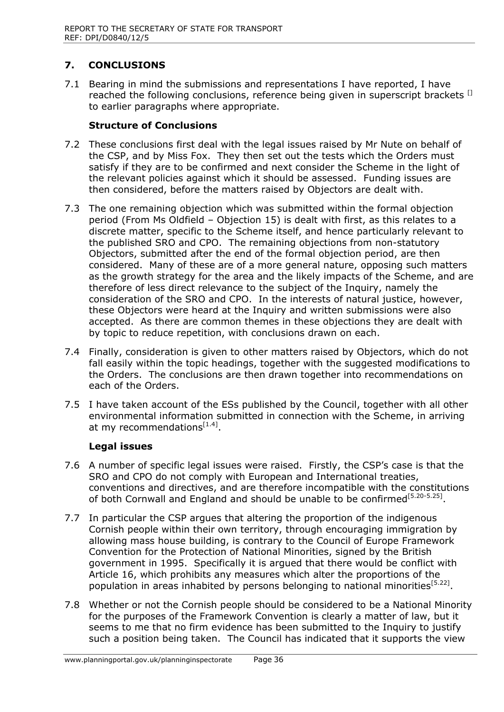## **7. CONCLUSIONS**

7.1 Bearing in mind the submissions and representations I have reported, I have reached the following conclusions, reference being given in superscript brackets <sup>[]</sup> to earlier paragraphs where appropriate.

#### **Structure of Conclusions**

- 7.2 These conclusions first deal with the legal issues raised by Mr Nute on behalf of the CSP, and by Miss Fox. They then set out the tests which the Orders must satisfy if they are to be confirmed and next consider the Scheme in the light of the relevant policies against which it should be assessed. Funding issues are then considered, before the matters raised by Objectors are dealt with.
- 7.3 The one remaining objection which was submitted within the formal objection period (From Ms Oldfield – Objection 15) is dealt with first, as this relates to a discrete matter, specific to the Scheme itself, and hence particularly relevant to the published SRO and CPO. The remaining objections from non-statutory Objectors, submitted after the end of the formal objection period, are then considered. Many of these are of a more general nature, opposing such matters as the growth strategy for the area and the likely impacts of the Scheme, and are therefore of less direct relevance to the subject of the Inquiry, namely the consideration of the SRO and CPO. In the interests of natural justice, however, these Objectors were heard at the Inquiry and written submissions were also accepted. As there are common themes in these objections they are dealt with by topic to reduce repetition, with conclusions drawn on each.
- 7.4 Finally, consideration is given to other matters raised by Objectors, which do not fall easily within the topic headings, together with the suggested modifications to the Orders. The conclusions are then drawn together into recommendations on each of the Orders.
- 7.5 I have taken account of the ESs published by the Council, together with all other environmental information submitted in connection with the Scheme, in arriving at my recommendations<sup>[1.4]</sup>.

#### **Legal issues**

- 7.6 A number of specific legal issues were raised. Firstly, the CSP's case is that the SRO and CPO do not comply with European and International treaties, conventions and directives, and are therefore incompatible with the constitutions of both Cornwall and England and should be unable to be confirmed<sup>[5.20-5.25]</sup>.
- 7.7 In particular the CSP argues that altering the proportion of the indigenous Cornish people within their own territory, through encouraging immigration by allowing mass house building, is contrary to the Council of Europe Framework Convention for the Protection of National Minorities, signed by the British government in 1995. Specifically it is argued that there would be conflict with Article 16, which prohibits any measures which alter the proportions of the population in areas inhabited by persons belonging to national minorities<sup>[5.22]</sup>.
- 7.8 Whether or not the Cornish people should be considered to be a National Minority for the purposes of the Framework Convention is clearly a matter of law, but it seems to me that no firm evidence has been submitted to the Inquiry to justify such a position being taken. The Council has indicated that it supports the view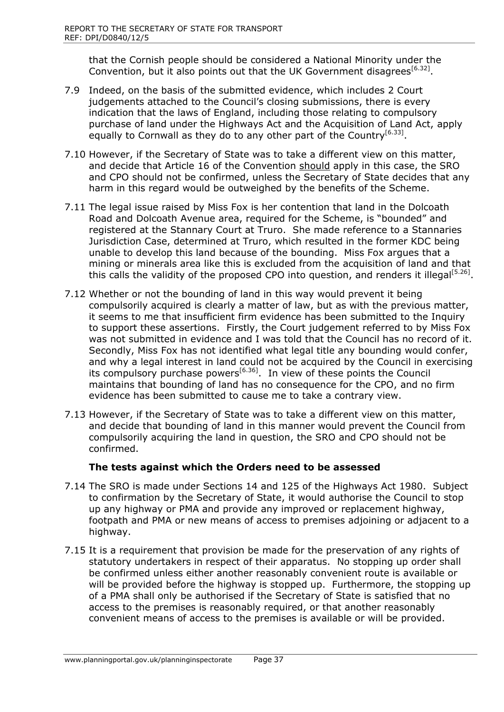that the Cornish people should be considered a National Minority under the Convention, but it also points out that the UK Government disagrees  $[6.32]$ .

- 7.9 Indeed, on the basis of the submitted evidence, which includes 2 Court judgements attached to the Council's closing submissions, there is every indication that the laws of England, including those relating to compulsory purchase of land under the Highways Act and the Acquisition of Land Act, apply equally to Cornwall as they do to any other part of the Country<sup>[6.33]</sup>.
- 7.10 However, if the Secretary of State was to take a different view on this matter, and decide that Article 16 of the Convention should apply in this case, the SRO and CPO should not be confirmed, unless the Secretary of State decides that any harm in this regard would be outweighed by the benefits of the Scheme.
- 7.11 The legal issue raised by Miss Fox is her contention that land in the Dolcoath Road and Dolcoath Avenue area, required for the Scheme, is "bounded" and registered at the Stannary Court at Truro. She made reference to a Stannaries Jurisdiction Case, determined at Truro, which resulted in the former KDC being unable to develop this land because of the bounding. Miss Fox argues that a mining or minerals area like this is excluded from the acquisition of land and that this calls the validity of the proposed CPO into question, and renders it illegal<sup>[5.26]</sup>.
- 7.12 Whether or not the bounding of land in this way would prevent it being compulsorily acquired is clearly a matter of law, but as with the previous matter, it seems to me that insufficient firm evidence has been submitted to the Inquiry to support these assertions. Firstly, the Court judgement referred to by Miss Fox was not submitted in evidence and I was told that the Council has no record of it. Secondly, Miss Fox has not identified what legal title any bounding would confer, and why a legal interest in land could not be acquired by the Council in exercising its compulsory purchase powers<sup>[6.36]</sup>. In view of these points the Council maintains that bounding of land has no consequence for the CPO, and no firm evidence has been submitted to cause me to take a contrary view.
- 7.13 However, if the Secretary of State was to take a different view on this matter, and decide that bounding of land in this manner would prevent the Council from compulsorily acquiring the land in question, the SRO and CPO should not be confirmed.

## **The tests against which the Orders need to be assessed**

- 7.14 The SRO is made under Sections 14 and 125 of the Highways Act 1980. Subject to confirmation by the Secretary of State, it would authorise the Council to stop up any highway or PMA and provide any improved or replacement highway, footpath and PMA or new means of access to premises adjoining or adjacent to a highway.
- 7.15 It is a requirement that provision be made for the preservation of any rights of statutory undertakers in respect of their apparatus. No stopping up order shall be confirmed unless either another reasonably convenient route is available or will be provided before the highway is stopped up. Furthermore, the stopping up of a PMA shall only be authorised if the Secretary of State is satisfied that no access to the premises is reasonably required, or that another reasonably convenient means of access to the premises is available or will be provided.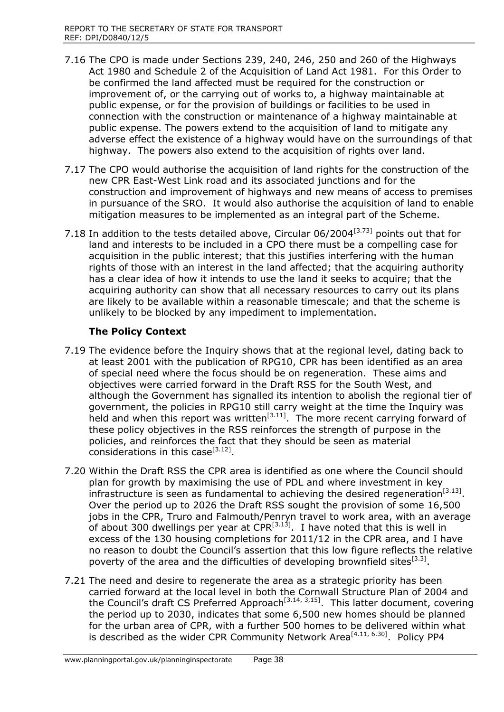- 7.16 The CPO is made under Sections 239, 240, 246, 250 and 260 of the Highways Act 1980 and Schedule 2 of the Acquisition of Land Act 1981. For this Order to be confirmed the land affected must be required for the construction or improvement of, or the carrying out of works to, a highway maintainable at public expense, or for the provision of buildings or facilities to be used in connection with the construction or maintenance of a highway maintainable at public expense. The powers extend to the acquisition of land to mitigate any adverse effect the existence of a highway would have on the surroundings of that highway. The powers also extend to the acquisition of rights over land.
- 7.17 The CPO would authorise the acquisition of land rights for the construction of the new CPR East-West Link road and its associated junctions and for the construction and improvement of highways and new means of access to premises in pursuance of the SRO. It would also authorise the acquisition of land to enable mitigation measures to be implemented as an integral part of the Scheme.
- 7.18 In addition to the tests detailed above, Circular  $06/2004^{[3.73]}$  points out that for land and interests to be included in a CPO there must be a compelling case for acquisition in the public interest; that this justifies interfering with the human rights of those with an interest in the land affected; that the acquiring authority has a clear idea of how it intends to use the land it seeks to acquire; that the acquiring authority can show that all necessary resources to carry out its plans are likely to be available within a reasonable timescale; and that the scheme is unlikely to be blocked by any impediment to implementation.

## **The Policy Context**

- 7.19 The evidence before the Inquiry shows that at the regional level, dating back to at least 2001 with the publication of RPG10, CPR has been identified as an area of special need where the focus should be on regeneration. These aims and objectives were carried forward in the Draft RSS for the South West, and although the Government has signalled its intention to abolish the regional tier of government, the policies in RPG10 still carry weight at the time the Inquiry was held and when this report was written $[3.11]$ . The more recent carrying forward of these policy objectives in the RSS reinforces the strength of purpose in the policies, and reinforces the fact that they should be seen as material considerations in this case<sup>[3.12]</sup>.
- 7.20 Within the Draft RSS the CPR area is identified as one where the Council should plan for growth by maximising the use of PDL and where investment in key infrastructure is seen as fundamental to achieving the desired regeneration<sup>[3.13]</sup>. Over the period up to 2026 the Draft RSS sought the provision of some 16,500 jobs in the CPR, Truro and Falmouth/Penryn travel to work area, with an average of about 300 dwellings per year at  $CPR^{[3.13]}$ . I have noted that this is well in excess of the 130 housing completions for 2011/12 in the CPR area, and I have no reason to doubt the Council's assertion that this low figure reflects the relative poverty of the area and the difficulties of developing brownfield sites  $[3.3]$ .
- 7.21 The need and desire to regenerate the area as a strategic priority has been carried forward at the local level in both the Cornwall Structure Plan of 2004 and the Council's draft CS Preferred Approach<sup>[3.14, 3,15]</sup>. This latter document, covering the period up to 2030, indicates that some 6,500 new homes should be planned for the urban area of CPR, with a further 500 homes to be delivered within what is described as the wider CPR Community Network Area $^{[4.11, 6.30]}$ . Policy PP4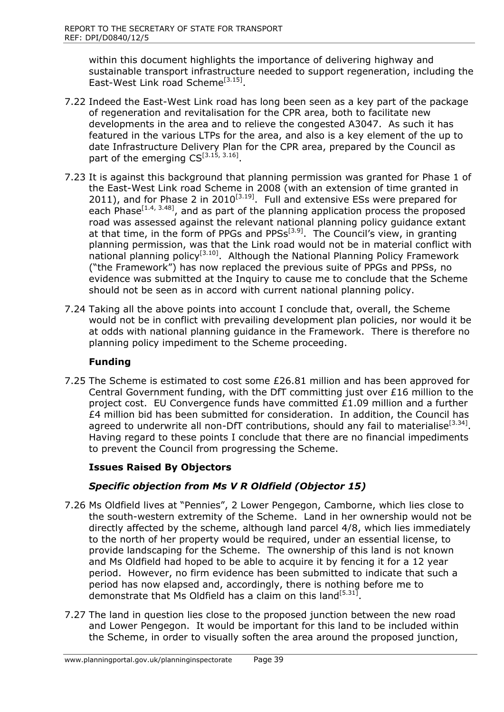within this document highlights the importance of delivering highway and sustainable transport infrastructure needed to support regeneration, including the East-West Link road Scheme<sup>[3.15]</sup>.

- 7.22 Indeed the East-West Link road has long been seen as a key part of the package of regeneration and revitalisation for the CPR area, both to facilitate new developments in the area and to relieve the congested A3047. As such it has featured in the various LTPs for the area, and also is a key element of the up to date Infrastructure Delivery Plan for the CPR area, prepared by the Council as part of the emerging  $CS^{[3.15, 3.16]}$ .
- 7.23 It is against this background that planning permission was granted for Phase 1 of the East-West Link road Scheme in 2008 (with an extension of time granted in 2011), and for Phase 2 in 2010<sup>[3.19]</sup>. Full and extensive ESs were prepared for each Phase<sup>[1.4, 3.48]</sup>, and as part of the planning application process the proposed road was assessed against the relevant national planning policy guidance extant at that time, in the form of PPGs and PPSs<sup>[3.9]</sup>. The Council's view, in granting planning permission, was that the Link road would not be in material conflict with national planning policy<sup>[3.10]</sup>. Although the National Planning Policy Framework ("the Framework") has now replaced the previous suite of PPGs and PPSs, no evidence was submitted at the Inquiry to cause me to conclude that the Scheme should not be seen as in accord with current national planning policy.
- 7.24 Taking all the above points into account I conclude that, overall, the Scheme would not be in conflict with prevailing development plan policies, nor would it be at odds with national planning guidance in the Framework. There is therefore no planning policy impediment to the Scheme proceeding.

## **Funding**

7.25 The Scheme is estimated to cost some £26.81 million and has been approved for Central Government funding, with the DfT committing just over £16 million to the project cost. EU Convergence funds have committed £1.09 million and a further  $£4$  million bid has been submitted for consideration. In addition, the Council has agreed to underwrite all non-DfT contributions, should any fail to materialise<sup>[3.34]</sup>. Having regard to these points I conclude that there are no financial impediments to prevent the Council from progressing the Scheme.

## **Issues Raised By Objectors**

# *Specific objection from Ms V R Oldfield (Objector 15)*

- 7.26 Ms Oldfield lives at "Pennies", 2 Lower Pengegon, Camborne, which lies close to the south-western extremity of the Scheme. Land in her ownership would not be directly affected by the scheme, although land parcel 4/8, which lies immediately to the north of her property would be required, under an essential license, to provide landscaping for the Scheme. The ownership of this land is not known and Ms Oldfield had hoped to be able to acquire it by fencing it for a 12 year period. However, no firm evidence has been submitted to indicate that such a period has now elapsed and, accordingly, there is nothing before me to demonstrate that Ms Oldfield has a claim on this land<sup>[5.31]</sup>.
- 7.27 The land in question lies close to the proposed junction between the new road and Lower Pengegon. It would be important for this land to be included within the Scheme, in order to visually soften the area around the proposed junction,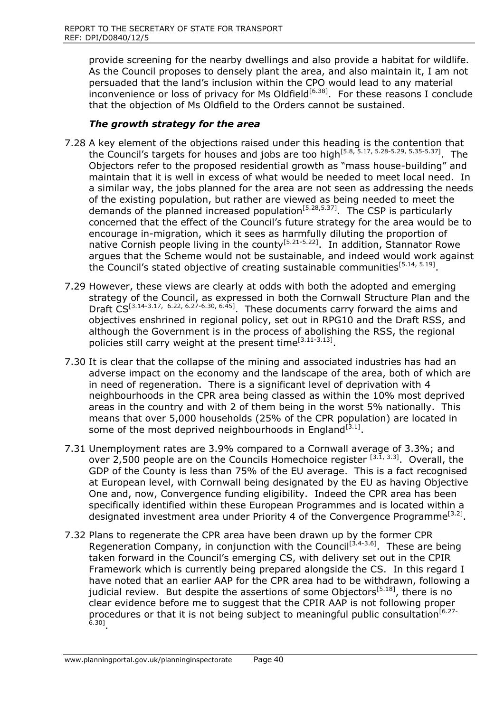provide screening for the nearby dwellings and also provide a habitat for wildlife. As the Council proposes to densely plant the area, and also maintain it, I am not persuaded that the land's inclusion within the CPO would lead to any material inconvenience or loss of privacy for Ms Oldfield<sup>[6.38]</sup>. For these reasons I conclude that the objection of Ms Oldfield to the Orders cannot be sustained.

## *The growth strategy for the area*

- 7.28 A key element of the objections raised under this heading is the contention that the Council's targets for houses and jobs are too high<sup>[5.8, 5.17, 5.28-5.29, 5.35-5.37]</sup>. The Objectors refer to the proposed residential growth as "mass house-building" and maintain that it is well in excess of what would be needed to meet local need. In a similar way, the jobs planned for the area are not seen as addressing the needs of the existing population, but rather are viewed as being needed to meet the demands of the planned increased population<sup>[5.28,5.37]</sup>. The CSP is particularly concerned that the effect of the Council's future strategy for the area would be to encourage in-migration, which it sees as harmfully diluting the proportion of native Cornish people living in the county<sup>[5.21-5.22]</sup>. In addition, Stannator Rowe argues that the Scheme would not be sustainable, and indeed would work against the Council's stated objective of creating sustainable communities<sup>[5.14, 5.19]</sup>.
- 7.29 However, these views are clearly at odds with both the adopted and emerging strategy of the Council, as expressed in both the Cornwall Structure Plan and the Draft  $CS^{[3.14-3.17, 6.22, 6.27-6.30, 6.45]}$ . These documents carry forward the aims and objectives enshrined in regional policy, set out in RPG10 and the Draft RSS, and although the Government is in the process of abolishing the RSS, the regional policies still carry weight at the present time<sup>[3.11-3.13]</sup>.
- 7.30 It is clear that the collapse of the mining and associated industries has had an adverse impact on the economy and the landscape of the area, both of which are in need of regeneration. There is a significant level of deprivation with 4 neighbourhoods in the CPR area being classed as within the 10% most deprived areas in the country and with 2 of them being in the worst 5% nationally. This means that over 5,000 households (25% of the CPR population) are located in some of the most deprived neighbourhoods in England<sup>[3.1]</sup>.
- 7.31 Unemployment rates are 3.9% compared to a Cornwall average of 3.3%; and over 2,500 people are on the Councils Homechoice register  $^{[3.1, 3.3]}$ . Overall, the GDP of the County is less than 75% of the EU average. This is a fact recognised at European level, with Cornwall being designated by the EU as having Objective One and, now, Convergence funding eligibility. Indeed the CPR area has been specifically identified within these European Programmes and is located within a designated investment area under Priority 4 of the Convergence Programme<sup>[3.2]</sup>.
- 7.32 Plans to regenerate the CPR area have been drawn up by the former CPR Regeneration Company, in conjunction with the Council<sup>[3.4-3.6]</sup>. These are being taken forward in the Council's emerging CS, with delivery set out in the CPIR Framework which is currently being prepared alongside the CS. In this regard I have noted that an earlier AAP for the CPR area had to be withdrawn, following a judicial review. But despite the assertions of some Objectors<sup>[5.18]</sup>, there is no clear evidence before me to suggest that the CPIR AAP is not following proper procedures or that it is not being subject to meaningful public consultation<sup>[6.27-</sup><br><sup>6.30]</sup>.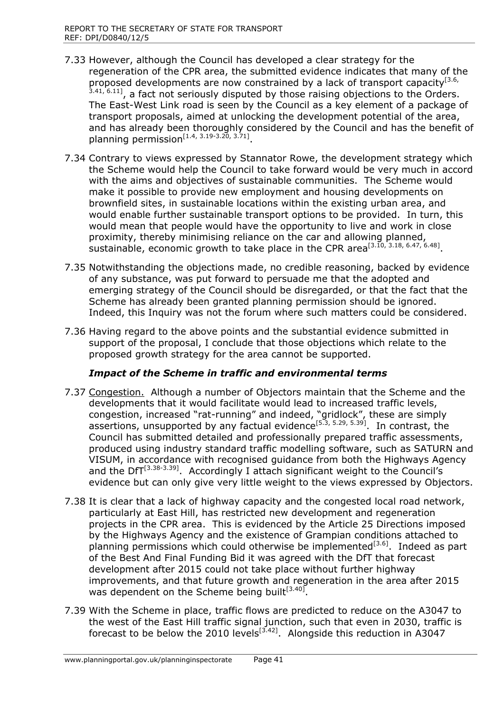- 7.33 However, although the Council has developed a clear strategy for the regeneration of the CPR area, the submitted evidence indicates that many of the proposed developments are now constrained by a lack of transport capacity<sup>[3.6,</sup><br><sup>3.41, 6.11]</sup>, a fact not seriously disputed by those raising objections to the Orders. The East-West Link road is seen by the Council as a key element of a package of transport proposals, aimed at unlocking the development potential of the area, and has already been thoroughly considered by the Council and has the benefit of planning permission<sup>[1.4, 3.19-3.20, 3.71]</sup>.
- 7.34 Contrary to views expressed by Stannator Rowe, the development strategy which the Scheme would help the Council to take forward would be very much in accord with the aims and objectives of sustainable communities. The Scheme would make it possible to provide new employment and housing developments on brownfield sites, in sustainable locations within the existing urban area, and would enable further sustainable transport options to be provided. In turn, this would mean that people would have the opportunity to live and work in close proximity, thereby minimising reliance on the car and allowing planned, sustainable, economic growth to take place in the CPR area<sup>[3.10, 3.18, 6.47, 6.48]</sup>.
- 7.35 Notwithstanding the objections made, no credible reasoning, backed by evidence of any substance, was put forward to persuade me that the adopted and emerging strategy of the Council should be disregarded, or that the fact that the Scheme has already been granted planning permission should be ignored. Indeed, this Inquiry was not the forum where such matters could be considered.
- 7.36 Having regard to the above points and the substantial evidence submitted in support of the proposal, I conclude that those objections which relate to the proposed growth strategy for the area cannot be supported.

## *Impact of the Scheme in traffic and environmental terms*

- 7.37 Congestion. Although a number of Objectors maintain that the Scheme and the developments that it would facilitate would lead to increased traffic levels, congestion, increased "rat-running" and indeed, "gridlock", these are simply assertions, unsupported by any factual evidence<sup>[5.3, 5.29, 5.39]</sup>. In contrast, the Council has submitted detailed and professionally prepared traffic assessments, produced using industry standard traffic modelling software, such as SATURN and VISUM, in accordance with recognised guidance from both the Highways Agency and the DfT<sup>[3.38-3.39]</sup>. Accordingly I attach significant weight to the Council's evidence but can only give very little weight to the views expressed by Objectors.
- 7.38 It is clear that a lack of highway capacity and the congested local road network, particularly at East Hill, has restricted new development and regeneration projects in the CPR area. This is evidenced by the Article 25 Directions imposed by the Highways Agency and the existence of Grampian conditions attached to planning permissions which could otherwise be implemented<sup>[3.6]</sup>. Indeed as part of the Best And Final Funding Bid it was agreed with the DfT that forecast development after 2015 could not take place without further highway improvements, and that future growth and regeneration in the area after 2015 was dependent on the Scheme being built<sup>[3.40]</sup>.
- 7.39 With the Scheme in place, traffic flows are predicted to reduce on the A3047 to the west of the East Hill traffic signal junction, such that even in 2030, traffic is forecast to be below the 2010 levels<sup>[3.42]</sup>. Alongside this reduction in A3047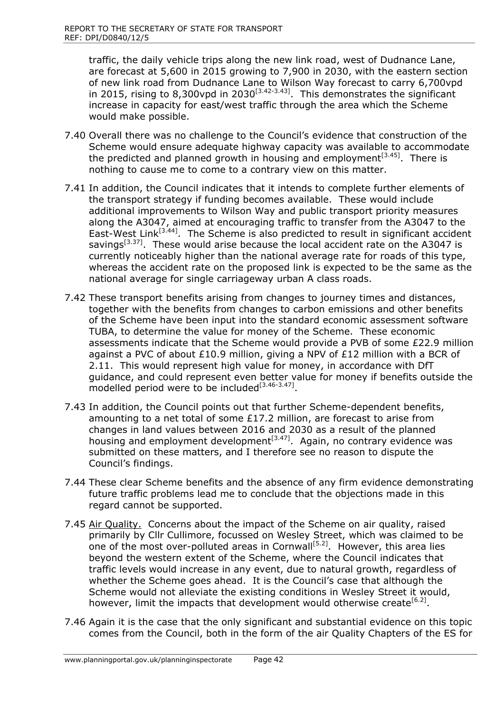traffic, the daily vehicle trips along the new link road, west of Dudnance Lane, are forecast at 5,600 in 2015 growing to 7,900 in 2030, with the eastern section of new link road from Dudnance Lane to Wilson Way forecast to carry 6,700vpd in 2015, rising to 8,300 vpd in 2030<sup>[3.42-3.43]</sup>. This demonstrates the significant increase in capacity for east/west traffic through the area which the Scheme would make possible.

- 7.40 Overall there was no challenge to the Council's evidence that construction of the Scheme would ensure adequate highway capacity was available to accommodate the predicted and planned growth in housing and employment<sup>[3,45]</sup>. There is nothing to cause me to come to a contrary view on this matter.
- 7.41 In addition, the Council indicates that it intends to complete further elements of the transport strategy if funding becomes available. These would include additional improvements to Wilson Way and public transport priority measures along the A3047, aimed at encouraging traffic to transfer from the A3047 to the East-West Link<sup>[3.44]</sup>. The Scheme is also predicted to result in significant accident savings<sup>[3.37]</sup>. These would arise because the local accident rate on the A3047 is currently noticeably higher than the national average rate for roads of this type, whereas the accident rate on the proposed link is expected to be the same as the national average for single carriageway urban A class roads.
- 7.42 These transport benefits arising from changes to journey times and distances, together with the benefits from changes to carbon emissions and other benefits of the Scheme have been input into the standard economic assessment software TUBA, to determine the value for money of the Scheme. These economic assessments indicate that the Scheme would provide a PVB of some £22.9 million against a PVC of about £10.9 million, giving a NPV of £12 million with a BCR of 2.11. This would represent high value for money, in accordance with DfT guidance, and could represent even better value for money if benefits outside the modelled period were to be included<sup>[3,46-3,47]</sup>.
- 7.43 In addition, the Council points out that further Scheme-dependent benefits, amounting to a net total of some £17.2 million, are forecast to arise from changes in land values between 2016 and 2030 as a result of the planned housing and employment development<sup>[3.47]</sup>. Again, no contrary evidence was submitted on these matters, and I therefore see no reason to dispute the Council's findings.
- 7.44 These clear Scheme benefits and the absence of any firm evidence demonstrating future traffic problems lead me to conclude that the objections made in this regard cannot be supported.
- 7.45 Air Quality. Concerns about the impact of the Scheme on air quality, raised primarily by Cllr Cullimore, focussed on Wesley Street, which was claimed to be one of the most over-polluted areas in Cornwall<sup>[5.2]</sup>. However, this area lies beyond the western extent of the Scheme, where the Council indicates that traffic levels would increase in any event, due to natural growth, regardless of whether the Scheme goes ahead. It is the Council's case that although the Scheme would not alleviate the existing conditions in Wesley Street it would, however, limit the impacts that development would otherwise create  $[6.2]$ .
- 7.46 Again it is the case that the only significant and substantial evidence on this topic comes from the Council, both in the form of the air Quality Chapters of the ES for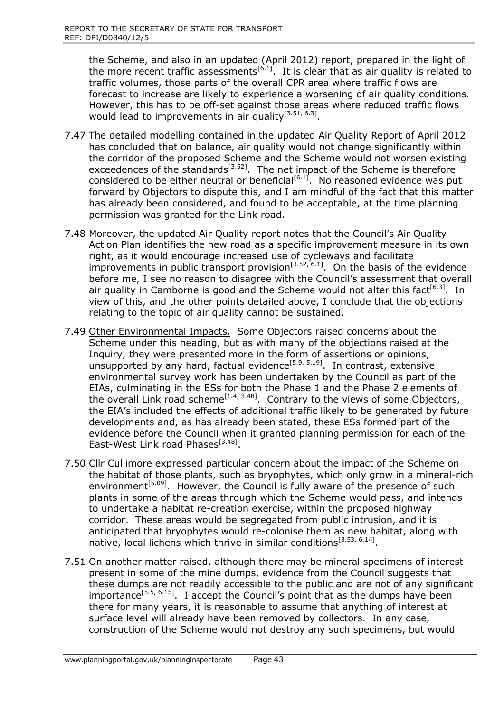the Scheme, and also in an updated (April 2012) report, prepared in the light of the more recent traffic assessments<sup>[6.1]</sup>. It is clear that as air quality is related to traffic volumes, those parts of the overall CPR area where traffic flows are forecast to increase are likely to experience a worsening of air quality conditions. However, this has to be off-set against those areas where reduced traffic flows would lead to improvements in air quality<sup>[3.51, 6.3]</sup>.

- 7.47 The detailed modelling contained in the updated Air Quality Report of April 2012 has concluded that on balance, air quality would not change significantly within the corridor of the proposed Scheme and the Scheme would not worsen existing exceedences of the standards<sup>[3.52]</sup>. The net impact of the Scheme is therefore considered to be either neutral or beneficial $[6.1]$ . No reasoned evidence was put forward by Objectors to dispute this, and I am mindful of the fact that this matter has already been considered, and found to be acceptable, at the time planning permission was granted for the Link road.
- 7.48 Moreover, the updated Air Quality report notes that the Council's Air Quality Action Plan identifies the new road as a specific improvement measure in its own right, as it would encourage increased use of cycleways and facilitate improvements in public transport provision<sup>[3.52, 6.1]</sup>. On the basis of the evidence before me, I see no reason to disagree with the Council's assessment that overall air quality in Camborne is good and the Scheme would not alter this fact<sup>[6.3]</sup>. In view of this, and the other points detailed above, I conclude that the objections relating to the topic of air quality cannot be sustained.
- 7.49 Other Environmental Impacts. Some Objectors raised concerns about the Scheme under this heading, but as with many of the objections raised at the Inquiry, they were presented more in the form of assertions or opinions, unsupported by any hard, factual evidence<sup>[5.9, 5.19]</sup>. In contrast, extensive environmental survey work has been undertaken by the Council as part of the EIAs, culminating in the ESs for both the Phase 1 and the Phase 2 elements of the overall Link road scheme<sup>[1.4, 3.48]</sup>. Contrary to the views of some Objectors, the EIA's included the effects of additional traffic likely to be generated by future developments and, as has already been stated, these ESs formed part of the evidence before the Council when it granted planning permission for each of the East-West Link road Phases<sup>[3.48]</sup>.
- 7.50 Cllr Cullimore expressed particular concern about the impact of the Scheme on the habitat of those plants, such as bryophytes, which only grow in a mineral-rich environment<sup>[5.09]</sup>. However, the Council is fully aware of the presence of such plants in some of the areas through which the Scheme would pass, and intends to undertake a habitat re-creation exercise, within the proposed highway corridor. These areas would be segregated from public intrusion, and it is anticipated that bryophytes would re-colonise them as new habitat, along with native, local lichens which thrive in similar conditions<sup>[3.53, 6.14]</sup>.
- 7.51 On another matter raised, although there may be mineral specimens of interest present in some of the mine dumps, evidence from the Council suggests that these dumps are not readily accessible to the public and are not of any significant importance<sup>[5.5, 6.15]</sup>. I accept the Council's point that as the dumps have been there for many years, it is reasonable to assume that anything of interest at surface level will already have been removed by collectors. In any case, construction of the Scheme would not destroy any such specimens, but would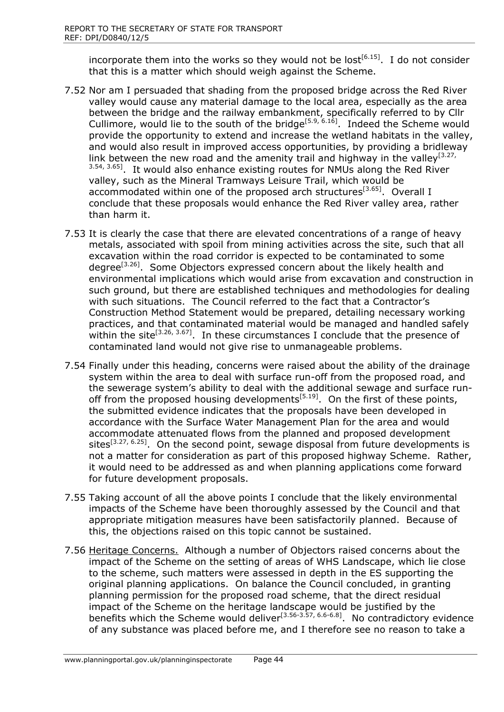incorporate them into the works so they would not be lost<sup>[6.15]</sup>. I do not consider that this is a matter which should weigh against the Scheme.

- 7.52 Nor am I persuaded that shading from the proposed bridge across the Red River valley would cause any material damage to the local area, especially as the area between the bridge and the railway embankment, specifically referred to by Cllr Cullimore, would lie to the south of the bridge<sup>[5.9, 6.16]</sup>. Indeed the Scheme would provide the opportunity to extend and increase the wetland habitats in the valley, and would also result in improved access opportunities, by providing a bridleway link between the new road and the amenity trail and highway in the valley<sup>[3.27,</sup> <sup>3.54, 3.65]</sup>. It would also enhance existing routes for NMUs along the Red River valley, such as the Mineral Tramways Leisure Trail, which would be accommodated within one of the proposed arch structures<sup>[3.65]</sup>. Overall I conclude that these proposals would enhance the Red River valley area, rather than harm it.
- 7.53 It is clearly the case that there are elevated concentrations of a range of heavy metals, associated with spoil from mining activities across the site, such that all excavation within the road corridor is expected to be contaminated to some degree<sup>[3.26]</sup>. Some Objectors expressed concern about the likely health and environmental implications which would arise from excavation and construction in such ground, but there are established techniques and methodologies for dealing with such situations. The Council referred to the fact that a Contractor's Construction Method Statement would be prepared, detailing necessary working practices, and that contaminated material would be managed and handled safely within the site<sup>[3.26, 3.67]</sup>. In these circumstances I conclude that the presence of contaminated land would not give rise to unmanageable problems.
- 7.54 Finally under this heading, concerns were raised about the ability of the drainage system within the area to deal with surface run-off from the proposed road, and the sewerage system's ability to deal with the additional sewage and surface runoff from the proposed housing developments<sup>[5.19]</sup>. On the first of these points, the submitted evidence indicates that the proposals have been developed in accordance with the Surface Water Management Plan for the area and would accommodate attenuated flows from the planned and proposed development sites<sup>[3.27, 6.25]</sup>. On the second point, sewage disposal from future developments is not a matter for consideration as part of this proposed highway Scheme. Rather, it would need to be addressed as and when planning applications come forward for future development proposals.
- 7.55 Taking account of all the above points I conclude that the likely environmental impacts of the Scheme have been thoroughly assessed by the Council and that appropriate mitigation measures have been satisfactorily planned. Because of this, the objections raised on this topic cannot be sustained.
- 7.56 Heritage Concerns. Although a number of Objectors raised concerns about the impact of the Scheme on the setting of areas of WHS Landscape, which lie close to the scheme, such matters were assessed in depth in the ES supporting the original planning applications. On balance the Council concluded, in granting planning permission for the proposed road scheme, that the direct residual impact of the Scheme on the heritage landscape would be justified by the benefits which the Scheme would deliver $^{[3.56-3.57, 6.6-6.8]}$ . No contradictory evidence of any substance was placed before me, and I therefore see no reason to take a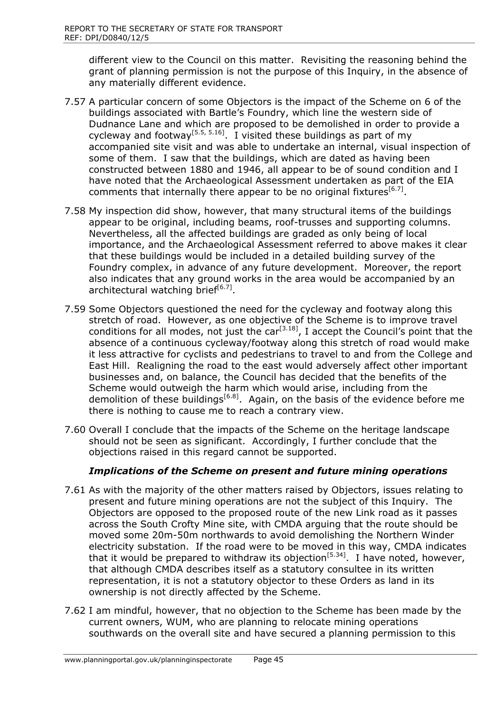different view to the Council on this matter. Revisiting the reasoning behind the grant of planning permission is not the purpose of this Inquiry, in the absence of any materially different evidence.

- 7.57 A particular concern of some Objectors is the impact of the Scheme on 6 of the buildings associated with Bartle's Foundry, which line the western side of Dudnance Lane and which are proposed to be demolished in order to provide a cycleway and footway<sup>[5.5, 5.16]</sup>. I visited these buildings as part of my accompanied site visit and was able to undertake an internal, visual inspection of some of them. I saw that the buildings, which are dated as having been constructed between 1880 and 1946, all appear to be of sound condition and I have noted that the Archaeological Assessment undertaken as part of the EIA comments that internally there appear to be no original fixtures  $[6.7]$ .
- 7.58 My inspection did show, however, that many structural items of the buildings appear to be original, including beams, roof-trusses and supporting columns. Nevertheless, all the affected buildings are graded as only being of local importance, and the Archaeological Assessment referred to above makes it clear that these buildings would be included in a detailed building survey of the Foundry complex, in advance of any future development. Moreover, the report also indicates that any ground works in the area would be accompanied by an architectural watching brief<sup>[6.7]</sup>.
- 7.59 Some Objectors questioned the need for the cycleway and footway along this stretch of road. However, as one objective of the Scheme is to improve travel conditions for all modes, not just the  $\text{car}^{[3,18]}$ , I accept the Council's point that the absence of a continuous cycleway/footway along this stretch of road would make it less attractive for cyclists and pedestrians to travel to and from the College and East Hill. Realigning the road to the east would adversely affect other important businesses and, on balance, the Council has decided that the benefits of the Scheme would outweigh the harm which would arise, including from the demolition of these buildings<sup>[6.8]</sup>. Again, on the basis of the evidence before me there is nothing to cause me to reach a contrary view.
- 7.60 Overall I conclude that the impacts of the Scheme on the heritage landscape should not be seen as significant. Accordingly, I further conclude that the objections raised in this regard cannot be supported.

## *Implications of the Scheme on present and future mining operations*

- 7.61 As with the majority of the other matters raised by Objectors, issues relating to present and future mining operations are not the subject of this Inquiry. The Objectors are opposed to the proposed route of the new Link road as it passes across the South Crofty Mine site, with CMDA arguing that the route should be moved some 20m-50m northwards to avoid demolishing the Northern Winder electricity substation. If the road were to be moved in this way, CMDA indicates that it would be prepared to withdraw its objection<sup>[5.34]</sup>. I have noted, however, that although CMDA describes itself as a statutory consultee in its written representation, it is not a statutory objector to these Orders as land in its ownership is not directly affected by the Scheme.
- 7.62 I am mindful, however, that no objection to the Scheme has been made by the current owners, WUM, who are planning to relocate mining operations southwards on the overall site and have secured a planning permission to this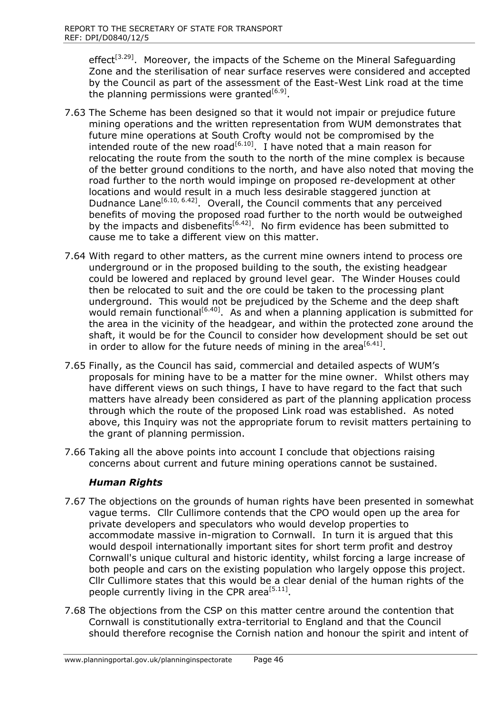effect<sup>[3.29]</sup>. Moreover, the impacts of the Scheme on the Mineral Safeguarding Zone and the sterilisation of near surface reserves were considered and accepted by the Council as part of the assessment of the East-West Link road at the time the planning permissions were granted<sup>[6.9]</sup>.

- 7.63 The Scheme has been designed so that it would not impair or prejudice future mining operations and the written representation from WUM demonstrates that future mine operations at South Crofty would not be compromised by the intended route of the new road $^{[6.10]}$ . I have noted that a main reason for relocating the route from the south to the north of the mine complex is because of the better ground conditions to the north, and have also noted that moving the road further to the north would impinge on proposed re-development at other locations and would result in a much less desirable staggered junction at Dudnance Lane<sup>[6.10, 6.42]</sup>. Overall, the Council comments that any perceived benefits of moving the proposed road further to the north would be outweighed by the impacts and disbenefits<sup>[6.42]</sup>. No firm evidence has been submitted to cause me to take a different view on this matter.
- 7.64 With regard to other matters, as the current mine owners intend to process ore underground or in the proposed building to the south, the existing headgear could be lowered and replaced by ground level gear. The Winder Houses could then be relocated to suit and the ore could be taken to the processing plant underground. This would not be prejudiced by the Scheme and the deep shaft would remain functional<sup>[6.40]</sup>. As and when a planning application is submitted for the area in the vicinity of the headgear, and within the protected zone around the shaft, it would be for the Council to consider how development should be set out in order to allow for the future needs of mining in the area<sup>[6.41]</sup>.
- 7.65 Finally, as the Council has said, commercial and detailed aspects of WUM's proposals for mining have to be a matter for the mine owner. Whilst others may have different views on such things, I have to have regard to the fact that such matters have already been considered as part of the planning application process through which the route of the proposed Link road was established. As noted above, this Inquiry was not the appropriate forum to revisit matters pertaining to the grant of planning permission.
- 7.66 Taking all the above points into account I conclude that objections raising concerns about current and future mining operations cannot be sustained.

# *Human Rights*

- 7.67 The objections on the grounds of human rights have been presented in somewhat vague terms. Cllr Cullimore contends that the CPO would open up the area for private developers and speculators who would develop properties to accommodate massive in-migration to Cornwall. In turn it is argued that this would despoil internationally important sites for short term profit and destroy Cornwall's unique cultural and historic identity, whilst forcing a large increase of both people and cars on the existing population who largely oppose this project. Cllr Cullimore states that this would be a clear denial of the human rights of the people currently living in the CPR area<sup>[5.11]</sup>.
- 7.68 The objections from the CSP on this matter centre around the contention that Cornwall is constitutionally extra-territorial to England and that the Council should therefore recognise the Cornish nation and honour the spirit and intent of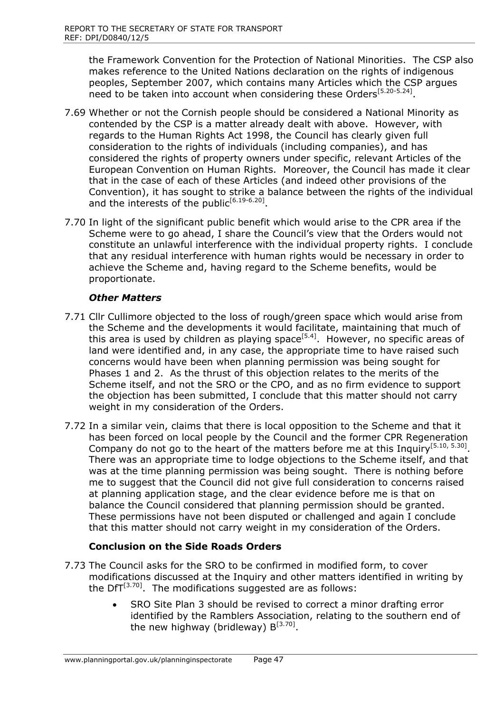the Framework Convention for the Protection of National Minorities. The CSP also makes reference to the United Nations declaration on the rights of indigenous peoples, September 2007, which contains many Articles which the CSP argues need to be taken into account when considering these Orders<sup>[5.20-5.24]</sup>.

- 7.69 Whether or not the Cornish people should be considered a National Minority as contended by the CSP is a matter already dealt with above. However, with regards to the Human Rights Act 1998, the Council has clearly given full consideration to the rights of individuals (including companies), and has considered the rights of property owners under specific, relevant Articles of the European Convention on Human Rights. Moreover, the Council has made it clear that in the case of each of these Articles (and indeed other provisions of the Convention), it has sought to strike a balance between the rights of the individual and the interests of the public<sup>[6.19-6.20]</sup>.
- 7.70 In light of the significant public benefit which would arise to the CPR area if the Scheme were to go ahead, I share the Council's view that the Orders would not constitute an unlawful interference with the individual property rights. I conclude that any residual interference with human rights would be necessary in order to achieve the Scheme and, having regard to the Scheme benefits, would be proportionate.

## *Other Matters*

- 7.71 Cllr Cullimore objected to the loss of rough/green space which would arise from the Scheme and the developments it would facilitate, maintaining that much of this area is used by children as playing space<sup>[5.4]</sup>. However, no specific areas of land were identified and, in any case, the appropriate time to have raised such concerns would have been when planning permission was being sought for Phases 1 and 2. As the thrust of this objection relates to the merits of the Scheme itself, and not the SRO or the CPO, and as no firm evidence to support the objection has been submitted, I conclude that this matter should not carry weight in my consideration of the Orders.
- 7.72 In a similar vein, claims that there is local opposition to the Scheme and that it has been forced on local people by the Council and the former CPR Regeneration Company do not go to the heart of the matters before me at this Inquiry<sup>[5.10, 5.30]</sup>. There was an appropriate time to lodge objections to the Scheme itself, and that was at the time planning permission was being sought. There is nothing before me to suggest that the Council did not give full consideration to concerns raised at planning application stage, and the clear evidence before me is that on balance the Council considered that planning permission should be granted. These permissions have not been disputed or challenged and again I conclude that this matter should not carry weight in my consideration of the Orders.

## **Conclusion on the Side Roads Orders**

- 7.73 The Council asks for the SRO to be confirmed in modified form, to cover modifications discussed at the Inquiry and other matters identified in writing by the DfT $^{[3.70]}$ . The modifications suggested are as follows:
	- SRO Site Plan 3 should be revised to correct a minor drafting error identified by the Ramblers Association, relating to the southern end of the new highway (bridleway)  $B^{[3.70]}$ .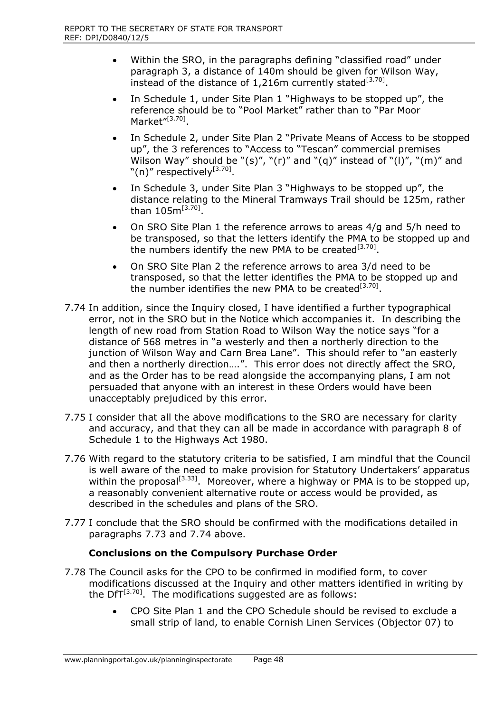- Within the SRO, in the paragraphs defining "classified road" under paragraph 3, a distance of 140m should be given for Wilson Way, instead of the distance of  $1,216$ m currently stated<sup>[3.70]</sup>.
- In Schedule 1, under Site Plan 1 "Highways to be stopped up", the reference should be to "Pool Market" rather than to "Par Moor Market"<sup>[3.70]</sup>.
- In Schedule 2, under Site Plan 2 "Private Means of Access to be stopped up", the 3 references to "Access to "Tescan" commercial premises Wilson Way" should be " $(s)$ ", " $(r)$ " and " $(q)$ " instead of " $(l)$ ", " $(m)$ " and "(n)" respectively $^{[3.70]}.$
- In Schedule 3, under Site Plan 3 "Highways to be stopped up", the distance relating to the Mineral Tramways Trail should be 125m, rather than  $105$ m<sup>[3.70]</sup>.
- On SRO Site Plan 1 the reference arrows to areas 4/g and 5/h need to be transposed, so that the letters identify the PMA to be stopped up and the numbers identify the new PMA to be created<sup>[3.70]</sup>.
- On SRO Site Plan 2 the reference arrows to area 3/d need to be transposed, so that the letter identifies the PMA to be stopped up and the number identifies the new PMA to be created<sup>[3.70]</sup>.
- 7.74 In addition, since the Inquiry closed, I have identified a further typographical error, not in the SRO but in the Notice which accompanies it. In describing the length of new road from Station Road to Wilson Way the notice says "for a distance of 568 metres in "a westerly and then a northerly direction to the junction of Wilson Way and Carn Brea Lane". This should refer to "an easterly and then a northerly direction….". This error does not directly affect the SRO, and as the Order has to be read alongside the accompanying plans, I am not persuaded that anyone with an interest in these Orders would have been unacceptably prejudiced by this error.
- 7.75 I consider that all the above modifications to the SRO are necessary for clarity and accuracy, and that they can all be made in accordance with paragraph 8 of Schedule 1 to the Highways Act 1980.
- 7.76 With regard to the statutory criteria to be satisfied, I am mindful that the Council is well aware of the need to make provision for Statutory Undertakers' apparatus within the proposal<sup>[3.33]</sup>. Moreover, where a highway or PMA is to be stopped up, a reasonably convenient alternative route or access would be provided, as described in the schedules and plans of the SRO.
- 7.77 I conclude that the SRO should be confirmed with the modifications detailed in paragraphs 7.73 and 7.74 above.

## **Conclusions on the Compulsory Purchase Order**

- 7.78 The Council asks for the CPO to be confirmed in modified form, to cover modifications discussed at the Inquiry and other matters identified in writing by the DfT $^{[3.70]}$ . The modifications suggested are as follows:
	- CPO Site Plan 1 and the CPO Schedule should be revised to exclude a small strip of land, to enable Cornish Linen Services (Objector 07) to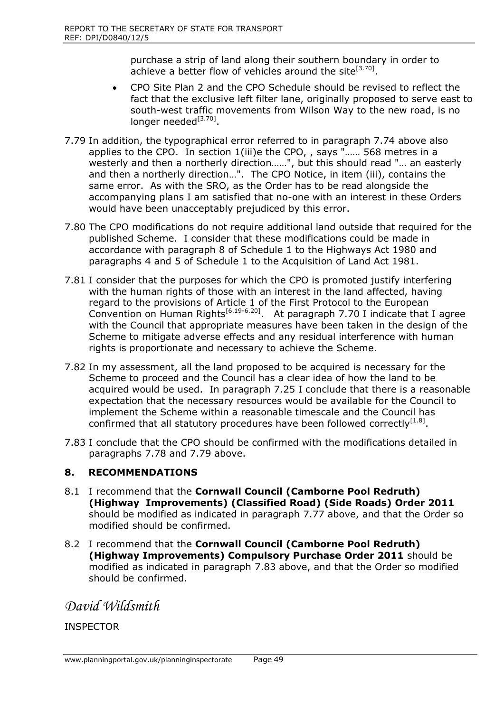purchase a strip of land along their southern boundary in order to achieve a better flow of vehicles around the site<sup>[3.70]</sup>.

- CPO Site Plan 2 and the CPO Schedule should be revised to reflect the fact that the exclusive left filter lane, originally proposed to serve east to south-west traffic movements from Wilson Way to the new road, is no longer needed<sup>[3.70]</sup>.
- 7.79 In addition, the typographical error referred to in paragraph 7.74 above also applies to the CPO. In section 1(iii)e the CPO, , says "…… 568 metres in a westerly and then a northerly direction......", but this should read "... an easterly and then a northerly direction…". The CPO Notice, in item (iii), contains the same error. As with the SRO, as the Order has to be read alongside the accompanying plans I am satisfied that no-one with an interest in these Orders would have been unacceptably prejudiced by this error.
- 7.80 The CPO modifications do not require additional land outside that required for the published Scheme. I consider that these modifications could be made in accordance with paragraph 8 of Schedule 1 to the Highways Act 1980 and paragraphs 4 and 5 of Schedule 1 to the Acquisition of Land Act 1981.
- 7.81 I consider that the purposes for which the CPO is promoted justify interfering with the human rights of those with an interest in the land affected, having regard to the provisions of Article 1 of the First Protocol to the European Convention on Human Rights<sup>[6.19-6.20]</sup>. At paragraph 7.70 I indicate that I agree with the Council that appropriate measures have been taken in the design of the Scheme to mitigate adverse effects and any residual interference with human rights is proportionate and necessary to achieve the Scheme.
- 7.82 In my assessment, all the land proposed to be acquired is necessary for the Scheme to proceed and the Council has a clear idea of how the land to be acquired would be used. In paragraph 7.25 I conclude that there is a reasonable expectation that the necessary resources would be available for the Council to implement the Scheme within a reasonable timescale and the Council has confirmed that all statutory procedures have been followed correctly $[1.8]$ .
- 7.83 I conclude that the CPO should be confirmed with the modifications detailed in paragraphs 7.78 and 7.79 above.

## **8. RECOMMENDATIONS**

- 8.1 I recommend that the **Cornwall Council (Camborne Pool Redruth) (Highway Improvements) (Classified Road) (Side Roads) Order 2011** should be modified as indicated in paragraph 7.77 above, and that the Order so modified should be confirmed.
- 8.2 I recommend that the **Cornwall Council (Camborne Pool Redruth) (Highway Improvements) Compulsory Purchase Order 2011** should be modified as indicated in paragraph 7.83 above, and that the Order so modified should be confirmed.

*David Wildsmith* 

INSPECTOR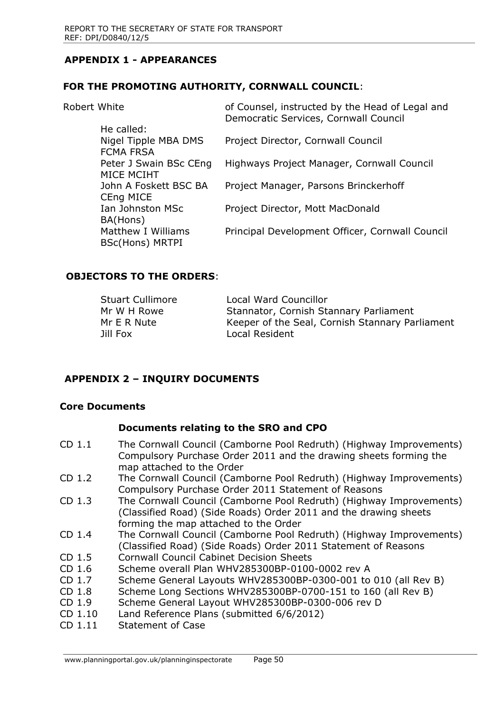## **APPENDIX 1 - APPEARANCES**

#### **FOR THE PROMOTING AUTHORITY, CORNWALL COUNCIL**:

| Robert White |                                          | of Counsel, instructed by the Head of Legal and<br>Democratic Services, Cornwall Council |
|--------------|------------------------------------------|------------------------------------------------------------------------------------------|
|              | He called:                               |                                                                                          |
|              | Nigel Tipple MBA DMS<br><b>FCMA FRSA</b> | Project Director, Cornwall Council                                                       |
|              | Peter J Swain BSc CEng<br>MICE MCIHT     | Highways Project Manager, Cornwall Council                                               |
|              | John A Foskett BSC BA<br>CEng MICE       | Project Manager, Parsons Brinckerhoff                                                    |
|              | Ian Johnston MSc<br>BA(Hons)             | Project Director, Mott MacDonald                                                         |
|              | Matthew I Williams<br>BSc(Hons) MRTPI    | Principal Development Officer, Cornwall Council                                          |

## **OBJECTORS TO THE ORDERS**:

| <b>Stuart Cullimore</b> | Local Ward Councillor                           |
|-------------------------|-------------------------------------------------|
| Mr W H Rowe             | Stannator, Cornish Stannary Parliament          |
| Mr E R Nute             | Keeper of the Seal, Cornish Stannary Parliament |
| Jill Fox                | Local Resident                                  |

#### **APPENDIX 2 – INQUIRY DOCUMENTS**

#### **Core Documents**

#### **Documents relating to the SRO and CPO**

- CD 1.1 The Cornwall Council (Camborne Pool Redruth) (Highway Improvements) Compulsory Purchase Order 2011 and the drawing sheets forming the map attached to the Order
- CD 1.2 The Cornwall Council (Camborne Pool Redruth) (Highway Improvements) Compulsory Purchase Order 2011 Statement of Reasons
- CD 1.3 The Cornwall Council (Camborne Pool Redruth) (Highway Improvements) (Classified Road) (Side Roads) Order 2011 and the drawing sheets forming the map attached to the Order
- CD 1.4 The Cornwall Council (Camborne Pool Redruth) (Highway Improvements) (Classified Road) (Side Roads) Order 2011 Statement of Reasons
- CD 1.5 Cornwall Council Cabinet Decision Sheets
- CD 1.6 Scheme overall Plan WHV285300BP-0100-0002 rev A
- CD 1.7 Scheme General Layouts WHV285300BP-0300-001 to 010 (all Rev B)
- CD 1.8 Scheme Long Sections WHV285300BP-0700-151 to 160 (all Rev B)
- CD 1.9 Scheme General Layout WHV285300BP-0300-006 rev D
- CD 1.10 Land Reference Plans (submitted 6/6/2012)
- CD 1.11 Statement of Case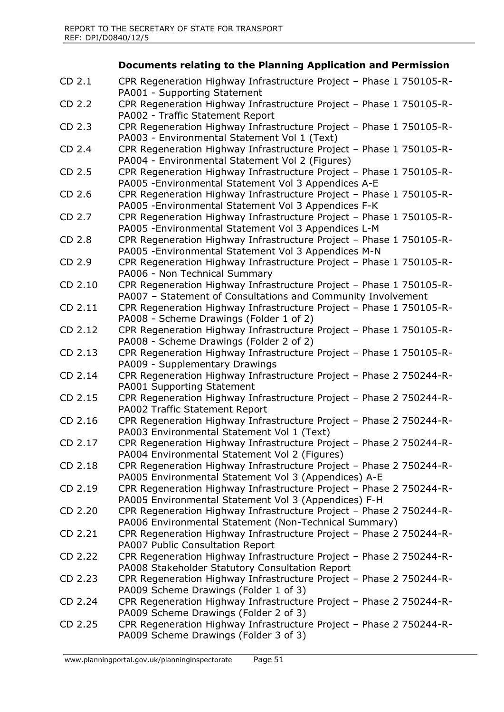# **Documents relating to the Planning Application and Permission**

| CD 2.1            | CPR Regeneration Highway Infrastructure Project - Phase 1 750105-R-<br>PA001 - Supporting Statement                                 |
|-------------------|-------------------------------------------------------------------------------------------------------------------------------------|
| CD 2.2            | CPR Regeneration Highway Infrastructure Project - Phase 1 750105-R-<br>PA002 - Traffic Statement Report                             |
| CD 2.3            | CPR Regeneration Highway Infrastructure Project - Phase 1 750105-R-<br>PA003 - Environmental Statement Vol 1 (Text)                 |
| CD 2.4            | CPR Regeneration Highway Infrastructure Project - Phase 1 750105-R-<br>PA004 - Environmental Statement Vol 2 (Figures)              |
| CD 2.5            | CPR Regeneration Highway Infrastructure Project - Phase 1 750105-R-<br>PA005 - Environmental Statement Vol 3 Appendices A-E         |
| CD <sub>2.6</sub> | CPR Regeneration Highway Infrastructure Project - Phase 1 750105-R-<br>PA005 - Environmental Statement Vol 3 Appendices F-K         |
| CD 2.7            | CPR Regeneration Highway Infrastructure Project - Phase 1 750105-R-<br>PA005 - Environmental Statement Vol 3 Appendices L-M         |
| CD 2.8            | CPR Regeneration Highway Infrastructure Project - Phase 1 750105-R-<br>PA005 - Environmental Statement Vol 3 Appendices M-N         |
| CD 2.9            | CPR Regeneration Highway Infrastructure Project - Phase 1 750105-R-<br>PA006 - Non Technical Summary                                |
| CD 2.10           | CPR Regeneration Highway Infrastructure Project - Phase 1 750105-R-<br>PA007 - Statement of Consultations and Community Involvement |
| CD 2.11           | CPR Regeneration Highway Infrastructure Project - Phase 1 750105-R-<br>PA008 - Scheme Drawings (Folder 1 of 2)                      |
| CD 2.12           | CPR Regeneration Highway Infrastructure Project - Phase 1 750105-R-<br>PA008 - Scheme Drawings (Folder 2 of 2)                      |
| CD 2.13           | CPR Regeneration Highway Infrastructure Project - Phase 1 750105-R-<br>PA009 - Supplementary Drawings                               |
| CD 2.14           | CPR Regeneration Highway Infrastructure Project - Phase 2 750244-R-<br>PA001 Supporting Statement                                   |
| CD 2.15           | CPR Regeneration Highway Infrastructure Project - Phase 2 750244-R-<br>PA002 Traffic Statement Report                               |
| CD 2.16           | CPR Regeneration Highway Infrastructure Project - Phase 2 750244-R-<br>PA003 Environmental Statement Vol 1 (Text)                   |
| CD 2.17           | CPR Regeneration Highway Infrastructure Project - Phase 2 750244-R-<br>PA004 Environmental Statement Vol 2 (Figures)                |
| CD 2.18           | CPR Regeneration Highway Infrastructure Project - Phase 2 750244-R-<br>PA005 Environmental Statement Vol 3 (Appendices) A-E         |
| CD 2.19           | CPR Regeneration Highway Infrastructure Project - Phase 2 750244-R-<br>PA005 Environmental Statement Vol 3 (Appendices) F-H         |
| CD 2.20           | CPR Regeneration Highway Infrastructure Project - Phase 2 750244-R-<br>PA006 Environmental Statement (Non-Technical Summary)        |
| CD 2.21           | CPR Regeneration Highway Infrastructure Project - Phase 2 750244-R-<br>PA007 Public Consultation Report                             |
| CD 2.22           | CPR Regeneration Highway Infrastructure Project - Phase 2 750244-R-<br>PA008 Stakeholder Statutory Consultation Report              |
| CD 2.23           | CPR Regeneration Highway Infrastructure Project - Phase 2 750244-R-<br>PA009 Scheme Drawings (Folder 1 of 3)                        |
| CD 2.24           | CPR Regeneration Highway Infrastructure Project - Phase 2 750244-R-<br>PA009 Scheme Drawings (Folder 2 of 3)                        |
| CD 2.25           | CPR Regeneration Highway Infrastructure Project - Phase 2 750244-R-<br>PA009 Scheme Drawings (Folder 3 of 3)                        |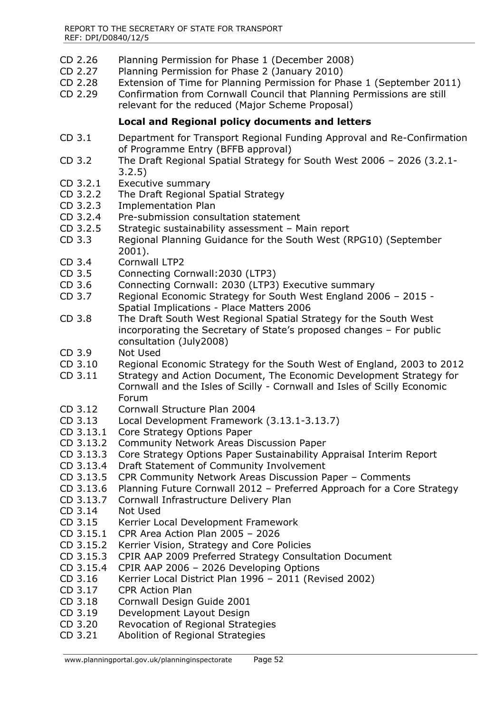- CD 2.26 Planning Permission for Phase 1 (December 2008)
- CD 2.27 Planning Permission for Phase 2 (January 2010)
- CD 2.28 Extension of Time for Planning Permission for Phase 1 (September 2011)
- CD 2.29 Confirmation from Cornwall Council that Planning Permissions are still relevant for the reduced (Major Scheme Proposal)

## **Local and Regional policy documents and letters**

- CD 3.1 Department for Transport Regional Funding Approval and Re-Confirmation of Programme Entry (BFFB approval)
- CD 3.2 The Draft Regional Spatial Strategy for South West 2006 2026 (3.2.1- 3.2.5)
- CD 3.2.1 Executive summary
- CD 3.2.2 The Draft Regional Spatial Strategy
- CD 3.2.3 Implementation Plan
- CD 3.2.4 Pre-submission consultation statement
- CD 3.2.5 Strategic sustainability assessment Main report
- CD 3.3 Regional Planning Guidance for the South West (RPG10) (September 2001).
- CD 3.4 Cornwall LTP2
- CD 3.5 Connecting Cornwall:2030 (LTP3)
- CD 3.6 Connecting Cornwall: 2030 (LTP3) Executive summary
- CD 3.7 Regional Economic Strategy for South West England 2006 2015 Spatial Implications - Place Matters 2006
- CD 3.8 The Draft South West Regional Spatial Strategy for the South West incorporating the Secretary of State's proposed changes – For public consultation (July2008)
- CD 3.9 Not Used
- CD 3.10 Regional Economic Strategy for the South West of England, 2003 to 2012
- CD 3.11 Strategy and Action Document, The Economic Development Strategy for Cornwall and the Isles of Scilly - Cornwall and Isles of Scilly Economic Forum
- CD 3.12 Cornwall Structure Plan 2004
- CD 3.13 Local Development Framework (3.13.1-3.13.7)
- CD 3.13.1 Core Strategy Options Paper
- CD 3.13.2 Community Network Areas Discussion Paper
- CD 3.13.3 Core Strategy Options Paper Sustainability Appraisal Interim Report
- CD 3.13.4 Draft Statement of Community Involvement
- CD 3.13.5 CPR Community Network Areas Discussion Paper Comments
- CD 3.13.6 Planning Future Cornwall 2012 Preferred Approach for a Core Strategy
- CD 3.13.7 Cornwall Infrastructure Delivery Plan
- CD 3.14 Not Used
- CD 3.15 Kerrier Local Development Framework
- CD 3.15.1 CPR Area Action Plan 2005 2026
- CD 3.15.2 Kerrier Vision, Strategy and Core Policies
- CD 3.15.3 CPIR AAP 2009 Preferred Strategy Consultation Document
- CD 3.15.4 CPIR AAP 2006 2026 Developing Options
- CD 3.16 Kerrier Local District Plan 1996 2011 (Revised 2002)
- CD 3.17 CPR Action Plan
- CD 3.18 Cornwall Design Guide 2001
- CD 3.19 Development Layout Design
- CD 3.20 Revocation of Regional Strategies
- CD 3.21 Abolition of Regional Strategies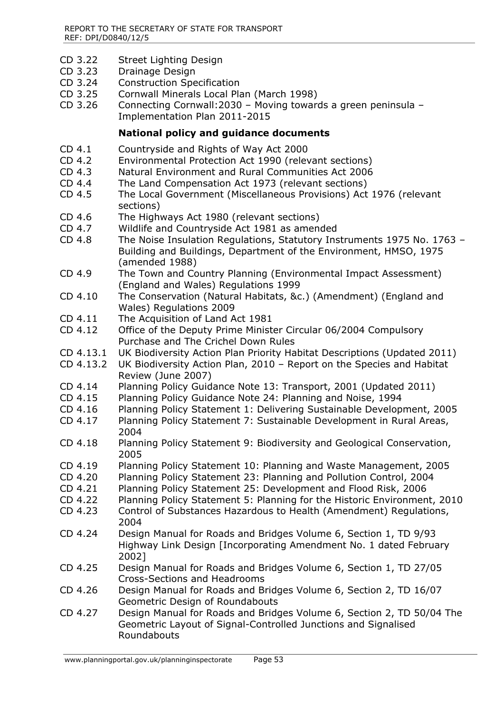- CD 3.22 Street Lighting Design
- CD 3.23 Drainage Design
- CD 3.24 Construction Specification
- CD 3.25 Cornwall Minerals Local Plan (March 1998)<br>CD 3.26 Connecting Cornwall: 2030 Moving toward
- Connecting Cornwall:  $2030$  Moving towards a green peninsula Implementation Plan 2011-2015

## **National policy and guidance documents**

- CD 4.1 Countryside and Rights of Way Act 2000
- CD 4.2 Environmental Protection Act 1990 (relevant sections)
- CD 4.3 Natural Environment and Rural Communities Act 2006
- CD 4.4 The Land Compensation Act 1973 (relevant sections)
- CD 4.5 The Local Government (Miscellaneous Provisions) Act 1976 (relevant sections)
- CD 4.6 The Highways Act 1980 (relevant sections)
- CD 4.7 Wildlife and Countryside Act 1981 as amended
- CD 4.8 The Noise Insulation Regulations, Statutory Instruments 1975 No. 1763 Building and Buildings, Department of the Environment, HMSO, 1975 (amended 1988)
- CD 4.9 The Town and Country Planning (Environmental Impact Assessment) (England and Wales) Regulations 1999
- CD 4.10 The Conservation (Natural Habitats, &c.) (Amendment) (England and Wales) Regulations 2009
- CD 4.11 The Acquisition of Land Act 1981
- CD 4.12 Office of the Deputy Prime Minister Circular 06/2004 Compulsory Purchase and The Crichel Down Rules
- CD 4.13.1 UK Biodiversity Action Plan Priority Habitat Descriptions (Updated 2011)
- CD 4.13.2 UK Biodiversity Action Plan, 2010 Report on the Species and Habitat Review (June 2007)
- CD 4.14 Planning Policy Guidance Note 13: Transport, 2001 (Updated 2011)
- CD 4.15 Planning Policy Guidance Note 24: Planning and Noise, 1994
- CD 4.16 Planning Policy Statement 1: Delivering Sustainable Development, 2005
- CD 4.17 Planning Policy Statement 7: Sustainable Development in Rural Areas, 2004
- CD 4.18 Planning Policy Statement 9: Biodiversity and Geological Conservation, 2005
- CD 4.19 Planning Policy Statement 10: Planning and Waste Management, 2005
- CD 4.20 Planning Policy Statement 23: Planning and Pollution Control, 2004
- CD 4.21 Planning Policy Statement 25: Development and Flood Risk, 2006
- CD 4.22 Planning Policy Statement 5: Planning for the Historic Environment, 2010
- CD 4.23 Control of Substances Hazardous to Health (Amendment) Regulations, 2004
- CD 4.24 Design Manual for Roads and Bridges Volume 6, Section 1, TD 9/93 Highway Link Design [Incorporating Amendment No. 1 dated February 2002]
- CD 4.25 Design Manual for Roads and Bridges Volume 6, Section 1, TD 27/05 Cross-Sections and Headrooms
- CD 4.26 Design Manual for Roads and Bridges Volume 6, Section 2, TD 16/07 Geometric Design of Roundabouts
- CD 4.27 Design Manual for Roads and Bridges Volume 6, Section 2, TD 50/04 The Geometric Layout of Signal-Controlled Junctions and Signalised Roundabouts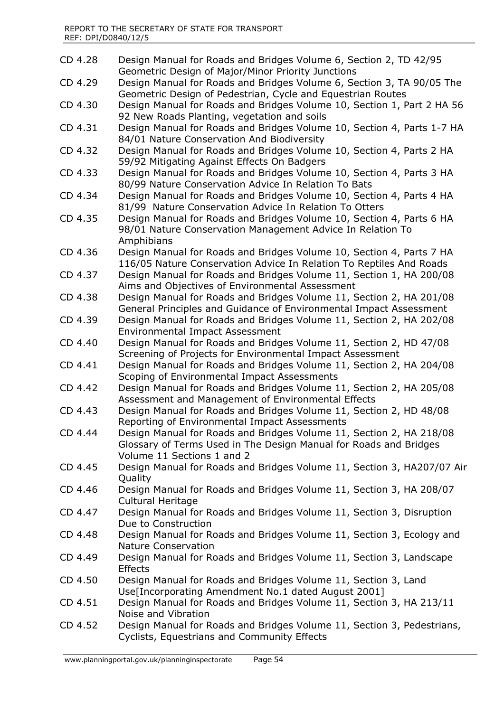| CD 4.28 | Design Manual for Roads and Bridges Volume 6, Section 2, TD 42/95<br>Geometric Design of Major/Minor Priority Junctions                                                |
|---------|------------------------------------------------------------------------------------------------------------------------------------------------------------------------|
| CD 4.29 | Design Manual for Roads and Bridges Volume 6, Section 3, TA 90/05 The<br>Geometric Design of Pedestrian, Cycle and Equestrian Routes                                   |
| CD 4.30 | Design Manual for Roads and Bridges Volume 10, Section 1, Part 2 HA 56<br>92 New Roads Planting, vegetation and soils                                                  |
| CD 4.31 | Design Manual for Roads and Bridges Volume 10, Section 4, Parts 1-7 HA<br>84/01 Nature Conservation And Biodiversity                                                   |
| CD 4.32 | Design Manual for Roads and Bridges Volume 10, Section 4, Parts 2 HA<br>59/92 Mitigating Against Effects On Badgers                                                    |
| CD 4.33 | Design Manual for Roads and Bridges Volume 10, Section 4, Parts 3 HA<br>80/99 Nature Conservation Advice In Relation To Bats                                           |
| CD 4.34 | Design Manual for Roads and Bridges Volume 10, Section 4, Parts 4 HA<br>81/99 Nature Conservation Advice In Relation To Otters                                         |
| CD 4.35 | Design Manual for Roads and Bridges Volume 10, Section 4, Parts 6 HA<br>98/01 Nature Conservation Management Advice In Relation To<br>Amphibians                       |
| CD 4.36 | Design Manual for Roads and Bridges Volume 10, Section 4, Parts 7 HA<br>116/05 Nature Conservation Advice In Relation To Reptiles And Roads                            |
| CD 4.37 | Design Manual for Roads and Bridges Volume 11, Section 1, HA 200/08<br>Aims and Objectives of Environmental Assessment                                                 |
| CD 4.38 | Design Manual for Roads and Bridges Volume 11, Section 2, HA 201/08<br>General Principles and Guidance of Environmental Impact Assessment                              |
| CD 4.39 | Design Manual for Roads and Bridges Volume 11, Section 2, HA 202/08<br><b>Environmental Impact Assessment</b>                                                          |
| CD 4.40 | Design Manual for Roads and Bridges Volume 11, Section 2, HD 47/08<br>Screening of Projects for Environmental Impact Assessment                                        |
| CD 4.41 | Design Manual for Roads and Bridges Volume 11, Section 2, HA 204/08<br>Scoping of Environmental Impact Assessments                                                     |
| CD 4.42 | Design Manual for Roads and Bridges Volume 11, Section 2, HA 205/08<br>Assessment and Management of Environmental Effects                                              |
| CD 4.43 | Design Manual for Roads and Bridges Volume 11, Section 2, HD 48/08<br>Reporting of Environmental Impact Assessments                                                    |
| CD 4.44 | Design Manual for Roads and Bridges Volume 11, Section 2, HA 218/08<br>Glossary of Terms Used in The Design Manual for Roads and Bridges<br>Volume 11 Sections 1 and 2 |
| CD 4.45 | Design Manual for Roads and Bridges Volume 11, Section 3, HA207/07 Air<br>Quality                                                                                      |
| CD 4.46 | Design Manual for Roads and Bridges Volume 11, Section 3, HA 208/07<br><b>Cultural Heritage</b>                                                                        |
| CD 4.47 | Design Manual for Roads and Bridges Volume 11, Section 3, Disruption<br>Due to Construction                                                                            |
| CD 4.48 | Design Manual for Roads and Bridges Volume 11, Section 3, Ecology and<br><b>Nature Conservation</b>                                                                    |
| CD 4.49 | Design Manual for Roads and Bridges Volume 11, Section 3, Landscape<br><b>Effects</b>                                                                                  |
| CD 4.50 | Design Manual for Roads and Bridges Volume 11, Section 3, Land<br>Use[Incorporating Amendment No.1 dated August 2001]                                                  |
| CD 4.51 | Design Manual for Roads and Bridges Volume 11, Section 3, HA 213/11<br>Noise and Vibration                                                                             |
| CD 4.52 | Design Manual for Roads and Bridges Volume 11, Section 3, Pedestrians,<br>Cyclists, Equestrians and Community Effects                                                  |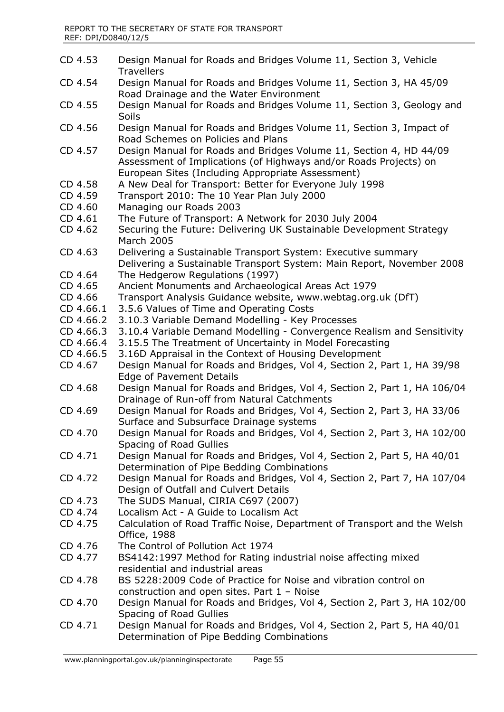- CD 4.53 Design Manual for Roads and Bridges Volume 11, Section 3, Vehicle **Travellers** CD 4.54 Design Manual for Roads and Bridges Volume 11, Section 3, HA 45/09 Road Drainage and the Water Environment CD 4.55 Design Manual for Roads and Bridges Volume 11, Section 3, Geology and **Soils** CD 4.56 Design Manual for Roads and Bridges Volume 11, Section 3, Impact of Road Schemes on Policies and Plans CD 4.57 Design Manual for Roads and Bridges Volume 11, Section 4, HD 44/09 Assessment of Implications (of Highways and/or Roads Projects) on European Sites (Including Appropriate Assessment) CD 4.58 A New Deal for Transport: Better for Everyone July 1998 CD 4.59 Transport 2010: The 10 Year Plan July 2000 CD 4.60 Managing our Roads 2003 CD 4.61 The Future of Transport: A Network for 2030 July 2004 CD 4.62 Securing the Future: Delivering UK Sustainable Development Strategy March 2005 CD 4.63 Delivering a Sustainable Transport System: Executive summary Delivering a Sustainable Transport System: Main Report, November 2008 CD 4.64 The Hedgerow Regulations (1997) CD 4.65 Ancient Monuments and Archaeological Areas Act 1979 CD 4.66 Transport Analysis Guidance website, www.webtag.org.uk (DfT) CD 4.66.1 3.5.6 Values of Time and Operating Costs CD 4.66.2 3.10.3 Variable Demand Modelling - Key Processes CD 4.66.3 3.10.4 Variable Demand Modelling - Convergence Realism and Sensitivity CD 4.66.4 3.15.5 The Treatment of Uncertainty in Model Forecasting CD 4.66.5 3.16D Appraisal in the Context of Housing Development CD 4.67 Design Manual for Roads and Bridges, Vol 4, Section 2, Part 1, HA 39/98 Edge of Pavement Details CD 4.68 Design Manual for Roads and Bridges, Vol 4, Section 2, Part 1, HA 106/04 Drainage of Run-off from Natural Catchments CD 4.69 Design Manual for Roads and Bridges, Vol 4, Section 2, Part 3, HA 33/06 Surface and Subsurface Drainage systems CD 4.70 Design Manual for Roads and Bridges, Vol 4, Section 2, Part 3, HA 102/00 Spacing of Road Gullies CD 4.71 Design Manual for Roads and Bridges, Vol 4, Section 2, Part 5, HA 40/01 Determination of Pipe Bedding Combinations CD 4.72 Design Manual for Roads and Bridges, Vol 4, Section 2, Part 7, HA 107/04 Design of Outfall and Culvert Details CD 4.73 The SUDS Manual, CIRIA C697 (2007) CD 4.74 Localism Act - A Guide to Localism Act CD 4.75 Calculation of Road Traffic Noise, Department of Transport and the Welsh Office, 1988 CD 4.76 The Control of Pollution Act 1974 CD 4.77 BS4142:1997 Method for Rating industrial noise affecting mixed residential and industrial areas CD 4.78 BS 5228:2009 Code of Practice for Noise and vibration control on construction and open sites. Part 1 – Noise CD 4.70 Design Manual for Roads and Bridges, Vol 4, Section 2, Part 3, HA 102/00 Spacing of Road Gullies CD 4.71 Design Manual for Roads and Bridges, Vol 4, Section 2, Part 5, HA 40/01 Determination of Pipe Bedding Combinations
	- www.planningportal.gov.uk/planninginspectorate Page 55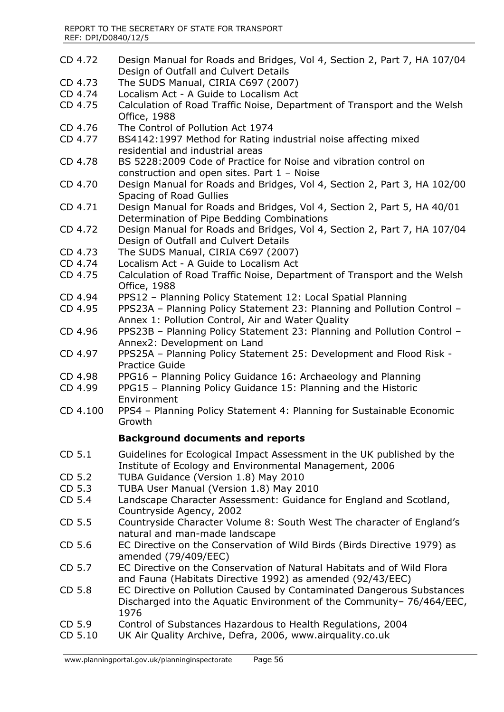- CD 4.72 Design Manual for Roads and Bridges, Vol 4, Section 2, Part 7, HA 107/04 Design of Outfall and Culvert Details
- CD 4.73 The SUDS Manual, CIRIA C697 (2007)
- CD 4.74 Localism Act A Guide to Localism Act
- CD 4.75 Calculation of Road Traffic Noise, Department of Transport and the Welsh Office, 1988
- CD 4.76 The Control of Pollution Act 1974
- CD 4.77 BS4142:1997 Method for Rating industrial noise affecting mixed residential and industrial areas
- CD 4.78 BS 5228:2009 Code of Practice for Noise and vibration control on construction and open sites. Part 1 – Noise
- CD 4.70 Design Manual for Roads and Bridges, Vol 4, Section 2, Part 3, HA 102/00 Spacing of Road Gullies
- CD 4.71 Design Manual for Roads and Bridges, Vol 4, Section 2, Part 5, HA 40/01 Determination of Pipe Bedding Combinations
- CD 4.72 Design Manual for Roads and Bridges, Vol 4, Section 2, Part 7, HA 107/04 Design of Outfall and Culvert Details
- CD 4.73 The SUDS Manual, CIRIA C697 (2007)
- CD 4.74 Localism Act A Guide to Localism Act
- CD 4.75 Calculation of Road Traffic Noise, Department of Transport and the Welsh Office, 1988
- CD 4.94 PPS12 Planning Policy Statement 12: Local Spatial Planning
- CD 4.95 PPS23A Planning Policy Statement 23: Planning and Pollution Control Annex 1: Pollution Control, Air and Water Quality
- CD 4.96 PPS23B Planning Policy Statement 23: Planning and Pollution Control Annex2: Development on Land
- CD 4.97 PPS25A Planning Policy Statement 25: Development and Flood Risk Practice Guide
- CD 4.98 PPG16 Planning Policy Guidance 16: Archaeology and Planning
- CD 4.99 PPG15 Planning Policy Guidance 15: Planning and the Historic Environment
- CD 4.100 PPS4 Planning Policy Statement 4: Planning for Sustainable Economic Growth

#### **Background documents and reports**

- CD 5.1 Guidelines for Ecological Impact Assessment in the UK published by the Institute of Ecology and Environmental Management, 2006
- CD 5.2 TUBA Guidance (Version 1.8) May 2010
- CD 5.3 TUBA User Manual (Version 1.8) May 2010
- CD 5.4 Landscape Character Assessment: Guidance for England and Scotland, Countryside Agency, 2002
- CD 5.5 Countryside Character Volume 8: South West The character of England's natural and man-made landscape
- CD 5.6 EC Directive on the Conservation of Wild Birds (Birds Directive 1979) as amended (79/409/EEC)
- CD 5.7 EC Directive on the Conservation of Natural Habitats and of Wild Flora and Fauna (Habitats Directive 1992) as amended (92/43/EEC)
- CD 5.8 EC Directive on Pollution Caused by Contaminated Dangerous Substances Discharged into the Aquatic Environment of the Community– 76/464/EEC, 1976
- CD 5.9 Control of Substances Hazardous to Health Regulations, 2004
- CD 5.10 UK Air Quality Archive, Defra, 2006, www.airquality.co.uk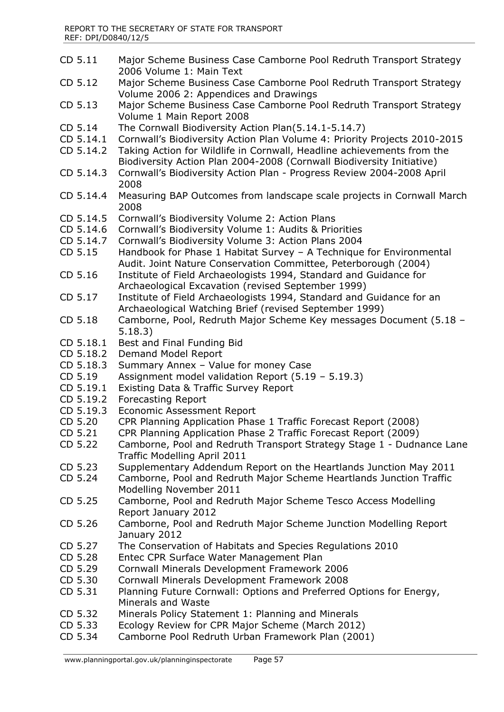- CD 5.11 Major Scheme Business Case Camborne Pool Redruth Transport Strategy 2006 Volume 1: Main Text
- CD 5.12 Major Scheme Business Case Camborne Pool Redruth Transport Strategy Volume 2006 2: Appendices and Drawings
- CD 5.13 Major Scheme Business Case Camborne Pool Redruth Transport Strategy Volume 1 Main Report 2008
- CD 5.14 The Cornwall Biodiversity Action Plan(5.14.1-5.14.7)
- CD 5.14.1 Cornwall's Biodiversity Action Plan Volume 4: Priority Projects 2010-2015
- CD 5.14.2 Taking Action for Wildlife in Cornwall, Headline achievements from the Biodiversity Action Plan 2004-2008 (Cornwall Biodiversity Initiative)
- CD 5.14.3 Cornwall's Biodiversity Action Plan Progress Review 2004-2008 April 2008
- CD 5.14.4 Measuring BAP Outcomes from landscape scale projects in Cornwall March 2008
- CD 5.14.5 Cornwall's Biodiversity Volume 2: Action Plans
- CD 5.14.6 Cornwall's Biodiversity Volume 1: Audits & Priorities
- CD 5.14.7 Cornwall's Biodiversity Volume 3: Action Plans 2004
- CD 5.15 Handbook for Phase 1 Habitat Survey A Technique for Environmental Audit. Joint Nature Conservation Committee, Peterborough (2004)
- CD 5.16 Institute of Field Archaeologists 1994, Standard and Guidance for Archaeological Excavation (revised September 1999)
- CD 5.17 Institute of Field Archaeologists 1994, Standard and Guidance for an Archaeological Watching Brief (revised September 1999)
- CD 5.18 Camborne, Pool, Redruth Major Scheme Key messages Document (5.18 5.18.3)
- CD 5.18.1 Best and Final Funding Bid
- CD 5.18.2 Demand Model Report
- CD 5.18.3 Summary Annex Value for money Case
- CD 5.19 Assignment model validation Report (5.19 5.19.3)
- CD 5.19.1 Existing Data & Traffic Survey Report
- CD 5.19.2 Forecasting Report
- CD 5.19.3 Economic Assessment Report
- CD 5.20 CPR Planning Application Phase 1 Traffic Forecast Report (2008)
- CD 5.21 CPR Planning Application Phase 2 Traffic Forecast Report (2009)
- CD 5.22 Camborne, Pool and Redruth Transport Strategy Stage 1 Dudnance Lane Traffic Modelling April 2011
- CD 5.23 Supplementary Addendum Report on the Heartlands Junction May 2011
- CD 5.24 Camborne, Pool and Redruth Major Scheme Heartlands Junction Traffic Modelling November 2011
- CD 5.25 Camborne, Pool and Redruth Major Scheme Tesco Access Modelling Report January 2012
- CD 5.26 Camborne, Pool and Redruth Major Scheme Junction Modelling Report January 2012
- CD 5.27 The Conservation of Habitats and Species Regulations 2010
- CD 5.28 Entec CPR Surface Water Management Plan
- CD 5.29 Cornwall Minerals Development Framework 2006
- CD 5.30 Cornwall Minerals Development Framework 2008
- CD 5.31 Planning Future Cornwall: Options and Preferred Options for Energy, Minerals and Waste
- CD 5.32 Minerals Policy Statement 1: Planning and Minerals
- CD 5.33 Ecology Review for CPR Major Scheme (March 2012)
- CD 5.34 Camborne Pool Redruth Urban Framework Plan (2001)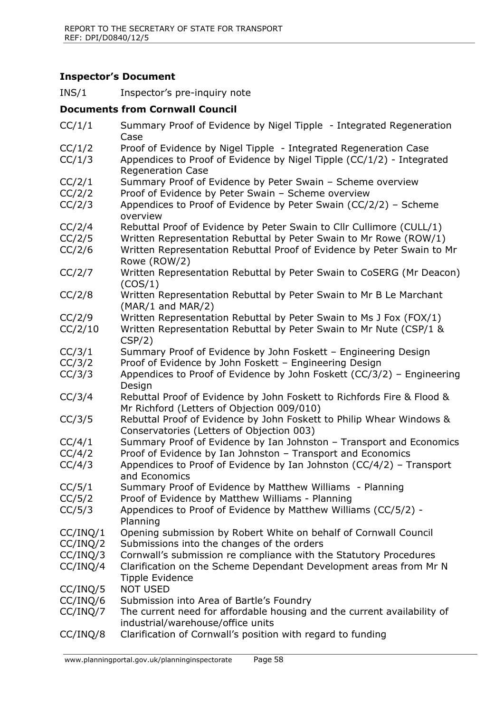## **Inspector's Document**

INS/1 Inspector's pre-inquiry note

#### **Documents from Cornwall Council**

CC/1/1 Summary Proof of Evidence by Nigel Tipple - Integrated Regeneration Case CC/1/2 Proof of Evidence by Nigel Tipple - Integrated Regeneration Case CC/1/3 Appendices to Proof of Evidence by Nigel Tipple (CC/1/2) - Integrated Regeneration Case CC/2/1 Summary Proof of Evidence by Peter Swain – Scheme overview CC/2/2 Proof of Evidence by Peter Swain – Scheme overview CC/2/3 Appendices to Proof of Evidence by Peter Swain (CC/2/2) – Scheme overview CC/2/4 Rebuttal Proof of Evidence by Peter Swain to Cllr Cullimore (CULL/1) CC/2/5 Written Representation Rebuttal by Peter Swain to Mr Rowe (ROW/1) CC/2/6 Written Representation Rebuttal Proof of Evidence by Peter Swain to Mr Rowe (ROW/2) CC/2/7 Written Representation Rebuttal by Peter Swain to CoSERG (Mr Deacon) (COS/1) CC/2/8 Written Representation Rebuttal by Peter Swain to Mr B Le Marchant (MAR/1 and MAR/2) CC/2/9 Written Representation Rebuttal by Peter Swain to Ms J Fox (FOX/1) CC/2/10 Written Representation Rebuttal by Peter Swain to Mr Nute (CSP/1 & CSP/2) CC/3/1 Summary Proof of Evidence by John Foskett – Engineering Design CC/3/2 Proof of Evidence by John Foskett – Engineering Design CC/3/3 Appendices to Proof of Evidence by John Foskett (CC/3/2) – Engineering Design CC/3/4 Rebuttal Proof of Evidence by John Foskett to Richfords Fire & Flood & Mr Richford (Letters of Objection 009/010) CC/3/5 Rebuttal Proof of Evidence by John Foskett to Philip Whear Windows & Conservatories (Letters of Objection 003) CC/4/1 Summary Proof of Evidence by Ian Johnston – Transport and Economics CC/4/2 Proof of Evidence by Ian Johnston – Transport and Economics CC/4/3 Appendices to Proof of Evidence by Ian Johnston (CC/4/2) – Transport and Economics CC/5/1 Summary Proof of Evidence by Matthew Williams - Planning CC/5/2 Proof of Evidence by Matthew Williams - Planning CC/5/3 Appendices to Proof of Evidence by Matthew Williams (CC/5/2) - Planning CC/INQ/1 Opening submission by Robert White on behalf of Cornwall Council CC/INQ/2 Submissions into the changes of the orders CC/INQ/3 Cornwall's submission re compliance with the Statutory Procedures CC/INQ/4 Clarification on the Scheme Dependant Development areas from Mr N Tipple Evidence CC/INQ/5 NOT USED CC/INQ/6 Submission into Area of Bartle's Foundry CC/INQ/7 The current need for affordable housing and the current availability of industrial/warehouse/office units CC/INQ/8 Clarification of Cornwall's position with regard to funding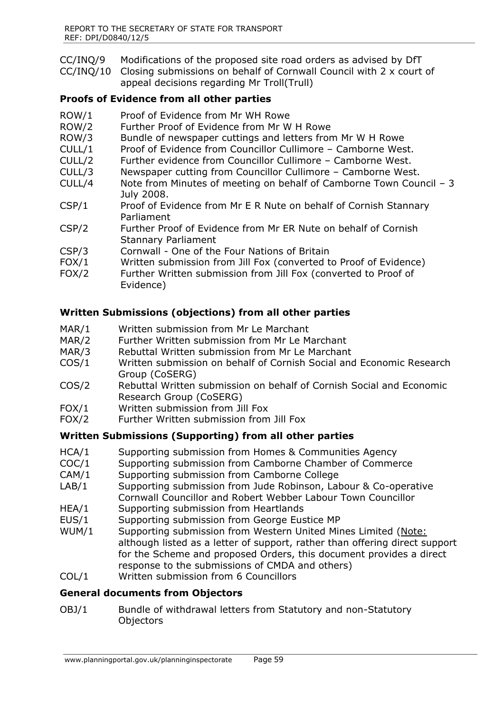- CC/INQ/9 Modifications of the proposed site road orders as advised by DfT
- CC/INQ/10 Closing submissions on behalf of Cornwall Council with 2 x court of appeal decisions regarding Mr Troll(Trull)

## **Proofs of Evidence from all other parties**

- ROW/1 Proof of Evidence from Mr WH Rowe
- ROW/2 Further Proof of Evidence from Mr W H Rowe
- ROW/3 Bundle of newspaper cuttings and letters from Mr W H Rowe
- CULL/1 Proof of Evidence from Councillor Cullimore Camborne West.
- CULL/2 Further evidence from Councillor Cullimore Camborne West.
- CULL/3 Newspaper cutting from Councillor Cullimore Camborne West.
- CULL/4 Note from Minutes of meeting on behalf of Camborne Town Council 3 July 2008.
- CSP/1 Proof of Evidence from Mr E R Nute on behalf of Cornish Stannary Parliament
- CSP/2 Further Proof of Evidence from Mr ER Nute on behalf of Cornish Stannary Parliament
- CSP/3 Cornwall One of the Four Nations of Britain
- FOX/1 Written submission from Jill Fox (converted to Proof of Evidence)
- FOX/2 Further Written submission from Jill Fox (converted to Proof of Evidence)

## **Written Submissions (objections) from all other parties**

- MAR/1 Written submission from Mr Le Marchant
- MAR/2 Further Written submission from Mr Le Marchant
- MAR/3 Rebuttal Written submission from Mr Le Marchant
- COS/1 Written submission on behalf of Cornish Social and Economic Research Group (CoSERG)
- COS/2 Rebuttal Written submission on behalf of Cornish Social and Economic Research Group (CoSERG)
- FOX/1 Written submission from Jill Fox
- FOX/2 Further Written submission from Jill Fox

## **Written Submissions (Supporting) from all other parties**

- HCA/1 Supporting submission from Homes & Communities Agency
- COC/1 Supporting submission from Camborne Chamber of Commerce
- CAM/1 Supporting submission from Camborne College
- LAB/1 Supporting submission from Jude Robinson, Labour & Co-operative Cornwall Councillor and Robert Webber Labour Town Councillor
- HEA/1 Supporting submission from Heartlands
- EUS/1 Supporting submission from George Eustice MP
- WUM/1 Supporting submission from Western United Mines Limited (Note: although listed as a letter of support, rather than offering direct support for the Scheme and proposed Orders, this document provides a direct response to the submissions of CMDA and others)
- COL/1 Written submission from 6 Councillors

## **General documents from Objectors**

OBJ/1 Bundle of withdrawal letters from Statutory and non-Statutory **Objectors**